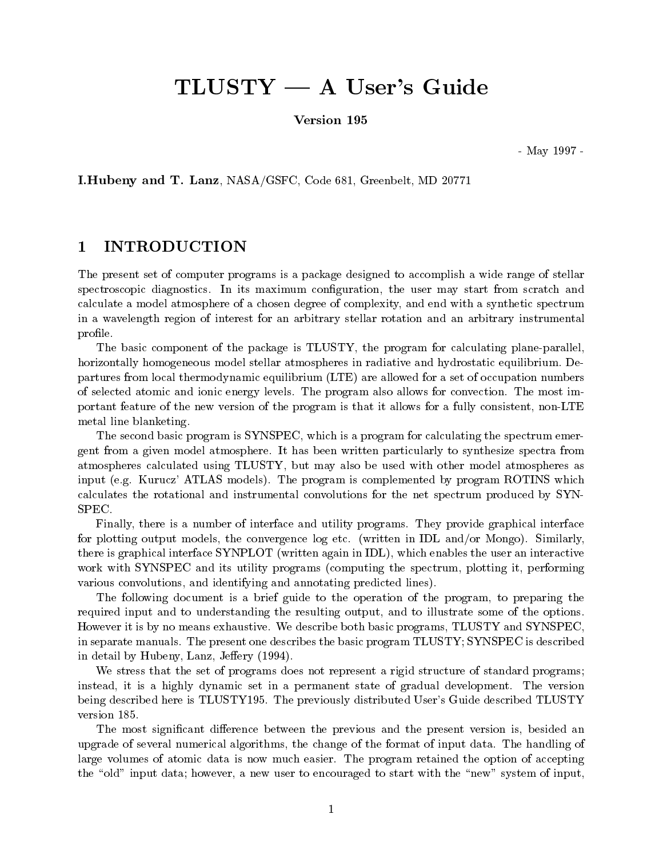# $TLUSTY - A User's Guide$

Version 195

May --

I.Hubeny and T. Lanz, NASA/GSFC, Code 681, Greenbelt, MD 20771

#### $\mathbf{1}$ INTRODUCTION

The present set of computer programs is a package designed to accomplish a wide range of stellar spectroscopic diagnostics In its maximum conguration the user may start from scratch and calculate a model atmosphere of a chosen degree of complexity and end with a synthetic spectrum in a wavelength region of interest for an arbitrary stellar rotation and an arbitrary instrumental profile.

The basic component of the package is TLUSTY, the program for calculating plane-parallel. horizontally homogeneous model stellar atmospheres in radiative and hydrostatic equilibrium De partures from local thermodynamic equilibrium (LTE) are allowed for a set of occupation numbers of selected atomic and ionic energy levels The program also allows for convection The most im portant feature of the new version of the program is that it allows for a fully consistent, non-LTE metal line blanketing

The second basic program is SYNSPEC which is a program for calculating the spectrum emer gent from a given motate atmosphere it has been written particularly to synthesize spectra from atmospheres calculated using TLUSTY, but may also be used with other model atmospheres as in put in the program is completed by program is completed by program and also made in the complete  $\mathcal{L}$ calculates the rotational and instrumental convolutions for the net spectrum produced by SYN SPEC

Finally there is a number of interface and utility programs They provide graphical interface for plotting output models the convergence log etc written in IDL andor Mongo Similarly there is graphical interface SYNPLOT (written again in IDL), which enables the user an interactive work with SYNSPEC and its utility programs (computing the spectrum, plotting it, performing various convolutions, and identifying and annotating predicted lines).

The following document is a brief guide to the operation of the program, to preparing the required input and to understanding the resulting output, and to illustrate some of the options. However it is by no means exhaustive We describe both basic programs TLUSTY and SYNSPEC in separate manuals The present one describes the basic program TLUSTY SYNSPEC is described in detail by Huben and the Lands Lands of the Lands Determination and the Lands Determined and the Lands Determined and the Lands Determined and the Lands Determined and the Lands Determined and the Lands Determined and th

We stress that the set of programs does not represent a rigid structure of standard programs; instead it is a highly dynamic set in a permanent state of gradual development The version being described here is TLUSTY-TLUSTY-Described TLUSTY-TLUSTY-Described TLUSTY-TLUSTY-TLUSTY-TLUSTYversion 185.

The most significant difference between the previous and the present version is, besided an upgrade of several numerical algorithms the change of the format of input data The handling of large volumes of atomic data is now much easier The program retained the option of accepting the "old" input data; however, a new user to encouraged to start with the "new" system of input,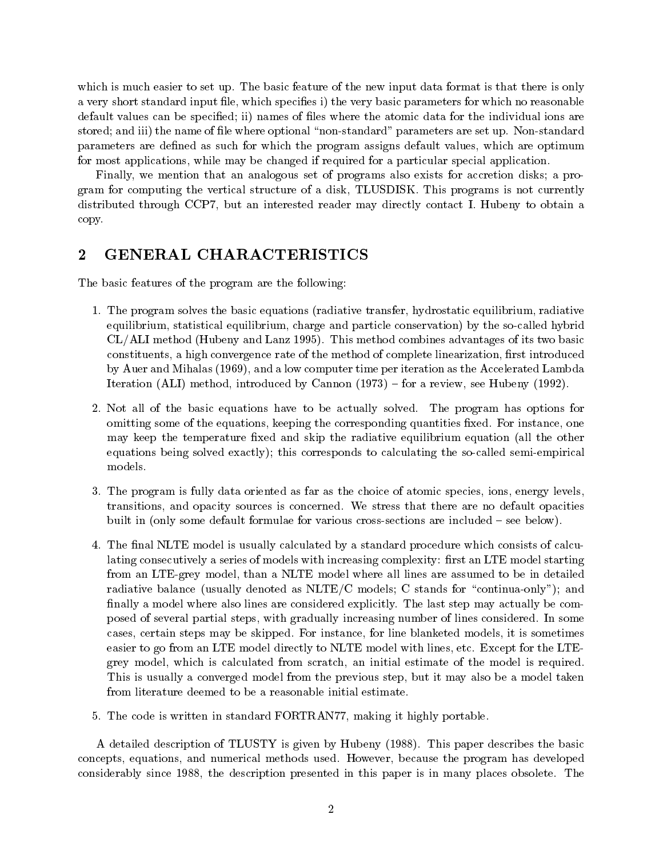which is matter to set up the new input data format is the new input data format is the new input  $\mathbf{r}$ a very short standard input file, which specifies i) the very basic parameters for which no reasonable default values can be specified; ii) names of files where the atomic data for the individual ions are stored and iii
 the name of le where optional nonstandard parameters are set up Nonstandard parameters are defined as such for which the program assigns default values, which are optimum for most applications, while may be changed if required for a particular special application.

Finally, we mention that an analogous set of programs also exists for accretion disks; a pro- $\alpha$  and for computing the vertical structure of a disk TLUSDISK TLUSDISK TLUSDISK TRIP  $\alpha$ distributed through CCP by an interested reader may directly contact I may directly to obtain a copy

#### $\bf{2}$ GENERAL CHARACTERISTICS

The basic features of the program are the following

- The program solves the basic equations radiative transfer hydrostatic equilibrium radiative equilibrium, statistical equilibrium, charge and particle conservation) by the so-called hybrid , and the compact  $\alpha$  is method compact of its two basic compact of its two basic compact of its two basic compact of its two basic compact of its two basic compact of its two basic compact of its two basic compact of its constituents, a high convergence rate of the method of complete linearization, first introduced , and a low computer time per iteration as the accelerated Lambda and the Accelerated Lambda and Lambda and La Iteration ALI
 method introduced by Cannon - for a review see Hubeny --
- Not all of the basic equations have to be actually solved The program has options for omitting some of the equations keeping the corresponding quantities xed For instance one may keep the temperature fixed and skip the radiative equilibrium equation (all the other equations being solved exactly); this corresponds to calculating the so-called semi-empirical models.
- The program is fully data oriented as far as the choice of atomic species ions energy levels transitions and opacity sources is concerned We stress that there are no default opacities built in (only some default formulae for various cross-sections are included  $-$  see below).
- The nal NLTE model is usually calculated by a standard procedure which consists of calcu lating consecutively a series of models with increasing complexity: first an LTE model starting from an LTEgrey model than a NLTE model where all lines are assumed to be in detailed radiative balance (usually denoted as  $NLTE/C$  models; C stands for "continua-only"); and nally a model where also lines are considered explicitly The last step may actually be com posed of several partial steps with gradually increasing number of lines considered In some cases, certain steps may be skipped models it is sometimes it is sometimes it is sometimes it is sometimes it easier to go from an LTE model and with lines etc. Also have an LTE model with lines and the LTE grey model, which is calculated from scratch, an initial estimate of the model is required. This is usually a converged model from the previous step, but it may also be a model taken from literature deemed to be a reasonable initial estimate
- The code is written in standard FORTRAN making in standard FORTRAN making it highly portable in  $\mathcal{F}(\mathbf{r})$

A detailed description of TLUSTY is given by Hubeny - This paper describes the basic concepts, equations, which methods used methods used in the program has developed the program has developed th considerably since - the description presented in this place of the many places of the consideration of the co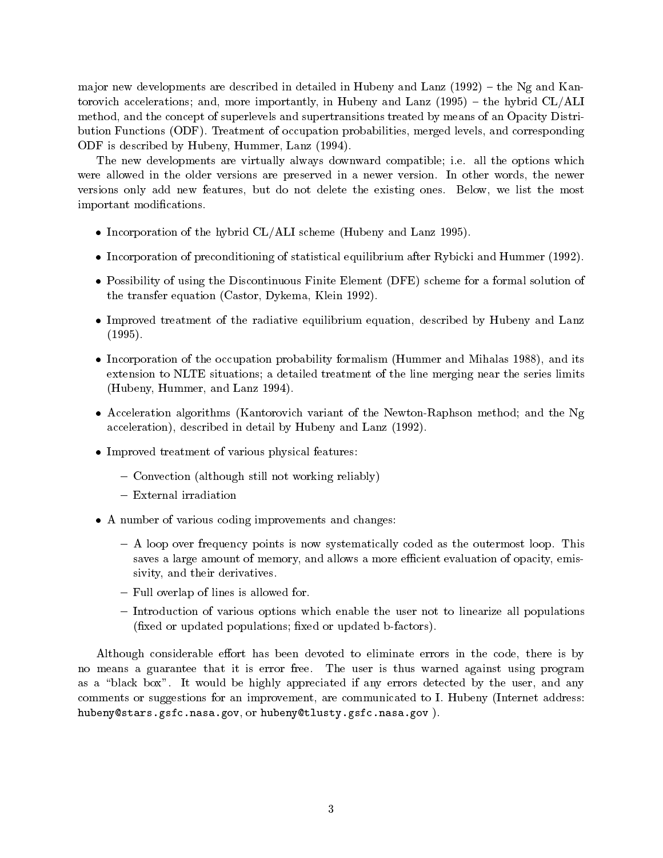ma jor new developments are described in detailed in Hubeny and Lanz -- the Ng and Kan torovich accelerations and more importantly in Huben and Lanz and Lanz and Hybrid ClALI and Lan method, and the concept of superlevels and supertransitions treated by means of an Opacity Distribution Functions ODF Treatment of occupation probabilities merged levels and corresponding  $\blacksquare$  . The isometric description of the set of the set of the set of the set of the set of the set of the set of the set of the set of the set of the set of the set of the set of the set of the set of the set of the set

The new developments are virtually always downward compatible i e all the options which were allowed in the older versions are preserved in a new versions are preserved in a newer versions the newer versions only add new features but do not delete the most deleter the most the most the most the most the most important modifications.

- Incorporation of the hybrid CLALI scheme Hubeny and Lanz --
- Incorporation of preconditioning of statistical equilibrium after Rybicki and Hummer --
- Possibility of using the Discontinuous Finite Element (DFE) scheme for a formal solution of the transfer equation Castor Dykema Klein --
- Improved treatment of the radiative equilibrium equation, described by Hubeny and Lanz --
- Incorporation of the occupation probability formalism Hummer and Mihalas and its extension to NLTE situations; a detailed treatment of the line merging near the series limits  $\mathbf{H}$
- Acceleration algorithms (Kantorovich variant of the Newton-Raphson method; and the Ng acceleration
 described in detail by Hubeny and Lanz --
- Improved treatment of various physical features:
	- Convection (although still not working reliably)
	- External irradiation
- A number of various coding improvements and changes:
	- A loop over frequency points is now systematically coded as the outermost loop This saves a large amount of memory, and allows a more efficient evaluation of opacity, emissivity, and their derivatives.
	- Full overlap of lines is allowed for.
	- Introduction of various options which enable the user not to linearize all populations  $(\text{fixed or updated populations}; \text{fixed or updated b-factors}).$

Although considerable effort has been devoted to eliminate errors in the code, there is by no means a guarantee that it is error free that it is the user against using program as a black box it would be higher, appreciation to any the user any the user any the user any commentations in suggestions for the improvement, includes the internet are communicated to internet addressed hubeny@stars.gsfc.nasa.gov, or hubeny@tlusty.gsfc.nasa.gov).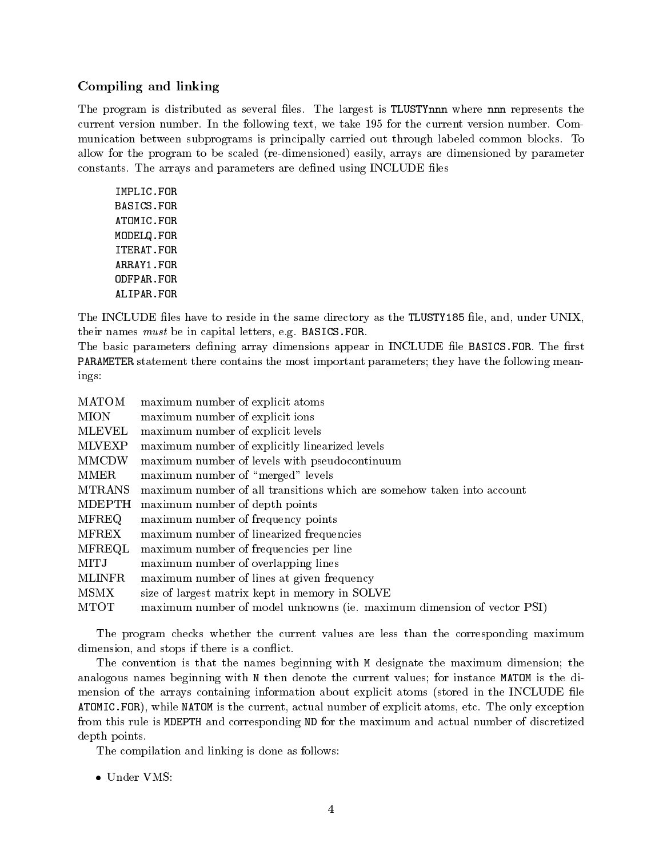# Compiling and linking

The program is distributed as several less is the largest in the lessed where the several less current version number In the following text we take - for the current version number Com munication between subprograms is principally carried care against common blocks and the common blocks allow for the program to be scaled (re-dimensioned) easily, arrays are dimensioned by parameter constants The arrays and parameters are dened using INCLUDE les

IMPLIC.FOR **BASICS.FOR** ATOMIC.FOR MODELQ.FOR ITERAT.FOR ODFPAR.FOR ALIPAR.FOR

the Include less have to reside in the same directory as the same directory and under Include  $\sim$ their names must be in capital letters experiments and  $\mathbf{B}$  in capital letters experiments experiments experiments are in the capital letters experiments of  $\mathbf{B}$ 

The basic parameters dening array dimensions appear in INCLUDE le BASICSFOR The rst PARAMETER statement there contains the most important parameters; they have the following meanings

| <b>MATOM</b>  | maximum number of explicit atoms                                       |
|---------------|------------------------------------------------------------------------|
| <b>MION</b>   | maximum number of explicit ions                                        |
| <b>MLEVEL</b> | maximum number of explicit levels                                      |
| <b>MLVEXP</b> | maximum number of explicitly linearized levels                         |
| <b>MMCDW</b>  | maximum number of levels with pseudocontinuum                          |
| MMER          | maximum number of "merged" levels                                      |
| <b>MTRANS</b> | maximum number of all transitions which are somehow taken into account |
| <b>MDEPTH</b> | maximum number of depth points                                         |
| <b>MFREQ</b>  | maximum number of frequency points                                     |
| <b>MFREX</b>  | maximum number of linearized frequencies                               |
| MFREQL        | maximum number of frequencies per line                                 |
| MITJ          | maximum number of overlapping lines                                    |
| <b>MLINFR</b> | maximum number of lines at given frequency                             |
| MSMX          | size of largest matrix kept in memory in SOLVE                         |
| <b>MTOT</b>   | maximum number of model unknowns (ie. maximum dimension of vector PSI) |

The program checks whether the current values are less than the corresponding maximum dimension, and stops if there is a conflict.

The convention is that the names beginning with M designate the maximum dimension; the analogous names beginning with N then denote the current values; for instance MATOM is the dimension of the arrays containing information about explicit atoms (stored in the INCLUDE file at the current actual number of the current actual number of the only exception of exceptions and the only exception from this rule is MDEPTH and corresponding ND for the maximum and actual number of discretized depth points

The compilation and linking is done as follows

• Under VMS: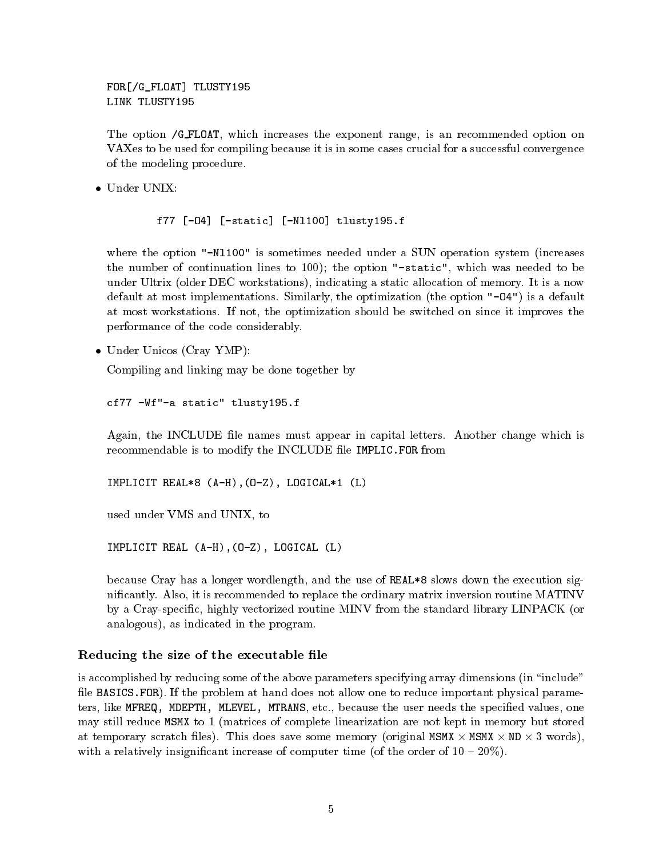For Forms the form of the second contract of the second contract of the second contract of the second contract

The option /G\_FLOAT, which increases the exponent range, is an recommended option on VAXes to be used for compiling because it is in some cases crucial for a successful convergence of the modeling procedure

in the static number of the static number of the static number of the static number of the static number of the

where the option Nl- is sometimes needed under a SUN operation system in the substitution system in the substitution system in the substitution of the substitution system in the substitution system in the substitution syst the number of continuation lines to  $100$ ); the option "-static", which was needed to be  $\mathbf{u}$ default at most implementations Similarly the optimization the option O
 is a default at most workstations If not the optimization should be switched on since it improves the performance of the code considerably

• Under Unicos (Cray YMP):

Compiling and linking may be done together by

the contract of the contract of the contract of the contract of the contract of the contract of the contract of

again the INCLUDE least must appear in capital letters in contracts the change which is recommendable is to modify the INCLUDE file IMPLIC. FOR from

---- --- -------- - (-- --) , (- -) , ------ - (-)

used under VMS and UNIX, to

IMPLICIT REAL (A-H), (0-Z), LOGICAL (L)

because Cray has a longer wordlength, and the use of REAL \*8 slows down the execution signical theory also it is recommended to replace the ordinary matrix in the ordinary matrix in the ordinary of  $\sim$ by a Cray-specific, highly vectorized routine MINV from the standard library LINPACK (or analogous), as indicated in the program.

## Reducing the size of the executable file

is accomplished by reducing some of the above parameters specifying array dimensions (in "include" le BASICSFOR If the problem at hand does not allow one to reduce important physical parame ters like MFREQ MDEPTH MLEVEL MTRANS etc because the user needs the specied values one may still reduce MSMX to 1 (matrices of complete linearization are not kept in memory but stored at temporary stratch memory, a memory strategies are memory pracyments from the some construction of  $\mathcal{P}$ with a relatively insignificant increase of computer time (of the order of  $10 - 20\%$ ).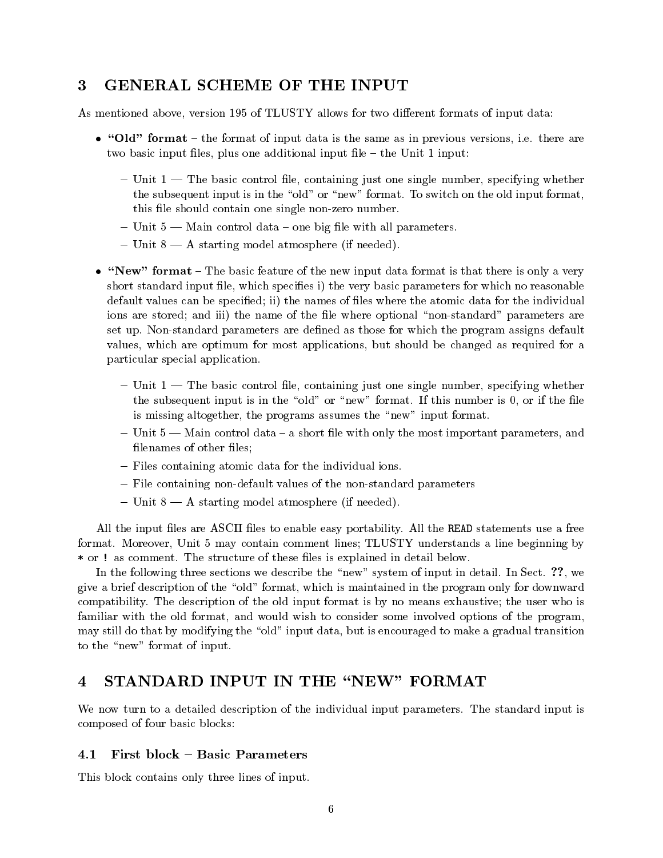# 3

As mentioned above version - of TLUSTY allows for two dierent formats of input data

- Old- format the format of input data is the same as in previous versions i e there are two basic input files, plus one additional input file  $-$  the Unit 1 input:
	- $-$  Unit 1  $-$  The basic control file, containing just one single number, specifying whether the subsequent input is in the old or new format is in the old or new format format format format format format this file should contain one single non-zero number.
	- Unit  $5$  Main control data one big file with all parameters.
	- $-$  Unit  $8 A$  starting model atmosphere (if needed).
- . The formation of the basic feature of the second property is the new interest in the second is only and the  $\mu$ short standard input file, which specifies i) the very basic parameters for which no reasonable default values can be specified; ii) the names of files where the atomic data for the individual ions are stored; and iii) the name of the file where optional "non-standard" parameters are set up Nonstandard parameters are dened as those for which the program assigns default values, which are optimum for most applications, but should be changed as required for a particular special application
	- $-$  Unit 1  $-$  The basic control file, containing just one single number, specifying whether . It is in the subsequent in the original  $\mathcal{L}$  is in the left or  $\mathcal{L}$  and  $\mathcal{L}$  if the left or if the left or if the left or  $\mathcal{L}$ is missing altogether, the programs assumes the "new" input format.
	- $-$  Unit  $5$  Main control data  $-$  a short file with only the most important parameters, and filenames of other files;
	- Files containing atomic data for the individual ions.
	- File containing non-default values of the non-standard parameters
	- $-$  Unit  $8 A$  starting model atmosphere (if needed).

all the stap in the first case are as in the READ statements used the READ statements used in the READ statement format Moreover Unit may contain comment lines TLUSTY understands a line beginning by or the structure of the structure of the structure of the structure of the structure of the structure of the s

In the following three sections we describe the new system of input in detail In Sect we give a brief description of the "old" format, which is maintained in the program only for downward compatibility, which description of the old input format is a product format is description that who is an familiar with the old format, and would wish to consider some involved options of the program, may still do that by modifying the "old" input data, but is encouraged to make a gradual transition to the "new" format of input.

# $\overline{\mathbf{4}}$

We now turn to a detailed description of the individual input parameters The standard input is composed of four basic blocks

# 4.1 First block - Basic Parameters

This block contains only three lines of input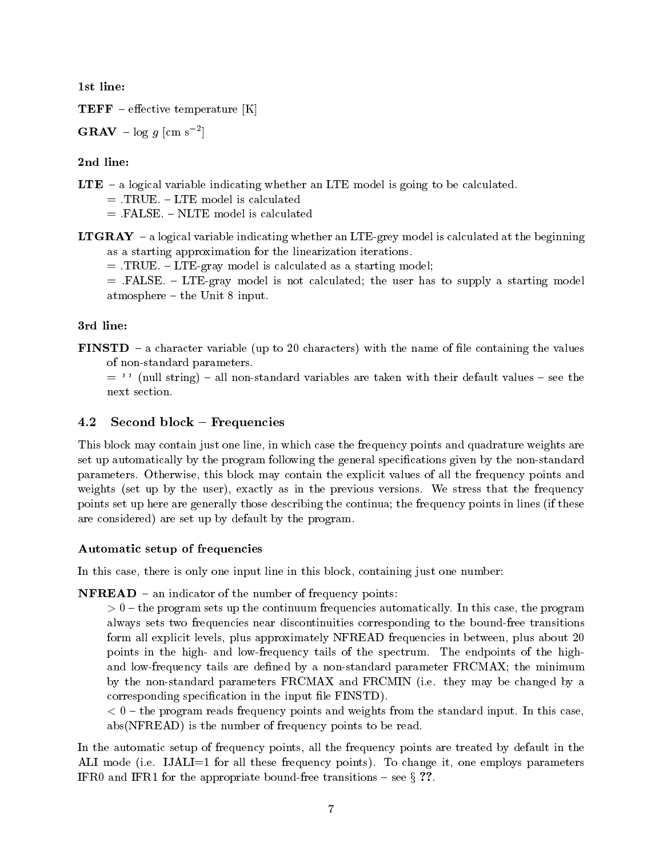**TEFF** – effective temperature  $[K]$ 

GRAV –  $\log q$  [cm s<sup>-2</sup>] the contract of the contract of the contract of the contract of the contract of the contract of the contract of

# 2nd line:

- LTE  $-$  a logical variable indicating whether an LTE model is going to be calculated.
	-
	-
- **LTGRAY** a logical variable indicating whether an LTE-grey model is calculated at the beginning as a starting approximation for the linearization iterations

TRUE LTEgray model is calculated as a starting model

FALSE IS NOTE A LTEGRATING IS NOT CALCULATED TO SUPPLY A LTEGRATING MODEL IS NOT CALCULATED TO SUPPLY A LTEGRATING MODEL IS NOT CALCULATED TO A LTEGRAL MODEL IS NOT CALCULATED TO A LTEGRAL MODEL IS NOT CALCULATED TO A LTE atmosphere  $-$  the Unit 8 input.

# 3rd line:

**FINSTD** – a character variable (up to 20 characters) with the name of file containing the values of non-standard parameters.

 $\cdots$  (null string) – all non-standard variables are taken with their default values – see the next section.

# 4.2 Second block – Frequencies

This block may contain just one line, in which case the frequency points and quadrature weights are set up automatically by the program following the general specifications given by the non-standard parameters Otherwise this block may contain the explicit values of all the frequency points and weights the user  $\alpha$  in the  $\beta$  in the contractions of the frequency versions that the frequency  $\alpha$ points set up here are generally those describing the continua; the frequency points in lines (if these are considered) are set up by default by the program.

# Automatic setup of frequencies

In this case, there is only one input line in this block, containing just one number:

 $NFREAD - an indicator of the number of frequency points:$ 

the program sets up the communication frequencies automatically in the control this case the program always sets two frequencies near discontinuities corresponding to the bound-free transitions form all explicit levels, plus approximately NFREAD frequencies in between, plus about 20 points in the ingle and low frequency tails of the spectrum and the spectrum in the ingle and low-frequency tails are defined by a non-standard parameter FRCMAX; the minimum by the nonstandard parameters FRCMAX and FRCMIN i e they may be changed by a corresponding specification in the input file FINSTD).

the program reads from the standard points and weights from the standard input  $\mathbf{r}$ abs(NFREAD) is the number of frequency points to be read.

In the automatic setup of frequency points all the frequency points are treated by default in the ALI mode i e IJALI for all these frequency points To change it one employs parameters IFRO and IFR1 for the appropriate bound-free transitions  $-$  see  $\S$  ??.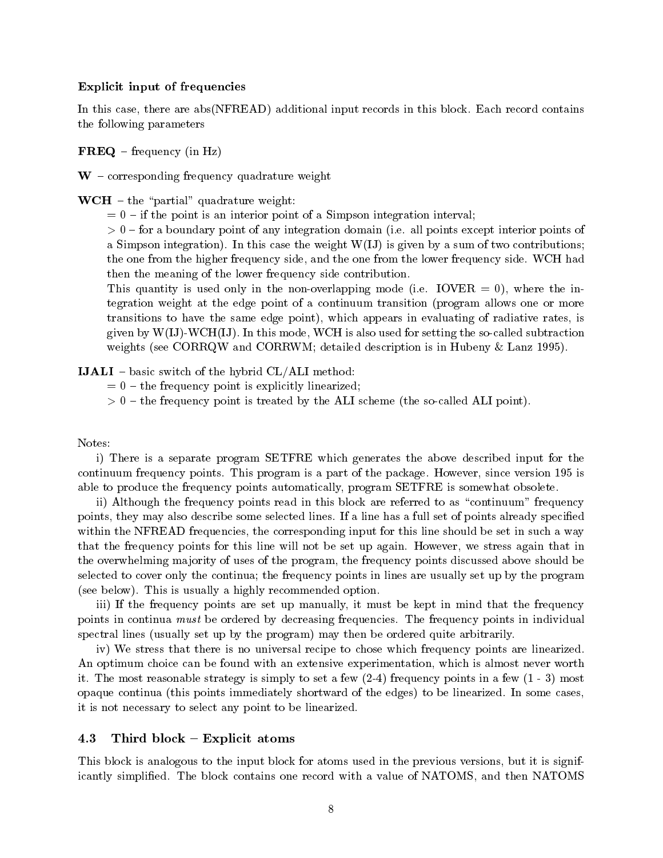## Explicit input of frequencies

addition this case that we are additional contained in this block contains in this block contains the contains the following parameters

 $\mathbf{FREQ}$  – frequency (in Hz)

 $W$  – corresponding frequency quadrature weight

 $\mathbf{WCH}$  – the "partial" quadrature weight:

 $= 0$  – if the point is an interior point of a Simpson integration interval;

 for a boundary point of any integration domain i e all points except interior points of a Simpson integration in the weight Williams and two contributions of two contributions of two contributions of the one from the higher frequency side and the one from the lower frequency side WCH had then the meaning of the lower frequency side contribution

the generative is used only in the internal property model in the internal contract  $\mathbf{r}$ tegration weight at the edge point of a continuum transition (program allows one or more transitions to have the same edge point), which appears in evaluating of radiative rates, is  $\alpha$  is a distribution of the MCH is also used for setting the society the society three societies is also used the society of  $\alpha$ weights see Corresponding to the Corresponding of the Corresponding of the Corresponding of the Corresponding o

**IJALI** – basic switch of the hybrid  $CL/ALLI$  method:

- $t=0$  the frequency point is explicitly linearized;
- the frequency point is treated by the ALI scheme the socalled ALI point

### Notes:

i There is a separate program SETFRE which generates the above described input for the continuum frequency promises and program is a package of the package and the part of the part of the package of able to produce the frequency points automatically, program SETFRE is somewhat obsolete.

ii) Although the frequency points read in this block are referred to as "continuum" frequency points they may also describe some selected lines If a line has a full set of points already specied within the NFREAD frequencies, the corresponding input for this line should be set in such a way that the frequency points for this line will not be set up again However we stress again that in the overwhelming ma jority of uses of the program the frequency points discussed above should be selected to cover only the continua; the frequency points in lines are usually set up by the program see below is a highly recommended option of  $\mathbb{R}^n$ 

iii) If the frequency points are set up manually, it must be kept in mind that the frequency points in continua must be ordered by decreasing frequencies The frequency points in individual spectral lines (usually set up by the program) may then be ordered quite arbitrarily.

iv We stress that there is no universal recipe to chose which frequency points are linearized An optimum choice can be found with an extensive experimentation, which is almost never worth it first most reason is simply in the property to set a few property points in a few property. It is a few pro opaque continua this points immediately shortward of the edges
 to be linearized In some cases it is not necessary to select any point to be linearized

## 4.3 Third block  $-$  Explicit atoms

This block is analogous to the input block for atoms used in the previous versions, but it is significantly simplied The block contains one record with a value of NATOMS and then NATOMS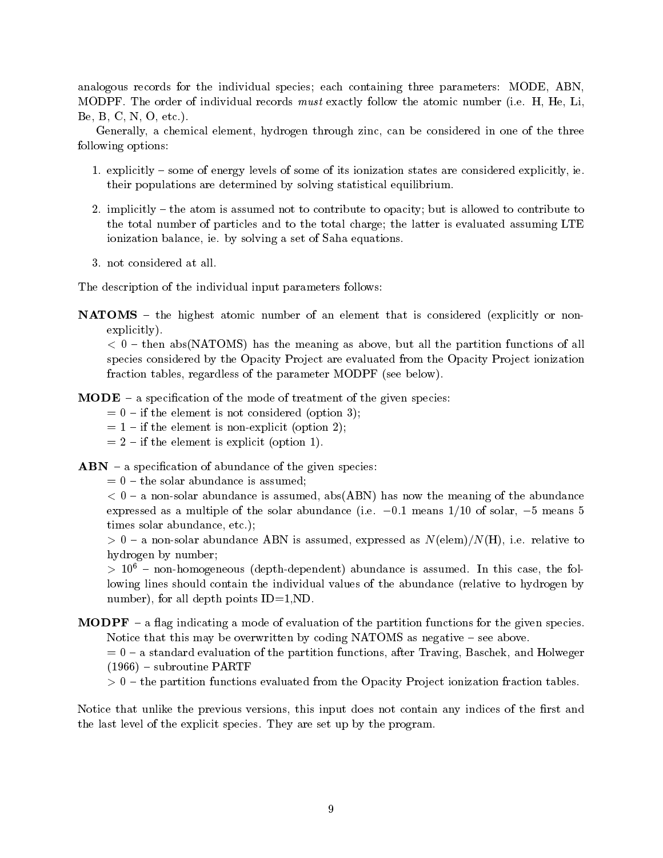analogous records for the individual species; each containing three parameters: MODE, ABN, MODPF The order of individual records must exactly follow the atomic number i e H He Li Be B C N O etc

Generally, a chemical element, hydrogen through zinc, can be considered in one of the three following options

- explicitly assumed in the some of its ionization states are considered explicitly in the considered explicitly is in the constant of its intervals of intervals of its intervals of its intervals of its intervals of its int their populations are determined by solving statistical equilibrium
- implicitly the atom is assumed not to contribute to opacity but is allowed to contribute to the total number of particles and to the total charge; the latter is evaluated assuming LTE ionization balance ie by solving a set of Saha equations
- 

The description of the individual input parameters follows

**NATOMS** – the highest atomic number of an element that is considered (explicitly or nonexplicitly).

the contract and parties as above but as above but all the meaning as above but all the partitions of all the p species considered by the Opacity Project are evaluated from the Opacity Project ionization fraction tables, regardless of the parameter MODPF (see below).

- **a specification of the mode of treatment of the given species:** 
	- $= 0$  if the element is not considered (option 3);
	- $= 1 if the element is non-explicit (option 2);$
	- $= 2 if the element is explicit (option 1).$

 $ABN - a$  specification of abundance of the given species:

 $t=0$  – the solar abundance is assumed;

a non-solar abundance is assumed abundance is assumed above the meaning of the meaning of the meaning of the abundance expressed as a multiple of the solar abundance i e - - means of solar - means times solar abundance etc. The solar abundance etc. The solar abundance etc. The solar abundance etc. The solar abundance etc. The solar abundance etc. The solar abundance etc. The solar abundance etc. The solar abundance

a non-solar abundance ABN is assumed as the complete assumed as Nelson (1999) is a straight and a straight and hydrogen by number

 $>$  10  $^\circ$  – non-nomogeneous (depth-dependent) abundance is assumed. In this case, the following lines should contain the individual values of the abundance (relative to hydrogen by number), for all depth points  $ID=1, ND$ .

**MODPF** – a flag indicating a mode of evaluation of the partition functions for the given species. Notice that this may be overwritten by coding  $NATOMS$  as negative  $-$  see above.

 $= 0 - a$  standard evaluation of the partition functions, after Traving, Baschek, and Holweger  $\mathbf{r}$  -subset of  $\mathbf{r}$  -subset of  $\mathbf{r}$  -subset of  $\mathbf{r}$  -subset of  $\mathbf{r}$ 

 $t \sim 0$  , the partition function function the Opacity Provision from  $\sim 0$  to  $\sim 0.00$  from  $\sim 0.00$ 

Notice that unlike the previous versions, this input does not contain any indices of the first and the last level of the explicit species of the species species are set up the programme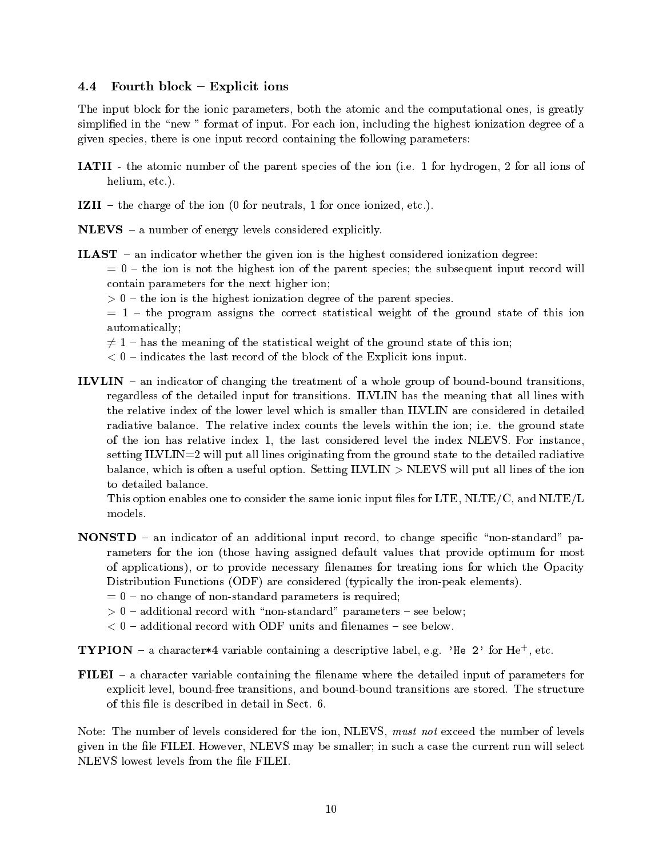# 4.4 Fourth block  $-$  Explicit ions

The input block for the ionic parameters, both the atomic and the computational ones, is greatly simplicities in the new formation in imputer is the formation of any including the highest ionization of any i given species there is one input record containing the following parameters

- IATII the atomic number of the parent species of the ion i e for hydrogen for all ions of helium etc
- IZI the charge of the ionization of the ionization  $\mathbf{f}$
- $NLEVS a$  number of energy levels considered explicitly.
- **ILAST** an indicator whether the given ion is the highest considered ionization degree:

 $t=0$  – the ion is not the highest ion of the parent species; the subsequent input record will contain parameters for the next higher ion

 $t \sim 0$  is the form in the impliest ionization dependence of the parent species.

 $t = 1$  – the program assigns the correct statistical weight of the ground state of this ion automatically

 $\neq$  1 – has the meaning of the statistical weight of the ground state of this ion;

- indicates the last record of the block of the Explicit ions input
- ILVLIN  $-$  an indicator of changing the treatment of a whole group of bound-bound transitions, regardless of the detailed input for transitions ILVLIN has the meaning that all lines with the relative index of the lower level which is smaller than ILVLIN are considered in detailed radiative balance The relative index counts the levels within the ion i e the ground state of the ion has relative index the last considered level the index NLEVS For instance setting  $ILVLIN = 2$  will put all lines originating from the ground state to the detailed radiative balance which is often a useful option in will be in the index of the ion of the ion is often all lines of the to detailed balance

This option enables one to consider the same ionic input files for LTE, NLTE/C, and NLTE/L models

- **NONSTD** an indicator of an additional input record, to change specific "non-standard" parameters for the ion (those having assigned default values that provide optimum for most of applications), or to provide necessary filenames for treating ions for which the Opacity Distribution Functions (ODF) are considered (typically the iron-peak elements).
	- $n = 0$  no change of non-standard parameters is required;
	- additional records with a record with non-terminal parameters in the seedies of the seedies of the seedies of the seedies of the seedies of the seedies of the seedies of the seedies of the seedies of the seedies of the see
	- additional records with ODF units and length and length and length  $\alpha$
- **I** I PION  $-$  a character  $*$ 4 variable containing a descriptive label, e.g.  $\gamma$  he  $\gamma$  for He-
- FILEI  $-$  a character variable containing the filename where the detailed input of parameters for explicit level boundfree transitions and boundbound transitions are stored The structure

Note: The number of levels considered for the ion, NLEVS, must not exceed the number of levels , we see the left is the such a case the left  $\mathcal{L}$  is such a case the current run will select the current run will select NLEVS lowest levels from the file FILEI.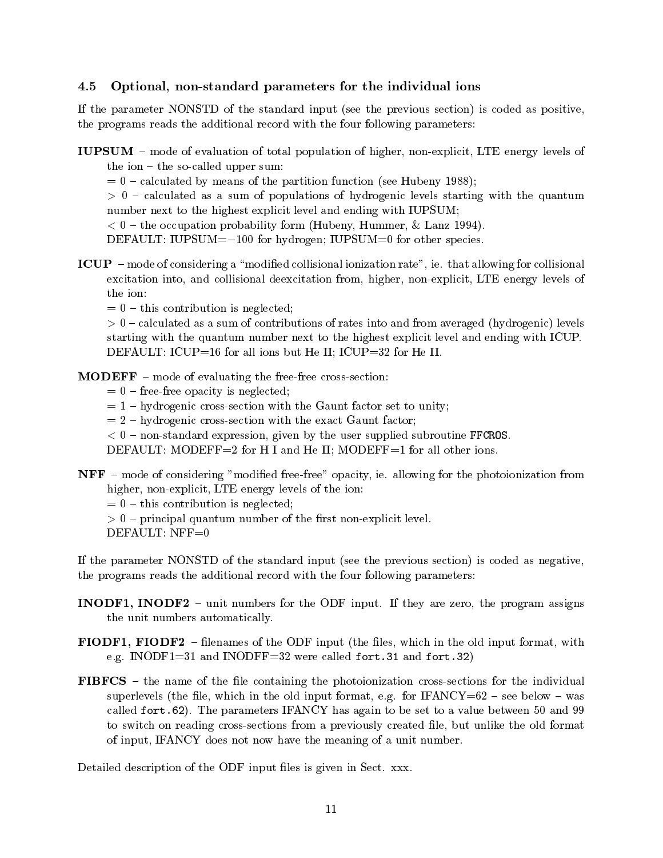# optional parameters for the individual ions for the individual ions in the ions of the ions of the ions of the

If the parameter NONSTD of the standard input (see the previous section) is coded as positive, the programs reads the additional record with the four following parameters

IUPSUM – mode of evaluation of total population of higher, non-explicit. LTE energy levels of the ion  $-$  the so-called upper sum:

calculated by means of the partition function function function  $\mathcal{C}$ 

calculated as a sum of the sum of populations of hydrogenic levels starting with the quantum  $\sim$ number next to the highest explicit level and ending with IUPSUM

the occupation probability for the occupation of  $\mathcal{A}$  is the commutation of the commutation of  $\mathcal{A}$ 

DEFAULT IUPSUM- for hydrogen IUPSUM for other species

ICUP mode of considering a modied collisional ionization rate ie that allowing for collisional excitation into, and collisional deexcitation from, higher, non-explicit, LTE energy levels of

 $t=0$  – this contribution is neglected;

calculated as a sum of the sum of rates into and from and from and from averaged  $\{m\}$  , and  $\{m\}$  , and for starting with the quantum number next to the highest explicit level and ending with ICUP DEFAULT: ICUP=16 for all ions but He II; ICUP=32 for He II.

 **– mode of evaluating the free-free cross-section:** 

- $= 0$  free-free opacity is neglected;
- $= 1$  hydrogenic cross-section with the Gaunt factor set to unity;
- $= 2 h$ ydrogenic cross-section with the exact Gaunt factor;
- nonstandard expression given by the user supplied substandance  $\sim$

DEFAULT: MODEFF=2 for H I and He II; MODEFF=1 for all other ions.

NFF mode of considering modied freefree opacity ie allowing for the photoionization from higher, non-explicit, LTE energy levels of the ion:

 $t=0$  – this contribution is neglected;

 principal quantum number of the rst nonexplicit level

DEFAULT:  $NFF=0$ 

If the parameter NONSTD of the standard input (see the previous section) is coded as negative, the programs reads the additional record with the four following parameters

- INODF INODF unit numbers for the ODF input If they are zero the program assigns the unit numbers automatically
- **FIODF1, FIODF2** filenames of the ODF input (the files, which in the old input format, with e g INODF and INODFF were called fort- and fort
- **FIBFCS** the name of the file containing the photoionization cross-sections for the individual superlevels the le which in the old input format e g for IFANCY see below was called forthcomes IFANCY has a value between  $\mathbf{F}_{\mathbf{A}}$ to switch on reading cross-sections from a previously created file, but unlike the old format of input, IFANCY does not now have the meaning of a unit number.

Detailed description of the ODF input les is given in Sect xxx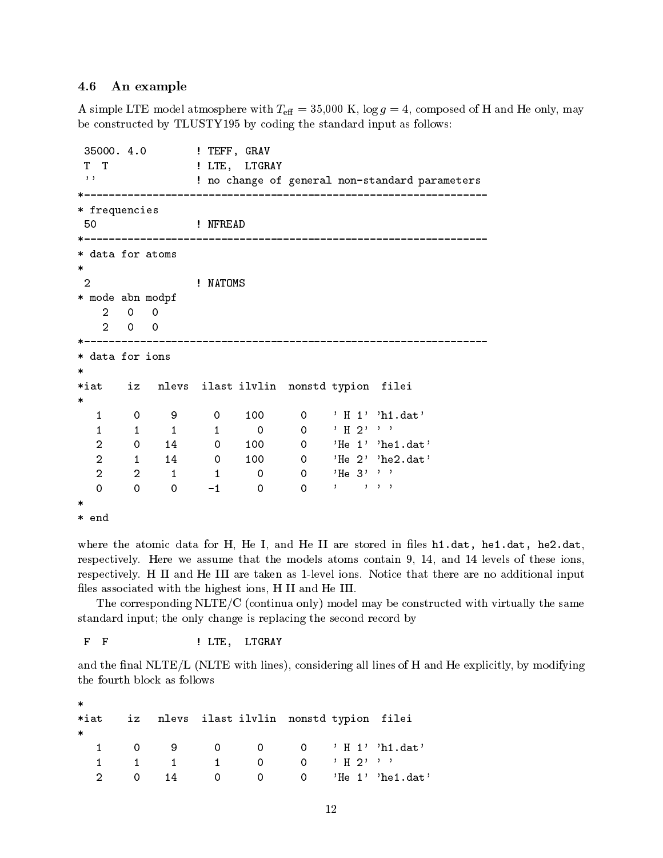## 4.6 An example

A simple LTE model atmosphere with  $T_{\text{eff}} = 35{,}000 \text{ K}$ ,  $\log g = 4$ , composed of H and He only, may be constructed by TLUSTY- by coding the standard input as follows

35000. 4.0 ! TEFF, GRAV  $\mathbf{T}$ T  $!$  LTE, LTGRAY  $, ,$ ! no change of general non-standard parameters frequencies 50 Physical Materials of the MFREAD  $* -$  data for atoms 2 MATOMS 9 mode abn modpf 0 0 0 0 \_\_\_\_\_\_\_\_\_\_\_\_\_\_\_\_\_\_\_\_\_\_\_\_\_ data for ions  $\ast$  $\ast$ iat iz nlevs ilast ilvlin nonstd typion filei  $\ast$  $\mathbf{1}$  $\Omega$  $\mathbf{1}$  $\,$  1  $0 \t 0 \t H 2'$  $\mathbf{1}$  $\mathbf{1}$  $2 \t 0 \t 14$  $0 \t 100$  $2 \qquad \qquad 1$ 14  $0 \t 100$ 0  $'He$   $2'$  'he2.dat' 0 0  $'He$  3'''  $\mathbf{1}$  $\mathbf{z}$  $2 \times 2 \times 2$  $\ast$ \* end

where the atomic data for H He I and He I are stored in less health in less health in less holds in less holds respectively Here we assume that the models atoms contain - and levels of these ions respectively H II and He III are taken aslevel ions Notice that there are no additional input files associated with the highest ions, H II and He III.

The corresponding  $\text{NLTE}/\text{C}$  (continua only) model may be constructed with virtually the same standard input; the only change is replacing the second record by

F F SALL PLACE SERVICES PLACES SERVICES SERVICES AND LITTLE TO A LITTLE AT A LITTLE AT A LITTLE ASSESSMENT AND A LITTLE ASSESSMENT AND A LITTLE AND A LITTLE AND A LITTLE AND A LITTLE AND A LITTLE AND A LITTLE AND A LITTLE  $\mathbf F$ 

and the final  $NLTE/L$  (NLTE with lines), considering all lines of H and He explicitly, by modifying the fourth block as follows

| $\ast$  |    |                |  |                                           |  |
|---------|----|----------------|--|-------------------------------------------|--|
| $*$ iat |    |                |  | iz nlevs ilast ilvlin nonstd typion filei |  |
| $\ast$  |    |                |  |                                           |  |
|         |    |                |  |                                           |  |
|         |    |                |  | $1 \t 1 \t 0 \t 0 \t 1$                   |  |
|         | 14 | $\overline{0}$ |  |                                           |  |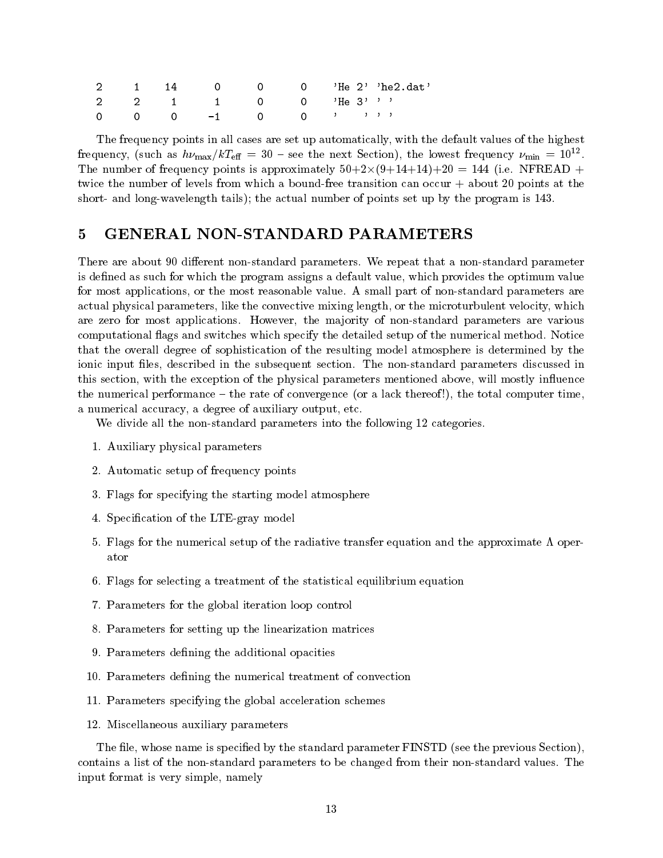|  |                        |  |  | 2 1 14 0 0 0 'He 2' 'he 2 dat' |
|--|------------------------|--|--|--------------------------------|
|  | 2 2 1 1 0 0 $'He$ 3''' |  |  |                                |
|  |                        |  |  |                                |

The frequency points in all cases are set up automatically, with the default values of the highest If equency, (such as  $n\nu_{\text{max}}/\kappa\Gamma_{\text{eff}} = 30$  – see the next Section), the lowest frequency  $\nu_{\text{min}} = 10^{-7}$ . The number of frequency points is approximately formulately  $\mathcal{A}$  . The number of  $\mathcal{A}$  is a point of  $\mathcal{A}$ twice the number of levels from which a bound-free transition can occur  $+$  about 20 points at the short- and long-wavelength tails); the actual number of points set up by the program is 143.

#### **GENERAL NON-STANDARD PARAMETERS**  $\overline{5}$

there are about the about the state allows when the state that a non-terminative parameters is a nonis defined as such for which the program assigns a default value, which provides the optimum value for most applications or the most reasonable value A small part of nonstandard parameters are actual physical parameters, like the convective mixing length, or the microturbulent velocity, which are zero for most applications However the ma jority of nonstandard parameters are various computational ags and switches which specify the detailed setup of the numerical method Notice that the overall degree of sophistication of the resulting model atmosphere is determined by the ionic input les described in the subsequent section The nonstandard parameters discussed in this section, with the exception of the physical parameters mentioned above, will mostly influence the numerical performance  $-$  the rate of convergence (or a lack thereof!), the total computer time. a numerical accuracy, a degree of auxiliary output, etc.

We divide all the non-standard parameters into the following 12 categories.

- Auxiliary physical parameters
- Automatic setup of frequency points
- Flags for specifying the starting model atmosphere
- Special Special model is the LTEGRAY model of the LTEGRAY model in the LTEGRAY model in the LTEGRAY model in the LTEGRAY model in the LTEGRAY model in the LTEGRAY model in the LTEGRAY model in the LTEGRAY model in the LTEG
- Flags for the numerical setup of the radiative transfer equation and the approximate " oper ator
- Flags for selecting a treatment of the statistical equilibrium equation
- Parameters for the global iteration loop control
- Parameters for setting up the linearization matrices
- Parameters dening the additional opacities
- Parameters dening the numerical treatment of convection
- Parameters specifying the global acceleration schemes
- miscellaneous auxiliary parameters and parameters are all the contract of the contract of the contract of the contract of the contract of the contract of the contract of the contract of the contract of the contract of the

The file, whose name is specified by the standard parameter FINSTD (see the previous Section). contains a list of the nonstandard parameters to be changed from their nonstandard values The input format is very simple, namely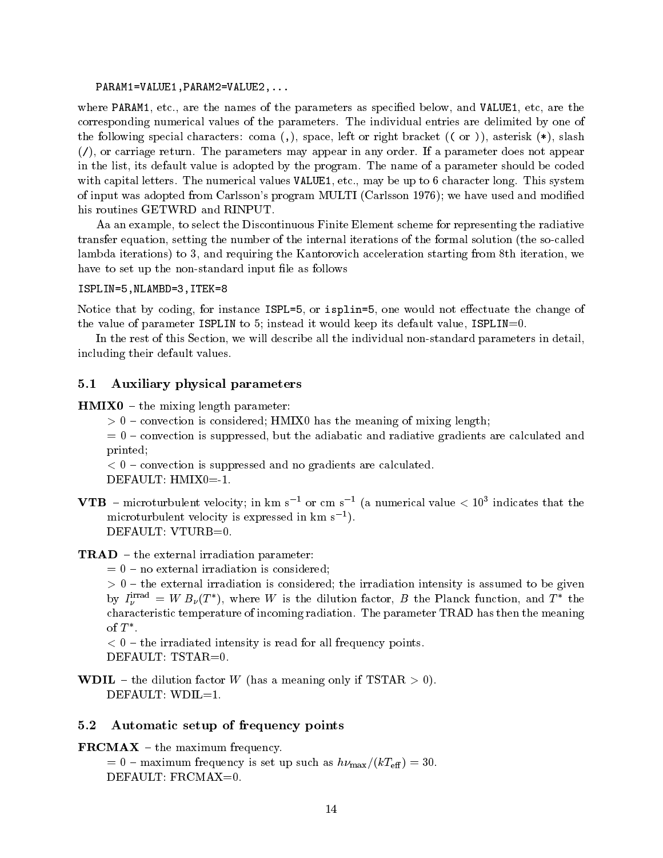PARAM-VALUE-PARAMVALUE

where PARAM-PARAM-PARAM-PARAM-PARAM-PARAM-PARAM-PARAM-PARAM-PARAM-PARAM-PARAM-PARAM-PARAM-PARAM-PARAM-PARAM-PAR corresponding numerical values of the individual entries are delimited by one of the corresponding  $\sim$ the following special characters: coma  $($ ,  $)$ , space, left or right bracket  $($  ( $\sigma$ ) $)$ , asterisk  $(*)$ , slash or carriage returns may parameters may appear in any order or parameters are not any order in the list its default value is adopted by the program The name of a parameter should be coded  $\ldots$  . The numerical values  $\ldots$  and  $\ldots$  and  $\ldots$  and  $\ldots$  and  $\ldots$  are  $\ldots$  . This system is a set of  $\ldots$ of input was adopted from Carlssons program MULTI Carlsson - we have used and modied his routines GETWRD and RINPUT

Aa an example, to select the Discontinuous Finite Element scheme for representing the radiative transfer equation, setting the number of the internal iterations of the formal solution (the so-called lambda iterations) to 3, and requiring the Kantorovich acceleration starting from 8th iteration, we have to set up the non-standard input file as follows

## ISPLIN=5, NLAMBD=3, ITEK=8

Notice that by coding, for instance  $ISPL=5$ , or isplin=5, one would not effectuate the change of the value of parameter ISPLIN to 5; instead it would keep its default value,  $ISPLIN=0$ .

In the rest of this Section, we will describe all the individual non-standard parameters in detail, including their default values

#### $5.1$ Auxiliary physical parameters

 $HMIX0 - the mixing length parameter:$ 

 convection is considered HMIX has the meaning of mixing length

 $= 0$  – convection is suppressed, but the adiabatic and radiative gradients are calculated and printed

convection is suppressed and no gradients are calculated and no gradients are calculated and no gradients are c

DEFAULT:  $HMIX0=1$ .

 $\bf{v}$  **ide** – inicroturbulent velocity; in km s  $\bar{ }$  or cm s  $\bar{ }$  (a numerical value  $\lt$  10<sup>2</sup> indicates that the microturbulent velocity is expressed in km s DEFAULT: VTURB=0.

## $\mathbf{TRAD}$  – the external irradiation parameter:

 $n = 0$  – no external irradiation is considered;

 $t \sim 0$  , which is considered the internal the irradiation is assumed to the intensity is assumed to be given to be given by  $I_{\nu}^{1,...} = W B_{\nu}(I)$ , where W is the dilution factor, B the Planck function, and I the characteristic temperature of incomendation in complete the meaning radiation of the meaning of the meaning of of  $\bf{1}$ .

the irrational formulation interesting interesting and for all frequency points in DEFAULT:  $TSTAR=0$ .

**WDIL** – the dilution factor W (has a meaning only if  $TSTAR > 0$ ).  $DEFAULT: WDIL=1.$ 

#### 5.2 Automatic setup of frequency points

 $\mathbf{FRCMAX}$  – the maximum frequency.

 $= 0$  – maximum frequency is set up such as  $h\nu_{\text{max}}/(kT_{\text{eff}}) = 30$ . DEFAULT: FRCMAX=0.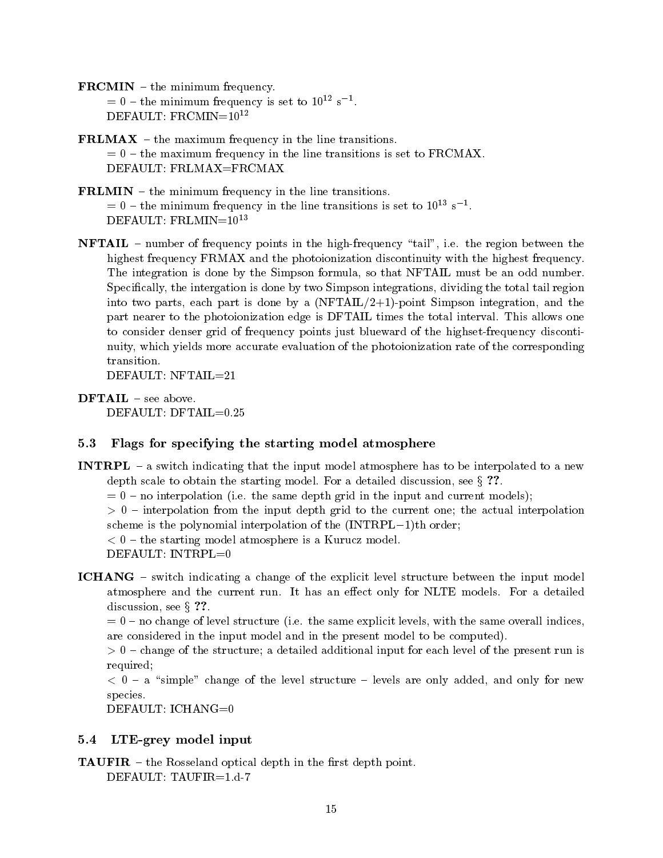$\mathbf{FRCMIN}$  – the minimum frequency.  $t = 0 - \text{the minimum frequency is set to } 10^{-7} \text{ s}^{-1}$ . DEFAULT:  $FRCMIN=10^{12}$ 

- **FRLMAX** the maximum frequency in the line transitions.  $t=0$  – the maximum frequency in the line transitions is set to FRCMAX. DEFAULT: FRLMAX=FRCMAX
- **FRLMIN**  $-$  the minimum frequency in the line transitions.  $t = 0 - t$  ine minimum frequency in the line transitions is set to  $10^{-1}$  s  $^{-1}$ . DEFAULT:  $FRLMIN=10^{13}$
- eve entered the region of points in the high-regions, the the region between the  $\sim$ highest frequency FRMAX and the photoionization discontinuity with the highest frequency. The integration is done by the Simpson formula, so that NFTAIL must be an odd number. Specifically, the intergation is done by two Simpson integrations, dividing the total tail region into two parts, each part is done by a  $(NFTAIL/2+1)$ -point Simpson integration, and the part neares to the photoionization edge is DFTAIL times the this interval intervals in the total interval to consider denser grid of frequency points just blueward of the highset-frequency discontinuity which yields more accurate evaluation of the photoionization rate of the corresponding

 $DFTAIL$  – see above.

#### $5.3$ Flags for specifying the starting model atmosphere

- INTRPL a switch indicating that the input model atmosphere has to be interpolated to a new depth scale to obtain the starting model For a detailed discussion see <sup>x</sup>
	- no interpretence in the index with the same can be in the index where the individual  $\mu$

 $\sim$   $\sim$  11100100101011 110111 depth and the actual interpolation to the current one the actual interpolation. station is the polynomial interpretation to the parameter  $-$  -polynomial  $\mathcal{L}$ 

the starting model at the starting model is a Kurucz model in a Kurucz model is a Kurucz model in a Kurucz mod

DEFAULT: INTRPL=0

ICHANG – switch indicating a change of the explicit level structure between the input model atmosphere and the current run It has an eect only for NLTE models For a detailed discussion, see  $\S$  ??.

. The same explicit levels with the same explicit levels with the same overall indices  $\alpha$ are considered in the input model and in the present model to be computed

change of the structure a detailed and interesting and interesting the present force of the present run is a s required

 a simple change of the level structure levels are only added and only for new species

DEFAULT: ICHANG=0

#### $5.4$  $\mathcal{L} = \mathcal{L} = \mathcal{L} = \mathcal{L} = \mathcal{L} = \mathcal{L} = \mathcal{L} = \mathcal{L} = \mathcal{L} = \mathcal{L} = \mathcal{L} = \mathcal{L} = \mathcal{L} = \mathcal{L} = \mathcal{L} = \mathcal{L} = \mathcal{L} = \mathcal{L} = \mathcal{L} = \mathcal{L} = \mathcal{L} = \mathcal{L} = \mathcal{L} = \mathcal{L} = \mathcal{L} = \mathcal{L} = \mathcal{L} = \mathcal{L} = \mathcal{L} = \mathcal{L} = \mathcal{L} = \mathcal$

**TAUFIR**  $-$  the Rosseland optical depth in the first depth point.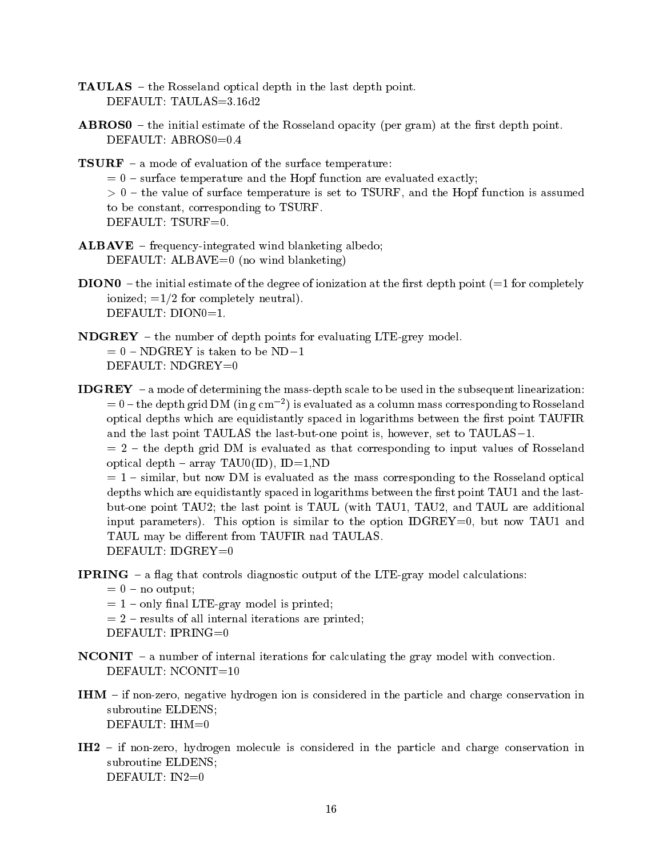- **TAULAS** the Rosseland optical depth in the last depth point.
- **ABROS0** the initial estimate of the Rosseland opacity (per gram) at the first depth point.

**TSURF** – a mode of evaluation of the surface temperature:

 $s = 0$  – surface temperature and the Hopf function are evaluated exactly;

 the value of surface temperature is set to TSURF and the Hopf function is assumed to be constant, corresponding to TSURF.

DEFAULT: TSURF=0.

- $ALBAVE$  frequency-integrated wind blanketing albedo; DEFAULT: ALBAVE= $0$  (no wind blanketing)
- $\bf{DION0}$  the initial estimate of the degree of ionization at the first depth point (=1 for completely ionized;  $=1/2$  for completely neutral). DEFAULT: DION0=1.
- **the number of depth points for evaluating LTE-grey model.**  $= 0$  – NDGREY is taken to be ND-1 DEFAULT: NDGREY=0
- **IDGREY**  $-$  a mode of determining the mass-depth scale to be used in the subsequent linearization:  $t = 0$  – the depth grid DIM (in g cm  $^{-1}$ ) is evaluated as a column mass corresponding to Rosseland optical depths which are equidistantly spaced in logarithms between the first point TAUFIR and the last point TAULAS- the last the last point is however set to TAULAS- to

 $t=2$  – the depth grid DM is evaluated as that corresponding to input values of Rosseland optical depth – array TAU0(ID), ID=1,ND

 $s = 1 - \sin \theta$ , but now DM is evaluated as the mass corresponding to the Rosseland optical depths which are equidistantly spaced in logarithms between the first point TAU1 and the lastbut-one point TAU2; the last point is TAUL (with TAU1, TAU2, and TAUL are additional input parameters, similar to the option is similar to the option is similar to the option IDGREY and the optio TAUL may be different from TAUFIR nad TAULAS.

**IPRING**  $-$  a flag that controls diagnostic output of the LTE-gray model calculations:

 $= 0$  – no output;

- $= 1$  only final LTE-gray model is printed;
- $r=2$  results of all internal iterations are printed;

```
DEFAULT: IPRING=0
```
- **NCONIT** a number of internal iterations for calculating the gray model with convection. DEFAULT:  $NCONIT=10$
- IHM if non-zero, negative hydrogen ion is considered in the particle and charge conservation in subroutine ELDENS DEFAULT:  $IHM=0$
- IH2 if non-zero, hydrogen molecule is considered in the particle and charge conservation in subroutine ELDENS DEFAULT:  $IN2=0$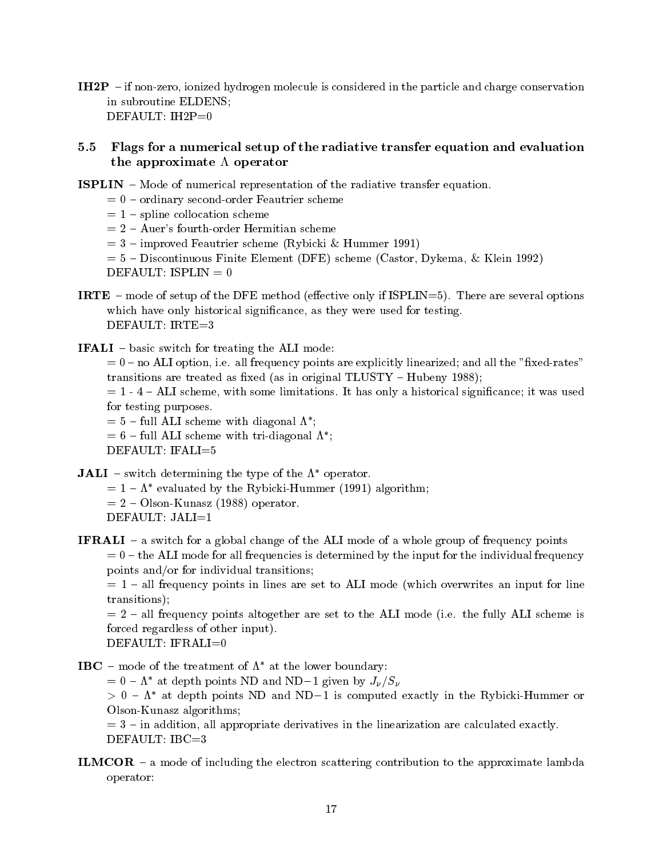IH2P - if non-zero, ionized hydrogen molecule is considered in the particle and charge conservation in subroutine ELDENS DEFAULT:  $IH2P=0$ 

# Flags for a numerical setup of the radiative transfer equation and evaluation the approximate  $\Lambda$  operator

- **ISPLIN** Mode of numerical representation of the radiative transfer equation.
	- $= 0$  ordinary second-order Feautrier scheme
	- $= 1$  spline collocation scheme
	- $= 2 Auer's fourth-order Hermitian scheme$
	- improved Feautriers scheme in the community of the second state  $\mathcal{L}_{\mathcal{A}}$
	- , and the element of the element  $\{m,n\}$  and  $\{m,n\}$  . The element of the element  $\{m,n\}$  $\overline{\phantom{a}}$ DEFAULT: ISPLIN  $= 0$
- IRTE mode of the DFE method eective only if  $\mathcal{I}$  if  $\mathcal{I}$  is a several options of the DFE method extensions of the DFE method extension of the DFE method extensions of the DFE method extensions of the DFE method e which have only historical significance, as they were used for testing. DEFAULT: IRTE=3
- **IFALI** basic switch for treating the ALI mode:

 no ALI option i e all frequency points are explicitly linearized and all the xedrates transitions are transitions are transitions are transitions are transitions of  $\mathbb{R}^n$ 

 ALI scheme with some limitations It has only a historical signicance it was used for testing purposes. for testing purposes

- $f = 5 \text{full All scheme with diagonal A}$
- $f = 6$  full ALI scheme with tri-diagonal  $\Lambda^*$ ;

DEFAULT: IFALI=5

**JALI** – switch determining the type of the  $\Lambda^*$  operator.

- $= 1 \Lambda$  evaluated by the Kybicki-Hummer (1991) algorithm;
- OlsonKunasz - operator

IFRALI – a switch for a global change of the ALI mode of a whole group of frequency points  $t=0$  – the ALI mode for all frequencies is determined by the input for the individual frequency points and/or for individual transitions;

 $= 1$  – all frequency points in lines are set to ALI mode (which overwrites an input for line transitions

all frequency points altogether are set to the ALI mode in the ALI scheme is the ALI model forced regardless of other input

DEFAULT: IFRALI=0

- IBC mode of the treatment of  $\Lambda^*$  at the lower boundary:
	- $= 0 \Lambda$  at depth points ND and ND-1 given by  $J_V / S_V$

 $>$  0  $\Lambda$  at depth points ND and ND-1 is computed exactly in the Rybicki-Hummer or Olson-Kunasz algorithms;

 $i=3$  – in addition, all appropriate derivatives in the linearization are calculated exactly.  $DEFAULT: IBC=3$ 

**ILMCOR** – a mode of including the electron scattering contribution to the approximate lambda operator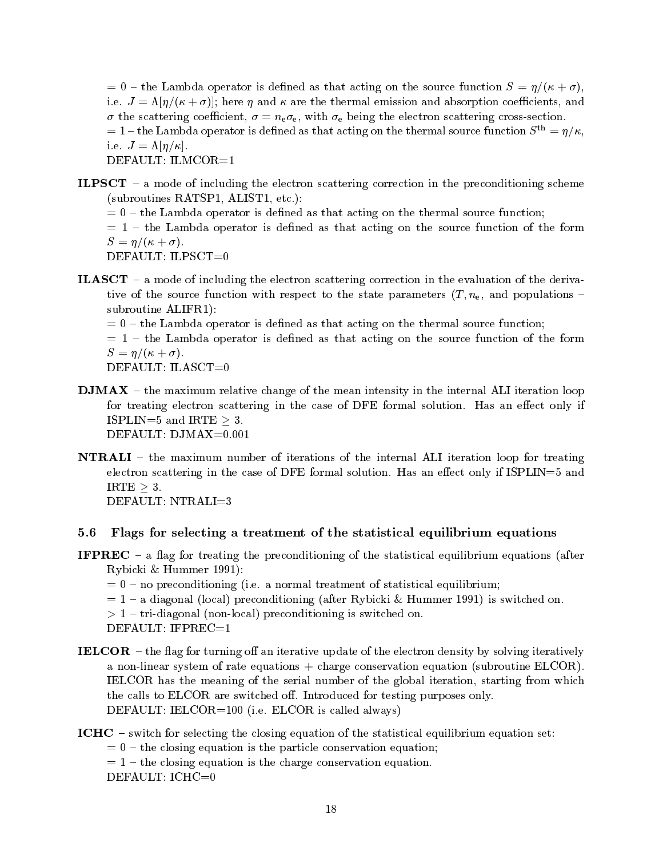$t=0$  – the Lambda operator is defined as that acting on the source function  $S=\eta/(\kappa+\sigma)$ , ever by the set of the second was the the three three contributions was absorption of the three completes and the three coefficients are the three coefficients and the three coefficients are the three coefficients are the the scattering coecient nee with e being the electron scattering crosssection  $t=1$  – the Lambda operator is defined as that acting on the thermal source function  $S^{\text{th}} = \eta/\kappa$ , i e <sup>J</sup> " DEFAULT: ILMCOR=1

- **ILPSCT** a mode of including the electron scattering correction in the preconditioning scheme subroutines RATSP ALIST etc. Alist etc. Alist etc. Alist etc. Alist etc. Alist etc. Alist etc. Alist etc. Alis
	- $t=0$  the Lambda operator is defined as that acting on the thermal source function;

 $t = 1$  – the Lambda operator is defined as that acting on the source function of the form S 

DEFAULT: ILPSCT=0

**ILASCT** – a mode of including the electron scattering correction in the evaluation of the derivative of the source function with respect to the state parameters  $(T, n_e)$ , and populations – subroutine ALIFR1):

 $t=0$  – the Lambda operator is defined as that acting on the thermal source function;

 $t = 1$  – the Lambda operator is defined as that acting on the source function of the form  $\sim$   $\sim$   $\sim$   $\sim$   $\sim$   $\sim$   $\sim$ 

DEFAULT: ILASCT=0

- $\rm \bf \rm \bf DMAX$  the maximum relative change of the mean intensity in the internal ALI iteration loop for treating electron scattering in the case of DFE formal solution Has an eect only if ISPLIN=5 and IRTE  $>$  3.
- NTRALI the maximum number of iterations of the internal ALI iteration loop for treating electron scattering in the case of DFE formal solution Has an eect only if ISPLIN and IRTE  $\geq 3$ . DEFAULT: NTRALI=3

#### 5.6 Flags for selecting a treatment of the statistical equilibrium equations

- **IFPREC** a flag for treating the preconditioning of the statistical equilibrium equations (after Rybicki Hummer --
	- no preconditioning i e a normal treatment of statistical equilibrium
	- $\mathbf{u}$  and  $\mathbf{u}$  is such a functioning after  $\mathbf{u}$  is switched on  $\mathbf{u}$

tridianal preconditioning is such that the condition of the condition of the condition of the condition of the

DEFAULT: IFPREC= $1$ 

- **IELCOR** the flag for turning off an iterative update of the electron density by solving iteratively a non-linear system of rate equations  $+$  charge conservation equation (subroutine ELCOR). IELCOR has the meaning of the serial number of the global iteration starting from which the calls to ELCOR are switched of the calls to ELCOR are switched only in the calls of testing purposes on  $\mathcal{A}$ DEFAULT IELCOR i e ELCOR is called always
- ICHC  $-$  switch for selecting the closing equation of the statistical equilibrium equation set:
	- $t=0$  the closing equation is the particle conservation equation;
	- $t=1$  the closing equation is the charge conservation equation.

DEFAULT: ICHC=0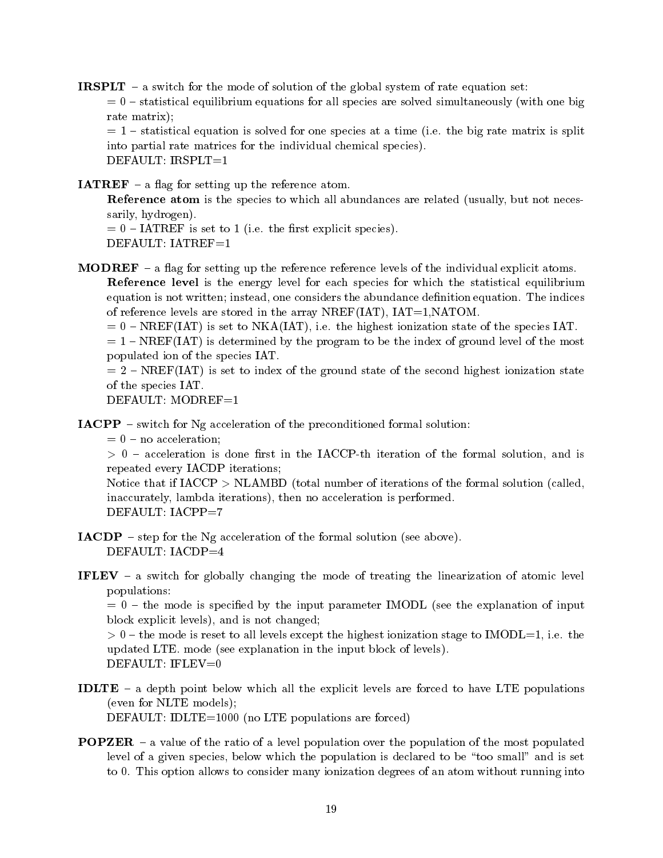**IRSPLT** – a switch for the mode of solution of the global system of rate equation set:

 $s = 0$  – statistical equilibrium equations for all species are solved simultaneously (with one big rate matrix);

statistical equations of the big rate one species at a time  $\frac{1}{2}$  for a time matrix is splitted for  $\frac{1}{2}$ into partial rate matrices for the individual chemical species DEFAULT:  $IRSPLT=1$ 

**IATREF** – a flag for setting up the reference atom.

**Reference atom** is the species to which all abundances are related (usually, but not necessarily, hydrogen).

 IATREF is set to i e the rst explicit species  $DEFALIIT: IATREF=1$ 

**MODREF**  $-$  a flag for setting up the reference reference levels of the individual explicit atoms. Reference level is the energy level for each species for which the statistical equilibrium equation is not written instead one considers the abundance denition equation The indices

of reference levels are stored in the array NREF(IAT),  $IAT=1, NATOM$ .

. In the set to a set the set the species in the set the set the species is the species in the species in the species

 $= 1 - NREF(IAT)$  is determined by the program to be the index of ground level of the most populated ion of the species IAT

 $= 2$  – NREF(IAT) is set to index of the ground state of the second highest ionization state of the species IAT

DEFAULT:  $MODREF=1$ 

**IACPP** – switch for  $Ng$  acceleration of the preconditioned formal solution:

 $= 0$  – no acceleration;

 acceleration isdone rst in the IACCPth iteration of the formal solution and is repeated every IACDP iterations

Notice that if  $IACCP > NLAMBD$  (total number of iterations of the formal solution (called, inaccurately, lambda iterations), then no acceleration is performed. DEFAULT: IACPP=7

 $IACDP$  – step for the Ng acceleration of the formal solution (see above).

DEFAULT:  $IACDP=4$ 

**IFLEV** – a switch for globally changing the mode of treating the linearization of atomic level populations

 $t = 0$  – the mode is specified by the input parameter IMODL (see the explanation of input block explicit levels), and is not changed;

 the mode is reset to all levels except the highest ionization stage to IMODL i e the up and a control and in the inspectation in the input block of levels.

- IDLTE a depth point below which all the explicit levels are forced to have LTE populations (even for NLTE models); DEFAULT: IDLTE=1000 (no LTE populations are forced)
- **POPZER** a value of the ratio of a level population over the population of the most populated level of a given species, below which the population is declared to be "too small" and is set to allow the constant matrix of considered manny ionization allows to an atom without running into the constant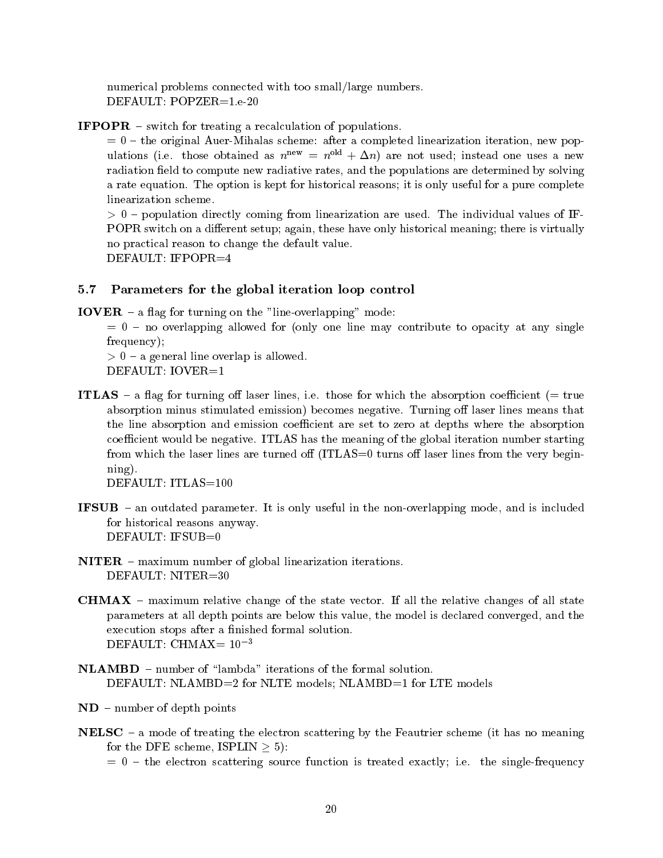numerical problems connected with too small/large numbers.

**IFPOPR** – switch for treating a recalculation of populations.

 $t=0$  – the original Auer-Mihalas scheme: after a completed linearization iteration, new populations (i.e. those obtained as  $n^{++} = n^{++} + \Delta n$ ) are not used; instead one uses a new radiation field to compute new radiative rates, and the populations are determined by solving a rate equation The option is kept for historical reasons it is only useful for a pure complete linearization scheme

 population directly coming from linearization are used The individual values of IF POPR switch on a different setup; again, these have only historical meaning; there is virtually no practical reason to change the default value DEFAULT: IFPOPR=4

## - Parameters for the global iteration loop control

**IOVER** – a flag for turning on the "line-overlapping" mode:

 $= 0$  – no overlapping allowed for (only one line may contribute to opacity at any single frequency);

a general line overlap is allowed and the overlap is a set of the set of the set of the set of the set of the DEFAULT: IOVER=1

it a and the coefficient of the absorption of the absorption coefficient in the coefficient of the coefficient absorption minus stimulated emission
 becomes negative Turning o laser lines means that the line absorption and emission coefficient are set to zero at depths where the absorption coecient would be negative to be negative the meaning of the global iteration number starting from which the laser lines are turned off  $(ITLAS=0$  turns off laser lines from the very begin $n$ ing).

DEFAULT: ITLAS=100

- If is in the non-vertex in the non-vertex mode and in the non-vertex mode and is included mode and is included  $\mu$ for historical reasons anyway DEFAULT:  $IFSUB=0$
- $NITER$  maximum number of global linearization iterations.
- characters in all the state changes of the state vectors of the state vectors of all states  $\sim$ parameters at all depth points are below this value, the model is declared converged, and the execution stops after a finished formal solution. DEFAULT: CHMAX=  $10^{-3}$
- $NLAMBD$  number of "lambda" iterations of the formal solution. DEFAULT: NLAMBD=2 for NLTE models; NLAMBD=1 for LTE models
- $ND$  number of depth points
- **NELSC** a mode of treating the electron scattering by the Feautrier scheme (it has no meaning for the DFE scheme,  $ISPLIN > 5$ :
	- the electron scattering source function is treated exactly in the singlet exactly in the singlet of  $\mu$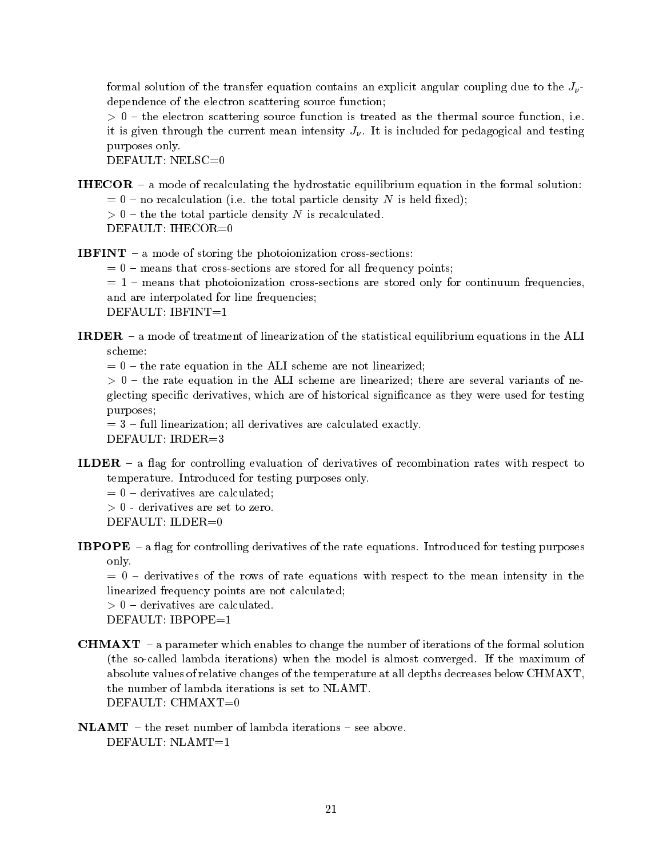formal solution of the transfer equation contains an explicit angular coupling due to the  $J_{\nu}$ dependence of the electron scattering source function

 the electron scattering source function is treated as the thermal source function i e it is given through the current means intensity  $\circ p$  is in measured for pedagogical and testing  $\alpha$ purposes only

DEFAULT: NELSC=0

**IHECOR** – a mode of recalculating the hydrostatic equilibrium equation in the formal solution: o the total culture is the total particle delivery in the metric metric  $\eta$ the the total particle density is recovered to the the DEFAULT: IHECOR= $0$ 

**IBFINT** – a mode of storing the photoionization cross-sections:

 $= 0$  – means that cross-sections are stored for all frequency points;

 $m = 1$  – means that photoionization cross-sections are stored only for continuum frequencies, and are interpolated for line frequencies DEFAULT:  $IBFINT=1$ 

**IRDER** – a mode of treatment of linearization of the statistical equilibrium equations in the ALI scheme

 $t=0$  – the rate equation in the ALI scheme are not linearized;

the rate equation in the ALI scheme are linear second the area in the several variants of necessarily of new s glecting specific derivatives, which are of historical significance as they were used for testing purposes

 $f(x) = 3$  – full linearization; all derivatives are calculated exactly. DEFAULT: IRDER=3

ILDER – a flag for controlling evaluation of derivatives of recombination rates with respect to temperature internal purposes on the form of the second purposes of the purposes of the purposes of the purposes of the purposes of the purposes of the purposes of the purposes of the purposes of the purposes of the purpos

 $= 0$  – derivatives are calculated;

 derivatives are set to zero

DEFAULT: ILDER=0

IBPO  $\mathbf{I}$ only

 $= 0$  – derivatives of the rows of rate equations with respect to the mean intensity in the linearized frequency points are not calculated

, o are calculated and calculated are  $\sim$ 

DEFAULT: IBPOPE=1

- **CHMAXT** a parameter which enables to change the number of iterations of the formal solution the societies in the model is almost converged in the model is almost convergence of the modelling of the maximum of absolute values of relative changes of the temperature at all depths decreases below CHMAXT the number of lambda iterations is set to NLAMT
- $NLAMT the reset number of lambda iterations see above.$ DEFAULT:  $NLAMT=1$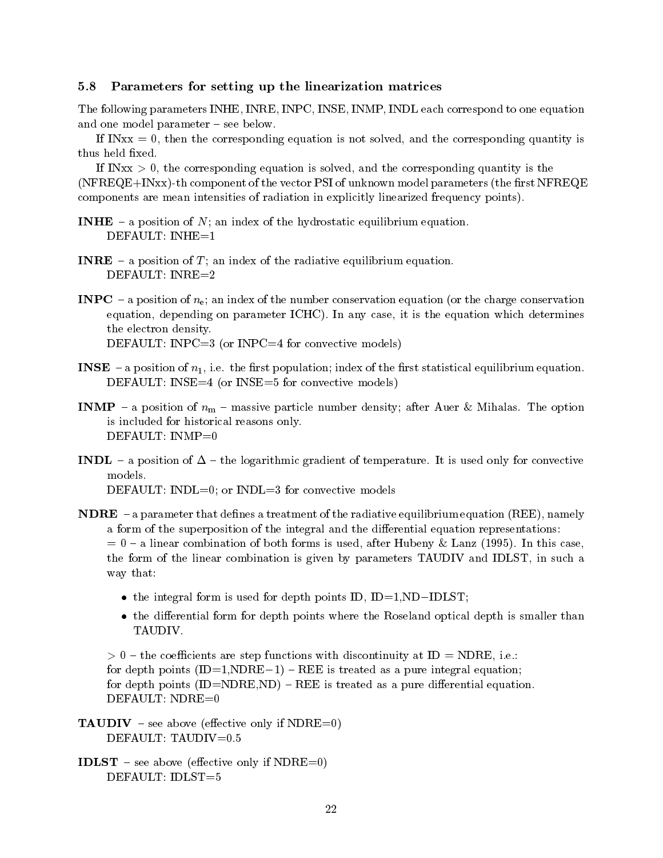## - Parameters for setting up the linearization matrices

The following parameters INHE, INRE, INPC, INSE, INMP, INDL each correspond to one equation and one model parameter  $-$  see below.

If INxx  $= 0$ , then the corresponding equation is not solved, and the corresponding quantity is thus held fixed.

If INxx  $> 0$ , the corresponding equation is solved, and the corresponding quantity is the  $(NFREQE+INxx)$ -th component of the vector PSI of unknown model parameters (the first  $NFREQE$ components are mean intensities of radiation in explicitly linearized frequency points

- **INHE** a position of N; an index of the hydrostatic equilibrium equation. DEFAULT:  $INHE=1$
- **INRE** a position of T; an index of the radiative equilibrium equation. DEFAULT: INRE=2
- **INPC** a position of  $n_e$ ; an index of the number conservation equation (or the charge conservation equations in a parameter parameters ICHC and the parameter it is the equation which determines the electron density DEFAULT: INPC $=3$  (or INPC $=4$  for convective models)

- en in aposition of the rst index of the rest statistical equation in the rest statistical equation in protocom DEFAULT: INSE $=4$  (or INSE $=5$  for convective models)
- in a position of new contracts particle in the option of the option  $\gamma$  after August 2019 and the option of the option is included for historical reasons only DEFAULT:  $INMP=0$
- INDL a position of  $\mathbf{M}$  is used only for convective of temperature of temperature only for convective only for convective only for convex  $\mathbf{M}$ models DEFAULT: INDL=0; or INDL=3 for convective models
- **NDRE** a parameter that defines a treatment of the radiative equilibrium equation (REE), namely a form of the superposition of the integral and the differential equation representations: a linear combination of both forms is used after Hubens is used after Hubens is used after Hubens in this case the form of the linear combination is given by parameters TAUDIV and IDLST in such a way that
	- the integral form is used for depth points ID IDND-IDLST
	- the differential form for depth points where the Roseland optical depth is smaller than TAUDIV

the coecients are step functions with discontinuity at ID 2012, and it is a step of the independent of  $\mathcal{L}$ for depth points IDNDRE- REE is treated as a pure integral equation for depth points  $(ID= NDRE, ND) - REE$  is treated as a pure differential equation. DEFAULT: NDRE=0

**TAUDIV** – see above (effective only if NDRE=0)

**IDLST** – see above (effective only if  $NDRE=0$ ) DEFAULT: IDLST=5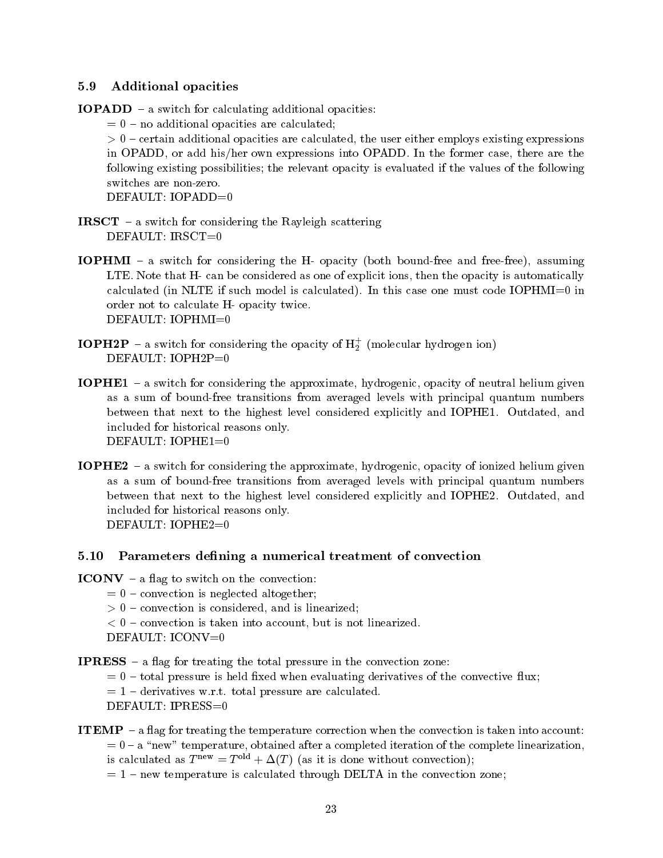# Additional opacities

 $IOPADD - a switch for calculating additional opacities:$ 

 $= 0$  – no additional opacities are calculated;

certain additional opacities are calculated the user existing the user existing existing expressions to the user of the user of the user of the user of the user of the user of the user of the user of the user of the user o in OPADD or add hisher own expressions into OPADD In the former case there are the following existing possibilities; the relevant opacity is evaluated if the values of the following switches are non-zero.

DEFAULT: IOPADD=0

- **IRSCT** a switch for considering the Rayleigh scattering DEFAULT: IRSCT=0
- **IOPHMI** a switch for considering the H- opacity (both bound-free and free-free), assuming LTE that that H can be considered as one of explicit ions the of explicit is an opacity in automatically and calculated in NLTE is calculated in this case  $\mu$  and this case one must code IOPHMI  $\mu$  is called order not to calculate H- opacity twice. DEFAULT: IOPHMI=0
- $\bf 10PH2P$  a switch for considering the opacity of  $\rm H_2^+$  (molecular hydrogen ion) DEFAULT:  $IOPH2P=0$
- **IOPHE1** a switch for considering the approximate, hydrogenic, opacity of neutral helium given as a sum of bound-free transitions from averaged levels with principal quantum numbers between that next to the highest level considered explicitly and IOPHE Outdated and included for historical reasons only DEFAULT: IOPHE1=0
- **IOPHE2** a switch for considering the approximate, hydrogenic, opacity of ionized helium given as a sum of bound-free transitions from averaged levels with principal quantum numbers between that next to the highest level considered explicitly and IOPHE Outdated and included for historical reasons only DEFAULT: IOPHE2=0

# - Parameters dening a numerical treatment of convection

- $ICONV a flag to switch on the convection:$ 
	- $= 0$  convection is neglected altogether;
	- convection is considered and is a linearized and is linear considered and is linear constant of the constant of
	- convective into a convex into account but is not linear into a contract of the second but is not linear contract of the second but is a contract of the second but is a contract of the second but is a contract of the second
	- DEFAULT: ICONV=0
- **IPRESS** a flag for treating the total pressure in the convection zone:
	- $t=0$  total pressure is held fixed when evaluating derivatives of the convective flux;
	- derivatives was total pressure are calculated with the calculated with the calculated with the calculated with
	- DEFAULT: IPRESS=0

# **ITEMP**  $-$  a flag for treating the temperature correction when the convection is taken into account:  $= 0 - a$  "new" temperature, obtained after a completed iteration of the complete linearization, is calculated as  $T^{\text{new}} = T^{\text{old}} + \Delta(T)$  (as it is done without convection);

 $n = 1$  – new temperature is calculated through DELTA in the convection zone;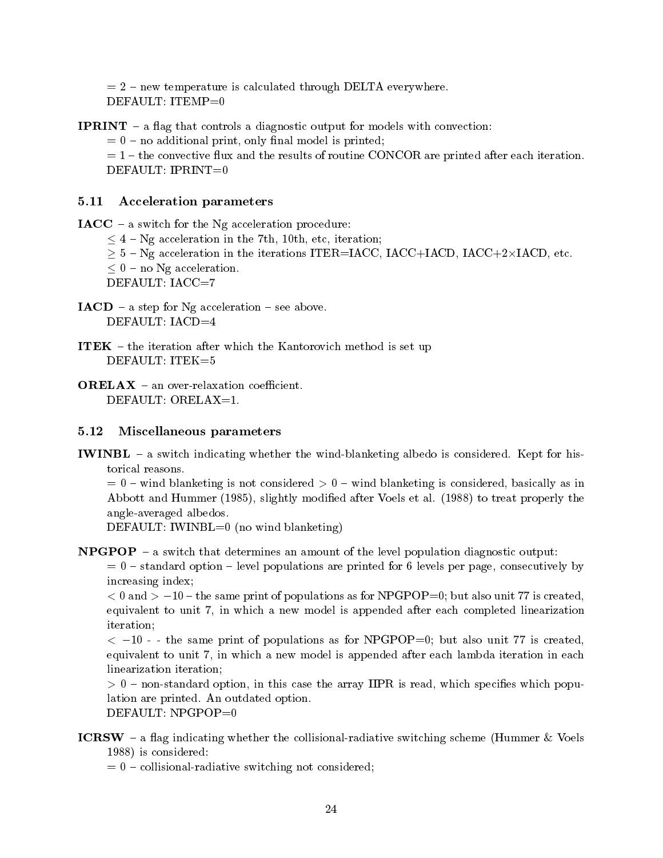$n=2$  – new temperature is calculated through DELTA everywhere.  $DEFAULT: ITEMP=0$ 

**IPRINT** – a flag that controls a diagnostic output for models with convection:

 $= 0$  – no additional print, only final model is printed;

 $t=1$  – the convective flux and the results of routine CONCOR are printed after each iteration. DEFAULT:  $IPRINT=0$ 

#### $5.11$ Acceleration parameters

 $IACC - a switch for the Ng acceleration procedure:$ 

- $\leq$  4 Ng acceleration in the 7th, 10th, etc, iteration;
- $\geq$  5 Ng acceleration in the iterations ITER=IACC, IACC+IACD, IACC+2×IACD, etc.
- $\leq 0$  no Ng acceleration.

DEFAULT: IACC=7

- $IACD$  a step for Ng acceleration see above. DEFAULT: IACD=4
- **ITEK**  $-$  the iteration after which the Kantorovich method is set up DEFAULT:  $ITEK=5$
- **ORELAX** an over-relaxation coefficient. DEFAULT: ORELAX=1.

#### Miscellaneous parameters  $5.12$

I with a switch indicating whether the wind considered is considered in the set  $\mathbb{R}^n$ torical reasons

 $= 0$  – wind blanketing is not considered  $> 0$  – wind blanketing is considered, basically as in  $\mathcal{A}$  and Hummer II after Voels et al. (1) and the slightly modied after Voels et al. (1) and the slightly slightly slightly slightly slightly slightly slightly slightly slightly slightly slightly slightly slightly sli angle-averaged albedos.

DEFAULT: IWINBL=0 (no wind blanketing)

**NPGPOP** – a switch that determines an amount of the level population diagnostic output:

 $s=0$  – standard option – level populations are printed for 6 levels per page, consecutively by increasing index

and the same print of the same print of populations as for the same of the same of the same company equivalent to unit 7, in which a new model is appended after each completed linearization iteration

. The same print of populations as for  $\alpha$  is the same  $\alpha$  is constructed by the same of  $\alpha$  is constructed and equivalent to unit 7, in which a new model is appended after each lambda iteration in each linearization iteration: linearization iteration

nonstandard option is ready in the array IIPR in the array IIPR is readily in the array population which popula lation are printed An outdated option

- DEFAULT:  $NPGPOP = 0$
- **ICRSW** a flag indicating whether the collisional-radiative switching scheme (Hummer & Voels  $\blacksquare$  is considered to the constant of the constant of the constant of the constant of the constant of the constant of the constant of the constant of the constant of the constant of the constant of the constant of the c

 $c = 0$  – collisional-radiative switching not considered;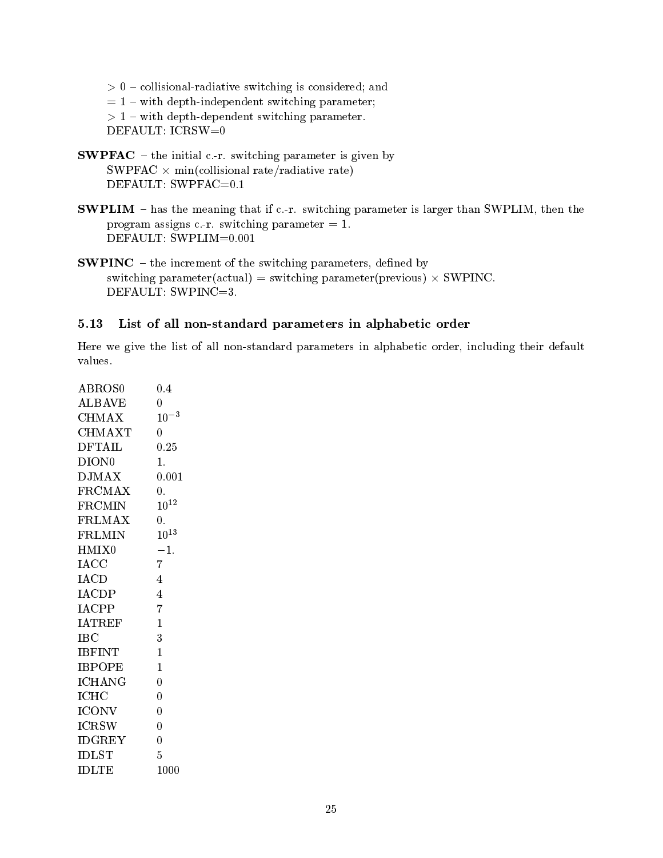collisional radius switching is considered and  $\sim$ 

- $= 1 -$  with depth-independent switching parameter;
- with depths and parameters switching parameters.

DEFAULT: ICRSW=0

- SWPFAC the initial c r switching parameter is given by SWPFAC  $\times$  min(collisional rate/radiative rate)
- SWPLIM has the meaning that if c r switching parameter is larger than SWPLIM then the program assigns c r switching parameter
- **SWPINC** the increment of the switching parameters, defined by switching parameter(actual) = switching parameter(previous)  $\times$  SWPINC. DEFAULT: SWPINC=3.

#### 5.13 List of all non standard parameters in alphabetic order

Here we give the list of all non-standard parameters in alphabetic order, including their default values.

| ABROS0            | 0.4              |
|-------------------|------------------|
| $\rm ALBAVE$      | 0                |
| CHMAX             | $10^{-3}$        |
| CHMAXT            | $\overline{0}$   |
| <b>DFTAIL</b>     | $0.25\,$         |
| DION <sub>0</sub> | 1.               |
| $\rm{DMAX}$       | 0.001            |
| <b>FRCMAX</b>     | $\overline{0}$ . |
| <b>FRCMIN</b>     | $10^{12}$        |
| <b>FRLMAX</b>     | $\overline{0}$ . |
| FRLMIN            | $10^{13}$        |
| HMIX0             | $-1.$            |
| <b>IACC</b>       | $\overline{7}$   |
| IACD              | 4                |
| <b>IACDP</b>      | $\overline{4}$   |
| IACPP             | 7                |
| <b>IATREF</b>     | $\mathbf{1}$     |
| $_{\rm{IPC}}$     | 3                |
| <b>IBFINT</b>     | $\mathbf{1}$     |
| <b>IBPOPE</b>     | $\overline{1}$   |
| <b>ICHANG</b>     | $\overline{0}$   |
| ICHC              | $\overline{0}$   |
| <b>ICONV</b>      | $\overline{0}$   |
| <b>ICRSW</b>      | $\overline{0}$   |
| <b>IDGREY</b>     | $\overline{0}$   |
| <b>IDLST</b>      | 5                |
| <b>IDLTE</b>      | 1000             |
|                   |                  |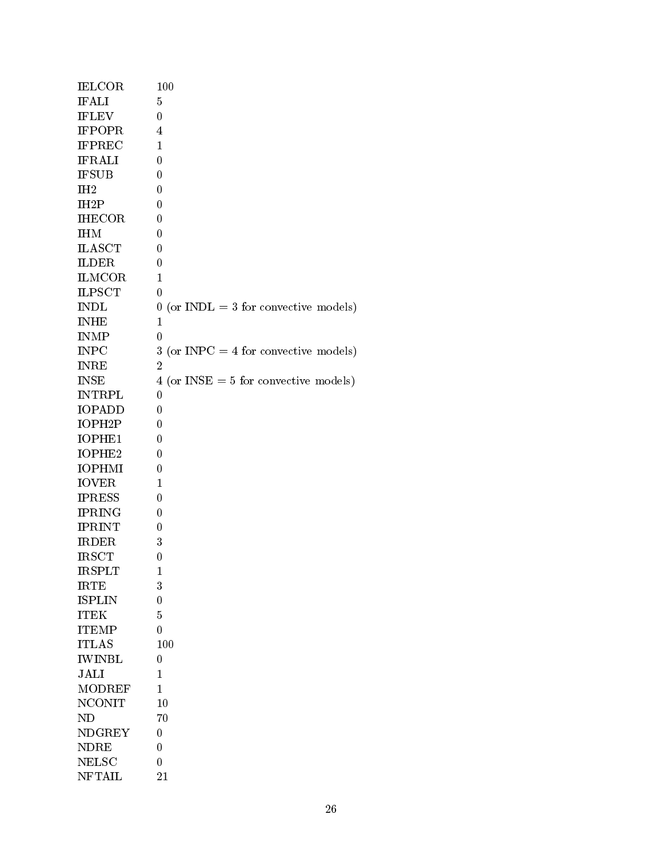| <b>IELCOR</b>       | 100                                        |
|---------------------|--------------------------------------------|
| <b>IFALI</b>        | $\overline{5}$                             |
| <b>IFLEV</b>        | $\theta$                                   |
| <b>IFPOPR</b>       | 4                                          |
| <b>IFPREC</b>       | $\mathbf{1}$                               |
| <b>IFRALI</b>       | 0                                          |
| <b>IFSUB</b>        | 0                                          |
| IH <sub>2</sub>     | 0                                          |
| IH <sub>2</sub> P   | $\overline{0}$                             |
| <b>IHECOR</b>       | 0                                          |
| <b>IHM</b>          | 0                                          |
| <b>ILASCT</b>       | 0                                          |
| <b>ILDER</b>        | $\overline{0}$                             |
| <b>ILMCOR</b>       | $\mathbf{1}$                               |
| <b>ILPSCT</b>       | 0                                          |
| <b>INDL</b>         | (or $INDL = 3$ for convective models)<br>0 |
| <b>INHE</b>         | $\mathbf{1}$                               |
| <b>INMP</b>         | 0                                          |
| <b>INPC</b>         | $3$ (or INPC = 4 for convective models)    |
| <b>INRE</b>         | $\overline{2}$                             |
| <b>INSE</b>         | $4$ (or INSE = 5 for convective models)    |
| <b>INTRPL</b>       | 0                                          |
| <b>IOPADD</b>       | 0                                          |
| IOPH <sub>2</sub> P | $\overline{0}$                             |
| IOPHE1              | $\overline{0}$                             |
| IOPHE2              | 0                                          |
| <b>IOPHMI</b>       | 0                                          |
| <b>IOVER</b>        | 1                                          |
| <b>IPRESS</b>       | $\overline{0}$                             |
| <b>IPRING</b>       | 0                                          |
| <b>IPRINT</b>       | $\theta$                                   |
| <b>IRDER</b>        | 3                                          |
| <b>IRSCT</b>        | 0                                          |
| <b>IRSPLT</b>       | 1                                          |
| <b>IRTE</b>         | 3                                          |
| <b>ISPLIN</b>       | $\overline{0}$                             |
| <b>ITEK</b>         | $\overline{5}$                             |
| <b>ITEMP</b>        | 0                                          |
| <b>ITLAS</b>        | 100                                        |
| <b>IWINBL</b>       | $\overline{0}$                             |
| JALI                | 1                                          |
| <b>MODREF</b>       | 1                                          |
| <b>NCONIT</b>       | 10                                         |
| <b>ND</b>           | 70                                         |
| <b>NDGREY</b>       | 0                                          |
| <b>NDRE</b>         | 0                                          |
| <b>NELSC</b>        | $\overline{0}$                             |
| <b>NFTAIL</b>       | 21                                         |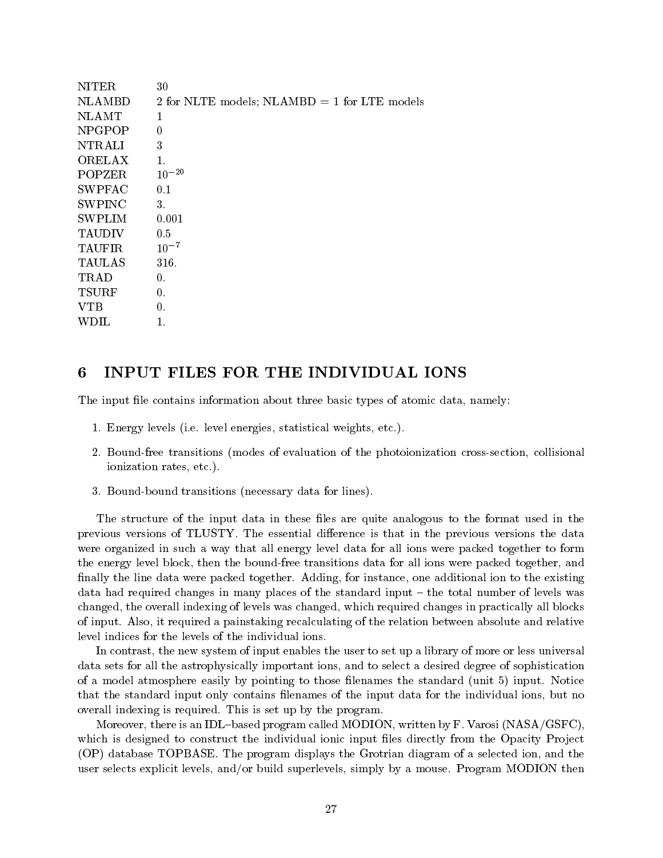| <b>NITER</b>  | 30                                             |
|---------------|------------------------------------------------|
| <b>NLAMBD</b> | 2 for NLTE models; NLAMBD $=$ 1 for LTE models |
| <b>NLAMT</b>  | 1                                              |
| <b>NPGPOP</b> | 0                                              |
| NTRALI        | 3                                              |
| <b>ORELAX</b> | $\mathbf{1}$ .                                 |
| POPZER        | $10^{-20}$                                     |
| <b>SWPFAC</b> | 0.1                                            |
| <b>SWPINC</b> | 3.                                             |
| <b>SWPLIM</b> | 0.001                                          |
| <b>TAUDIV</b> | 0.5                                            |
| <b>TAUFIR</b> | $10^{-7}$                                      |
| <b>TAULAS</b> | 316.                                           |
| TRAD          | 0.                                             |
| <b>TSURF</b>  | 0.                                             |
| <b>VTB</b>    | 0.                                             |
| WDIL          | 1.                                             |
|               |                                                |

# INPUT FILES FOR THE INDIVIDUAL IONS

The input file contains information about three basic types of atomic data, namely:

- en een se gewone van die deurgese van die statistiese werd werd van die statistical wetenskap wet die statistic
- Boundfree transitions modes of evaluation of the photoionization crosssection collisional ionization rates etc
- Boundbound transitions necessary data for lines

The structure of the input data in these files are quite analogous to the format used in the previous versions of TLUSTY The essential dimensions the data discussed in the data in the data in the data of were organized in such a way that all energy level data for all ions were packed together to form the energy level block, then the bound-free transitions data for all ions were packed together, and nally the line data were packed together Adding for instance one additional ion to the existing data had required changes in many places of the standard input - the total number of levels was changed, the overall indexing of levels was changed, which required changes in practically all blocks of inputs from  $\alpha$  it requires a painstaking recalculating of the relation between absolute and relation  $\alpha$ level indices for the levels of the individual ions

In contrast, the new system of input enables the user to set up a library of more or less universal data sets for all the astrophysically important ions and to select a desired degree of sophistication of a model atmosphere easily by pointing to those lenames the standard unit input Notice that the standard input only contains filenames of the input data for the individual ions, but no overall indexidation in the program index is required to the program in the program in the program in the progr

 $\mathbb{R}$  is an IDLBased program called MODION written by Fig. , we have  $\mathbb{R}$ which is designed to construct the individual ionic input files directly from the Opacity Project  $\alpha$  , the product the program displays the program displays the selected in a selection and the selection of  $\alpha$  $\mathcal{L}$  selection and  $\mathcal{L}$  and  $\mathcal{L}$  and build superlevels simply by a mouse  $\mathcal{L}$  and  $\mathcal{L}$  and  $\mathcal{L}$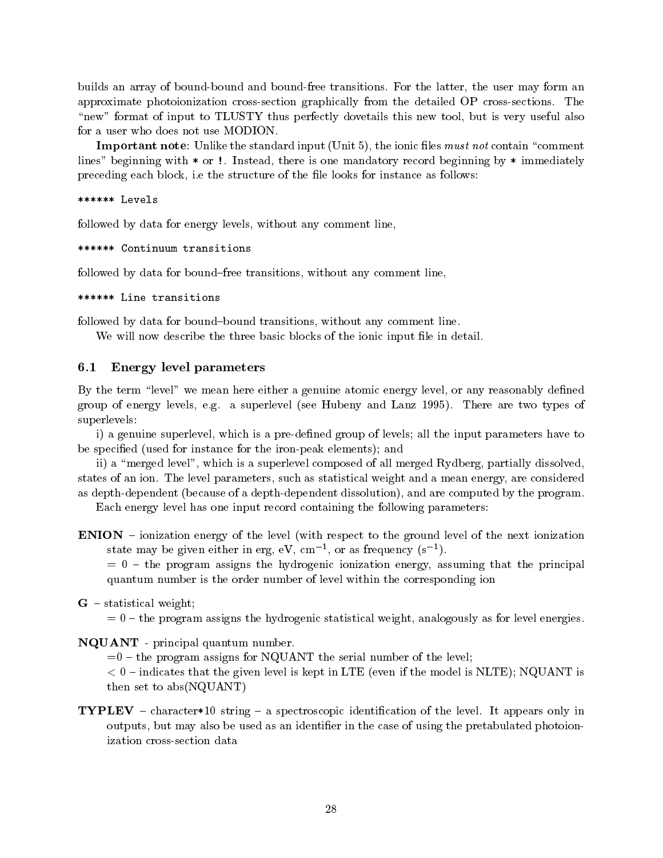builds and bound boundary of boundary free transitions the user the user the user the user the user the user ma approximate photoionization crosssection graphically from the detailed OP crosssections The "new" format of input to TLUSTY thus perfectly dovetails this new tool, but is very useful also for a user who does not use MODION

**Important note:** Unlike the standard input (Unit 5), the ionic files *must not* contain "comment" lines beginning with or Instead there is one mandatory record beginning by immediately preceding each block i e the structure of the le looks for instance as follows

\*\*\*\*\*\* Levels

followed by data for energy levels, without any comment line,

\*\*\*\*\*\* Continuum transitions

followed by data for bound-free transitions, without any comment line,

\*\*\*\*\*\* Line transitions

followed by data for bound-bound transitions, without any comment line.

We will now describe the three basic blocks of the ionic input file in detail.

#### $6.1$ Energy level parameters

By the term "level" we mean here either a genuine atomic energy level, or any reasonably defined group is integrated by a superlevel processe that measure the superlevel is a superlevely of the second that  $\alpha$ superlevels

i) a genuine superlevel, which is a pre-defined group of levels; all the input parameters have to be specified (used for instance for the iron-peak elements); and

ii) a "merged level", which is a superlevel composed of all merged Rydberg, partially dissolved, states of an ion The level parameters such as statistical weight and a mean energy are considered as depth-dependent (because of a depth-dependent dissolution), and are computed by the program.

Each energy level has one input record containing the following parameters

**ENION** – ionization energy of the level (with respect to the ground level of the next ionization state may be given either in erg, ev, cm  $^{-}$ , or as frequency (s  $^{-}$  ).

 $t=0$  – the program assigns the hydrogenic ionization energy, assuming that the principal quantum number is the order number of level within the corresponding ion

 $G$  – statistical weight;

 $t=0$  – the program assigns the hydrogenic statistical weight, analogously as for level energies.

NQUANT - principal quantum number.

 $t=0$  – the program assigns for NQUANT the serial number of the level;

 indicates that the given level is kept in LTE even if the model is NLTE
 NQUANT is then set to  $abs(NOUANT)$ 

 $\mathcal{I}=\mathcal{I}=\mathcal{I}=\mathcal{I}$  string and the level interaction of the level of the level  $\mathcal{I}=\mathcal{I}$ outputs, but may also be used as an identifier in the case of using the pretabulated photoionization cross-section data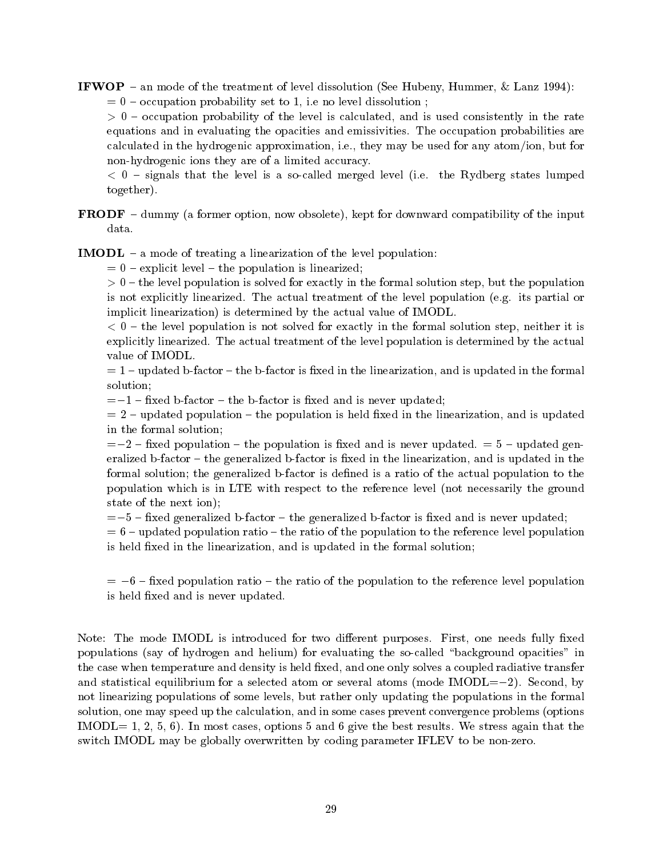IFWOP an mode of the treatment of level dissolution See Hubeny Hummer Lanz - occupation probability set to it is it is the measurement of the set of  $\sim$ 

 occupation probability of the level is calculated and is used consistently in the rate equations and in evaluating the opacities and emissivities The occupation probabilities are calculated in the hydrogenic approximation i e they may be used for any atomion but for non-hydrogenic ions they are of a limited accuracy.

 signals that the level is a socalled merged level i e the Rydberg states lumped together

**FRODF**  $-$  dummy (a former option, now obsolete), kept for downward compatibility of the input data.

**IMODL**  $-$  a mode of treating a linearization of the level population:

 $= 0$  – explicit level – the population is linearized;

 $t\rightarrow 0$  , which is population is solved for exactly in the formal solution step population step but the population is not explicitly linearized The actual treatment of the level population e g its partial or implicit linearization) is determined by the actual value of IMODL.

 $t \sim \sigma$  is the low population is not solved for the exactly in the formal solution step  $\mu$  neither it is  $\sigma$ explicitly distribution to actual treatment of the actual treatment of the actual treatment by the actual treatment value of IMODL

 $= 1$  – updated b-factor – the b-factor is fixed in the linearization, and is updated in the formal  $s = s \cdot s \cdot s = s$ 

- xed bfactor the bfactor is xed and is never updated

 $= 2$  – updated population – the population is held fixed in the linearization, and is updated in the formal solution

- xed population the population is xed and is never updated updated gen eralized b-factor  $-$  the generalized b-factor is fixed in the linearization, and is updated in the formal solution; the generalized b-factor is defined is a ratio of the actual population to the population which is in LTE with respect to the reference level (not necessarily the ground state of the next ion);

, weding generalized bfactor is the generalized bfactor is the second and is never up that  $\eta$ 

 $= 6$  – updated population ratio – the ratio of the population to the reference level population is held fixed in the linearization, and is updated in the formal solution;

 - xed population ratio the ratio of the population to the reference level population is held fixed and is never updated.

Note The mode IMODL is introduced for two dierent purposes First one needs fully xed populations (say of hydrogen and helium) for evaluating the so-called "background opacities" in the case when temperature and density is held fixed, and one only solves a coupled radiative transfer and statistical equilibrium for a selected atom or selected atom or several atom or several atom or several atom not linearizing populations of some levels, but rather only updating the populations in the formal solution, one may speed up the calculation, and in some cases prevent convergence problems (options IMODL In most cases options and give the best results We stress again that the switch IMODL may be globally overwritten by coding parameter IFLEV to be non-zero.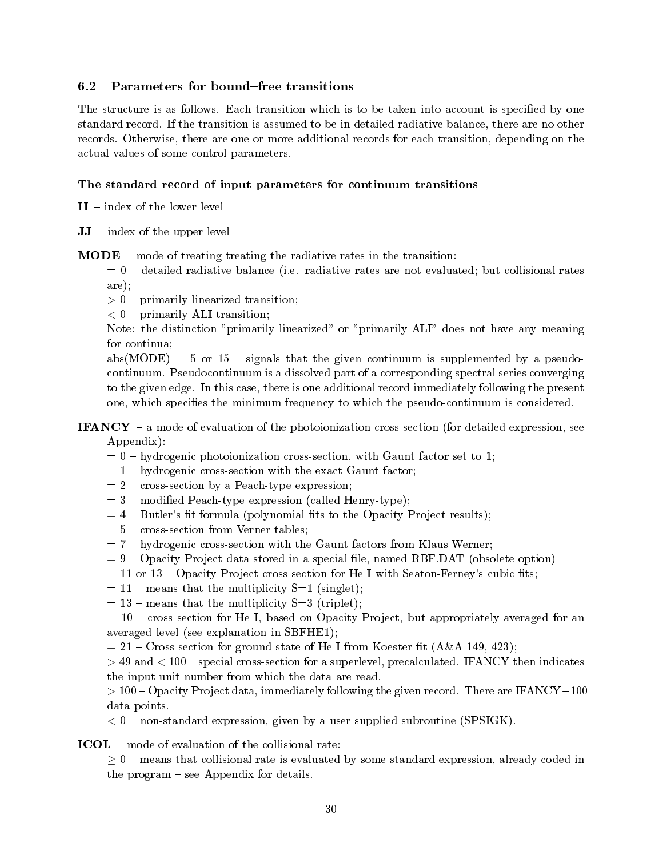# 6.2 Parameters for bound-free transitions

the structure is as follows in the taken into account in the taken into account is specified by one of the specific standard records to the transition is assumed to be interesting radiative balance there are no other are no other records Otherwise there are one or more additional records for each transition depending on the actual values of some control parameters

# The standard record of input parameters for continuum transitions

 $II$  – index of the lower level

 $JJ - index of the upper level$ 

 **– mode of treating treating the radiative rates in the transition:** 

 detailed radiative balance i e radiative rates are not evaluated but collisional rates are

primarily linearized transitions in the set of the set of the set of the set of the set of the set of the set of the set of the set of the set of the set of the set of the set of the set of the set of the set of the set of

primarily alignment to the contract of the contract of the contract of the contract of the contract of the contract of the contract of the contract of the contract of the contract of the contract of the contract of the con

Note: the distinction "primarily linearized" or "primarily ALI" does not have any meaning for continua

 $abs(MODE) = 5$  or 15 – signals that the given continuum is supplemented by a pseudocontinuum is a dissolved part of a dissolved part of a corresponding spectral series converging to the given edge in this case there is one additional record in the present  $\alpha$ one, which specifies the minimum frequency to which the pseudo-continuum is considered.

# **IFANCY** – a mode of evaluation of the photoionization cross-section (for detailed expression, see Appendix

- $= 0$  hydrogenic photoionization cross-section, with Gaunt factor set to 1;
- $= 1 hydrogenic cross-section with the exact Gaunt factor;$
- $z = 2$  cross-section by a Peach-type expression;
- $= 3$  modified Peach-type expression (called Henry-type);
- $= 4$  Butler's fit formula (polynomial fits to the Opacity Project results);
- $= 5$  cross-section from Verner tables;
- $= 7 h$ ydrogenic cross-section with the Gaunt factors from Klaus Werner;
- Opacity Pro ject data stored in a special le named RBF DAT obsolete option
- $=$  11 or 13 Opacity Project cross section for He I with Seaton-Ferney's cubic fits;
- $= 11$  means that the multiplicity S=1 (singlet);
- $= 13$  means that the multiplicity S=3 (triplet);

 $c = 10$  – cross section for He I, based on Opacity Project, but appropriately averaged for an averaged level (see explanation in SBFHE1);

Crosssection for ground state of He I from Koester t AA -

, and mean ( a see ) special cross cross superlevel precalculated precalculated as superlevel and indicates ( the input unit number from which the data are read

 $\sim$  100  $\sim$  process, 200 000 most dimensional control is and  $\sim$  given records. In the areas in  $\sim$  100  $\sim$ data points

nonstandard expression given by a user supplied substandant production  $\mathcal{S}$ 

ICOL - mode of evaluation of the collisional rate:

 $> 0$  – means that collisional rate is evaluated by some standard expression, already coded in the program  $-$  see Appendix for details.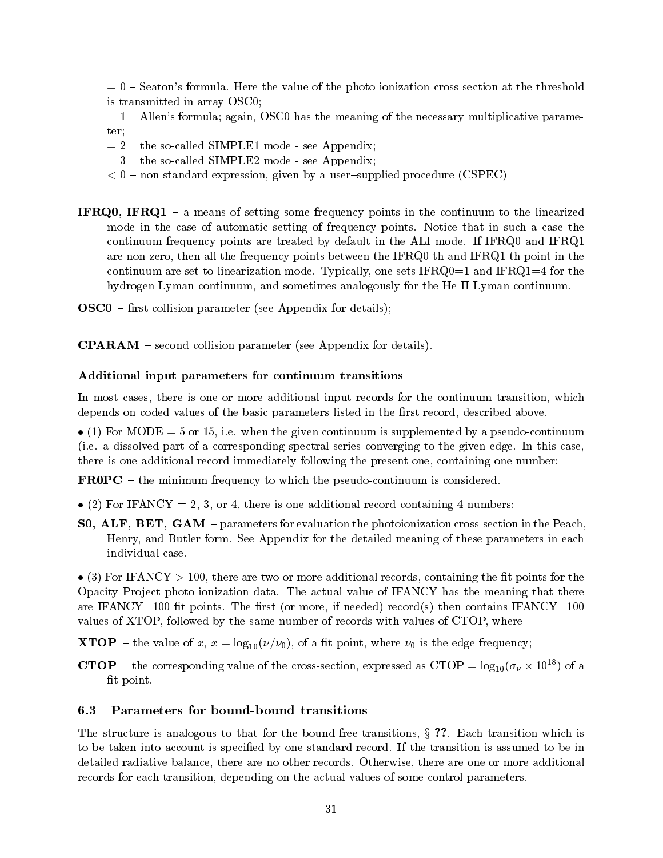seatons for the value of the value of the photoionization cross section at the threshold  $\sim$ is transmitted in array OSC 

 $= 1$  – Allen's formula; again, OSCO has the meaning of the necessary multiplicative parameter

- $t=2$  the so-called SIMPLE1 mode see Appendix;
- $t=3$  the so-called SIMPLE2 mode see Appendix;
- nonstandard expression given by a usersupplied procedure (see SPEC) and CSPECC and CSPECC (see SPECC) and CSPEC
- **IFRQ0, IFRQ1** a means of setting some frequency points in the continuum to the linearized mode in the case of automatic setting of frequency points. It such a case that in such a case continuum frequency points are treated by default in the ALI model in the ALI model in the ALI model in the ALI are non-zero, then all the frequency points between the IFRQ0-th and IFRQ1-th point in the continuum are set to linear model one sets IFRQ for the sets IFRQ for the IFRQ for the IFRQ for the IFRQ for the IFRQ for the IFRQ for the IFRQ for the IFRQ for the IFRQ for the IFRQ for the IFRQ for the IFRQ for the IFRQ hydrogen Lyman continuum, and sometimes analogously for the He II Lyman continuum.
- $\text{O} \text{S} \text{C}$ 0 first collision parameter (see Appendix for details);

**CPARAM** – second collision parameter (see Appendix for details).

### Additional input parameters for continuum transitions

In most cases, there is one or more additional input records for the continuum transition, which depends on coded values of the basic parameters listed in the first record, described above.

 $\mathcal{L} = \{ \mathbf{v} \mid \mathbf{v} \in \mathbb{R}^n \mid \mathbf{v} \in \mathbb{R}^n \mid \mathbf{v} \in \mathbb{R}^n \}$  . Supplemented by a pseudocontinuum is supplemented by a pseudocontinuum is supplemented by a pseudocontinuum is supplemented by a pseudocontinuum is a dissolved part of a corresponding spectrum corresponding to the given edge and case that  $\eta$ there is one additional record immediately following the present one containing one number

**FROPC** – the minimum frequency to which the pseudo-continuum is considered.

- (2) For IFANCY = 2, 3, or 4, there is one additional record containing 4 numbers:
- SO, ALF, BET, GAM parameters for evaluation the photoionization cross-section in the Peach, Henry and Butler form See Appendix for the detailed meaning of these parameters in each individual case

 $\bullet$  (3) For IFANCY  $> 100$ , there are two or more additional records, containing the fit points for the Opacity Pro ject photoionization data The actual value of IFANCY has the meaning that there are the record-cordinate intervalsed and the recording the recording the contains in the contains in the conta values of XTOP, followed by the same number of records with values of CTOP, where

**XTOP** – the value of x,  $x = \log_{10}(\nu/\nu_0)$ , of a fit point, where  $\nu_0$  is the edge frequency;

**CTOP** – the corresponding value of the cross-section, expressed as CTOP =  $\log_{10}(\sigma_{\nu} \times 10^{18})$  of a fit point.

The structure is analogous to that for the boundfree transitions <sup>x</sup> Each transition which is to be taken into account is specied by one standard records to be into be into be into a standard records of  $\mathbb{P}$ detailed radiative balance there are no other records Otherwise there are one or more additional records for each transition, depending on the actual values of some control parameters.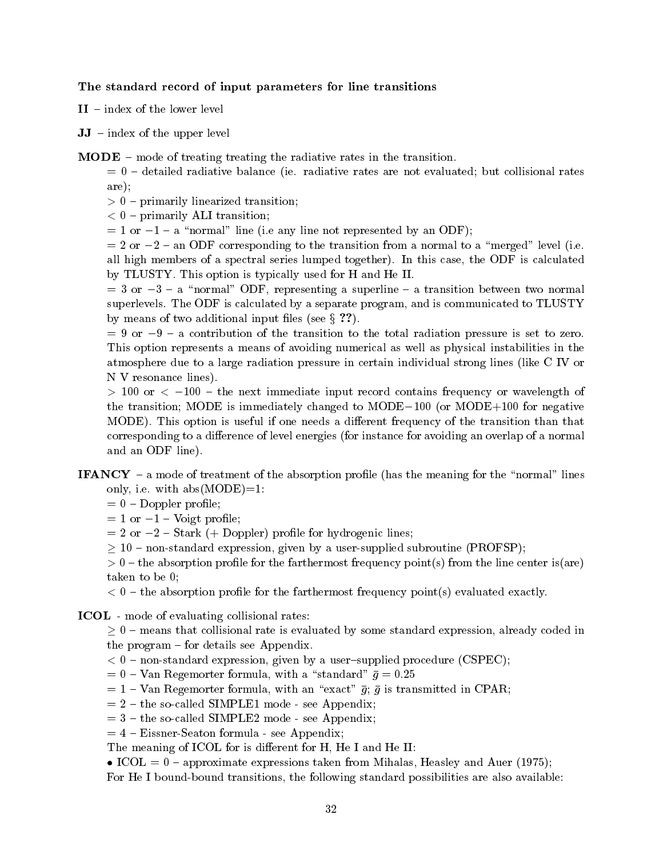The standard record of input parameters for line transitions

 $II$  – index of the lower level

 $JJ - index of the upper level$ 

 **– mode of treating treating the radiative rates in the transition.** 

 detailed radiative balance ie radiative rates are not evaluated but collisional rates are

primarily linearized transitions in the set of the set of the set of the set of the set of the set of the set of the set of the set of the set of the set of the set of the set of the set of the set of the set of the set of

 primarily ALI transition

or -a normal line i e any line not represented by an ODF

or - an ODF corresponding to the transition from a method to a merged level (at  $\sim$ all high members of a spectral series lumped to cagethere is the CDF is calculated to calculate the ODF is calculated by TLUSTY TRIPLE is the form in the III of He III of He III of He III of He III of He III of He III of He III o

or - a normal ODF representing a superline a transition between two normal  $\sim$ superlevels The ODF is calculated byaseparate program and is communicated to TLUSTY by means of two additional input files (see  $\S$ ??).

 - or -- a contribution of the transition to the total radiation pressure is set to zero This option represents a means of avoiding numerical as well as physical instabilities in the atmosphere due to a large radiation pressure in certain individual strong lines (like C IV or N V resonance lines).

or the next immediate include the next image in the next input record contains from  $\alpha$ . The transition model is immediately changed to MODE-C and  $\alpha$  and  $\alpha$  and  $\alpha$  is  $\alpha$ MODE This option is useful if one needs a dierent frequency of the transition than that corresponding to a difference of level energies (for instance for avoiding an overlap of a normal and an ODF line

- **IFANCY** a mode of treatment of the absorption profile (has the meaning for the "normal" lines en absolute the contract of the contract of the contract of the contract of the contract of the contract of the contract of the contract of the contract of the contract of the contract of the contract of the contract of th
	- $= 0$  Doppler profile;
	- or voigt production voigt production void problem void problem void problem void problem void pr
	- or or book in characterized and control control of the set of the set of the set of the set of the set of the
	- $\geq 10$  non-standard expression, given by a user-supplied subroutine (PROFSP);

the absorption process for the farthermost frequency points  $\{r\}$  is the line center is  $\{r\}$ taken to be 0;

the absorption proceeding process from the farthermost frequency points (i) accompanies thermost  $\mu$ 

**ICOL** - mode of evaluating collisional rates:

 $\geq 0$  – means that collisional rate is evaluated by some standard expression, already coded in the program  $-$  for details see Appendix.

- nonstandard expression given by a usersupplied procedure procedure to the contract of the contract of  $\mathcal{C}$
- $\vee$  real evangemorter formula with a standard g  $\vee$   $\vee$
- $= 1$  Van Regemorter formula, with an "exact"  $\bar{g}$ ;  $\bar{g}$  is transmitted in CPAR;
- $t = 2$  the so-called SIMPLE1 mode see Appendix;
- $t=3$  the so-called SIMPLE2 mode see Appendix;

 $= 4$  – Eissner-Seaton formula - see Appendix;

The meaning of ICOL for is different for H, He I and He II:

ICOL ICOL INTERNATIONAL TARGET AND MINIMUM MINIMUM AND ALL AND AUTHOR AND AUTHORITY AND AUTHORITY OF AUTHORITY

For He I bound-bound transitions, the following standard possibilities are also available: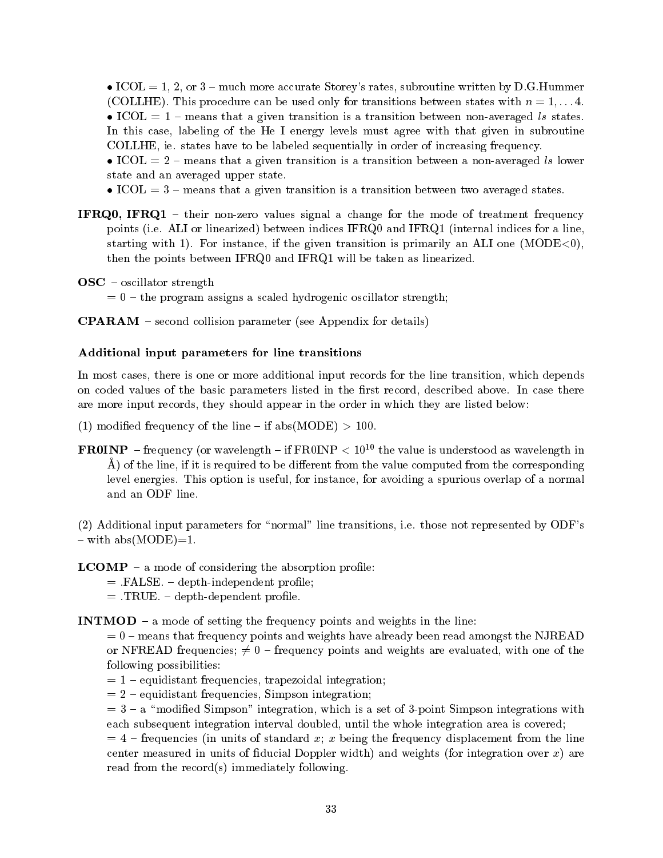ICOL or much more accurate Storeys rates subroutine written by D G Hummer COLLHE This procedure can be used only for transitions between states with <sup>n</sup> ---  $\bullet$  ICOL = 1 – means that a given transition is a transition between non-averaged ls states. In this case, labeling of the He I energy levels must agree with that given in subroutine COLLHE ie states have to be labeled sequentially in order of increasing frequency

 $\bullet$  ICOL  $= 2$  – means that a given transition is a transition between a non-averaged is lower state and an averaged upper state

 $\bullet$  ICOL  $=$  3 – means that a given transition is a transition between two averaged states.

**IFRQ0, IFRQ1** – their non-zero values signal a change for the mode of treatment frequency points provided in the emission part in the theories for angle when the every point the matrix of the specific starting with  $\sim$  is the smaller instance if the given transition is primarily and the change in  $\sim$   $\sim$   $\sim$ then the points between IFRQ0 and IFRQ1 will be taken as linearized.

 $\bf{OSC}$  – oscillator strength

 $t=0$  – the program assigns a scaled hydrogenic oscillator strength;

 $CPARAM$  – second collision parameter (see Appendix for details)

## Additional input parameters for line transitions

In most cases, there is one or more additional input records for the line transition, which depends on coded values of the basic parameters listed in the rst record described above  $\mathbb{I}$ are more input records, they should appear in the order in which they are listed below:

- (1) modified frequency of the line if abs(MODE)  $> 100$ .
- **FROINP** frequency (or wavelength if FROINP  $\lt 10^{10}$  the value is understood as wavelength in  $\AA$ ) of the line, if it is required to be different from the value computed from the corresponding level energies This option is useful for instance for avoiding a spurious overlap of a normal and an ODF line

, a those normal line transitions in the transitions is those not represented by ODFs .  $-$  with abs(MODE)=1.

 **– a mode of considering the absorption profile:** 

- FALSE IN 1999, In the control of the control of the control of the control of the control of the control of the control of the control of the control of the control of the control of the control of the control of the contr
- TRUE DE L'ANNO 1999, ESPERANT DE L'ANNO 1999, ESPERANT DE L'ANNO 1999, ESPERANT DE L'ANNO 1999, ESPERANT DE L'

INTMOD  $-$  a mode of setting the frequency points and weights in the line:

 $= 0$  – means that frequency points and weights have already been read amongst the NJREAD or NFREAD frequencies;  $\neq 0$  – frequency points and weights are evaluated, with one of the following possibilities

- $= 1$  equidistant frequencies, trapezoidal integration;
- $= 2$  equidistant frequencies. Simpson integration:

 $a = 3 - a$  "modified Simpson" integration, which is a set of 3-point Simpson integrations with each subsequent integration interval doubled, until the whole integration area is covered;

 $f(x) = 4$  – frequencies (in units of standard x; x being the frequency displacement from the line center measured in units of fiducial Doppler width) and weights (for integration over  $x$ ) are read from the record(s) immediately following.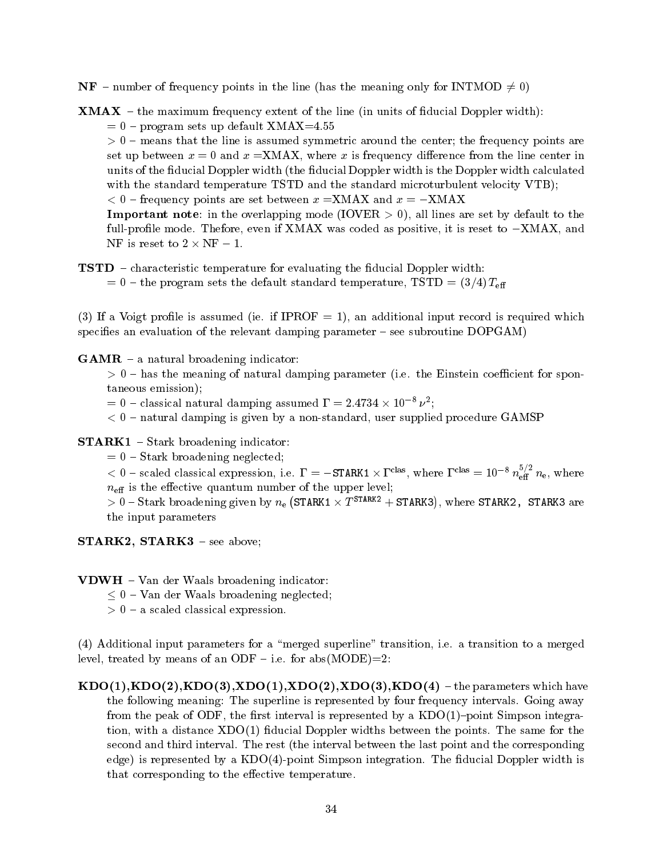- **NF** number of frequency points in the line (has the meaning only for INTMOD  $\neq 0$ )
- **XMAX** the maximum frequency extent of the line (in units of fiducial Doppler width):
	- program sets up definite interesting and the sets of the sets of the sets of the sets of the sets of the sets o

, we consider that the state is assumed symmetric around the center the frequency points  $\alpha$ set up between  $x = 0$  and  $x = XMAX$ , where x is frequency difference from the line center in units of the fiducial Doppler width (the fiducial Doppler width is the Doppler width calculated with the standard temperature TSTD and the standard microturbulent velocity VTB);

 frequency points are set between <sup>x</sup> XMAX and <sup>x</sup> -XMAX

**Important note**: in the overlapping mode (IOVER  $> 0$ ), all lines are set by default to the full process even if XMAX was coded as positive in the code as positive it is reset to - concerning the code of NF is reset to  $2 \times NF - 1$ .

## $TSTD$  – characteristic temperature for evaluating the fiducial Doppler width:

 $t = 0$  – the program sets the default standard temperature, TSTD =  $(3/4)$   $T_{\text{eff}}$ 

If a vertex is a void in a summation of the cordinal input record in particle which is required which is required which is required which in the cordinate  $\alpha$ specifies an evaluation of the relevant damping parameter  $-$  see subroutine  $DOPGAM$ )

 $GAMR - a$  natural broadening indicator:

 has the meaning of natural damping parameter i e the Einstein coecient for spon taneous emission

 $=$  0 – classical natural damping assumed  $\bf{r}$  = 2.4754  $\times$  10  $^{+}$   $\nu$  ;

 natural damping is given by a nonstandard user supplied procedure GAMSP

 $\textbf{STARK1}$  – Stark broadening indicator:

 $= 0$  – Stark broadening neglected;

 $\leq 0$  – scaled classical expression, i.e.  $\Gamma = -\text{STARK1} \times \Gamma^{\text{u},as}$ , where  $\Gamma^{\text{c},ias} = 10^{-\circ} \, n_{\text{eff}}^{-\circ} \, n_{\text{e}}$ , where  $n_{\text{eff}}$  is the effective quantum number of the upper level;

 $>0$  – Stark broadening given by  $n_{\rm e}$  (STARK1  $\times$   $T^{\rm STARK2}$  + STARK3), where STARK2, STARK3 are the input parameters

 $STARK2$ ,  $STARK3$  – see above;

 $VDWH - Van$  der Waals broadening indicator:

 $< 0$  – Van der Waals broadening neglected;

, c c calendarise communication expressions.


 Additional input parameters for a merged superline transition i e a transition to a merged evel treated by meaning to the compact which have provided by the contract of  $\mathcal{L}_{\mathcal{A}}$ 

ko konzulstva konzulstva konzulstva konzulstva konzulstva konzulstva konzulstva konzulstva konzulstva konzulstv  $\mathbf{f}$  following meaning  $\mathbf{f}$  and supermise is represented by four frequency intervals  $\mathbf{f}$  and  $\mathbf{f}$ from the peak of ODF, the first interval is represented by a  $KDO(1)$ -point Simpson integration with a distance  $\alpha$  and  $\alpha$  are same for the same for the same for the same for the same for the same for the same for the same for the same for the same for the same for the same for the same for the same for the s second and third interval The rest the interval between the last point and the corresponding edge is represented by a KDO
point Simpson integration The ducial Doppler width is that corresponding to the effective temperature.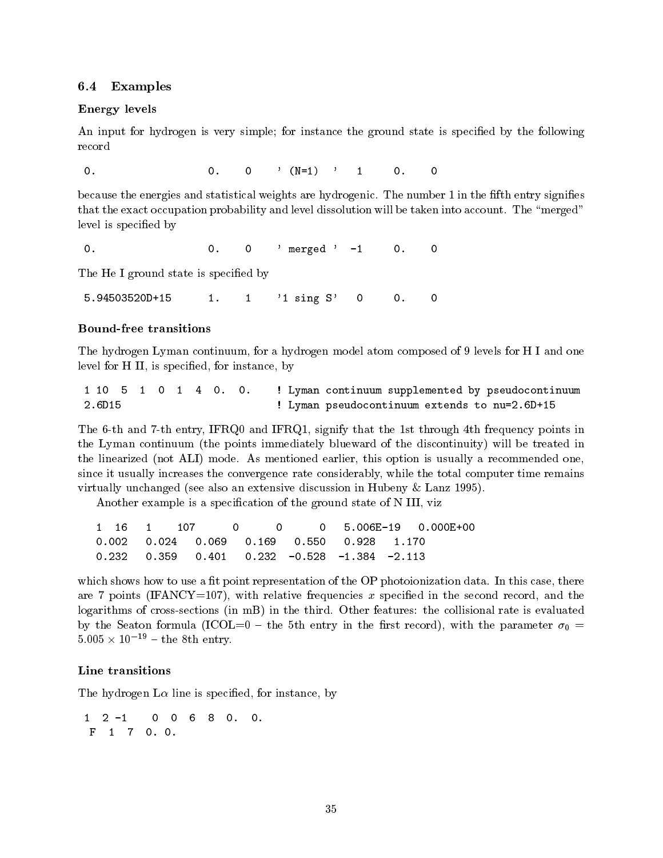#### Examples

#### Energy levels

An input for hydrogen is very simple; for instance the ground state is specified by the following

 $\rightarrow$  N--

 $\mathcal{L}$  . The statistical weights are the form  $\mathcal{L}$  in the function  $\mathcal{L}$  . The function  $\mathcal{L}$  is the function of  $\mathcal{L}$ that the exact occupation probability and level distolution will be taken into account in the group of the merged level is specified by

0. 0  $0.$  0. 0  $1$  merged  $-1$ 

The He I ground state is specified by

5.94503520D+15  $\mathbf{1}$  - $\mathsf{O}$  $\mathsf{O}$ . - sing S

### Bound
free transitions

The hydrogen Lyman continuum for a hydrogen model atom composed of - levels for H I and one level for H II, is specified, for instance, by

  Lyman continuum supplemented by pseudocontinuum 1 10 5  $\overline{1}$  $0 \quad 1$ 4 0.  $\circ$ .  $2.6D15$ Lyman pseudocontinuum extends to nuD-

The 6-th and 7-th entry, IFRQ0 and IFRQ1, signify that the 1st through 4th frequency points in the Lyman continuum (the points immediately blueward of the discontinuity) will be treated in the linearized and as mentioned earlier this option is usually a recommended one of the commentary and a recommended one of the commentary and a recommended one of the commentary and a recommended one of the commended one since it usually increases the convergence rate considerably while the total computer time remains virtually increasingly provided that the contracts in Hubenside and Hubenside and Hubenside and the provided o

Another example is a specification of the ground state of N III, viz

0 0 5.006E-19  $1$ 16 1 0 0.000E+00  $0.002$   $0.024$   $0.069$   $0.169$  $0.550$   $0.928$  $0.232$   $0.359$   $0.401$  $0.232 - 0.528$  $-1.384$  $-2.113$ 

which shows how to use a t point representation of the OP photoionization of the OP photoionization data there is are 7 points (IFANCY=107), with relative frequencies x specified in the second record, and the logarithms of crosssections in mB in the third Other features the collisional rate is evaluated by the Seaton formula (ICOL=0 - the 5th entry in the first record), with the parameter  $\sigma_0$  =  $5.005 \times 10^{-11} = \text{the} \ \text{ofn} \ \text{entry}.$ 

#### Line transitions

The hydrogen  $L\alpha$  line is specified, for instance, by

 $\mathbf{1}$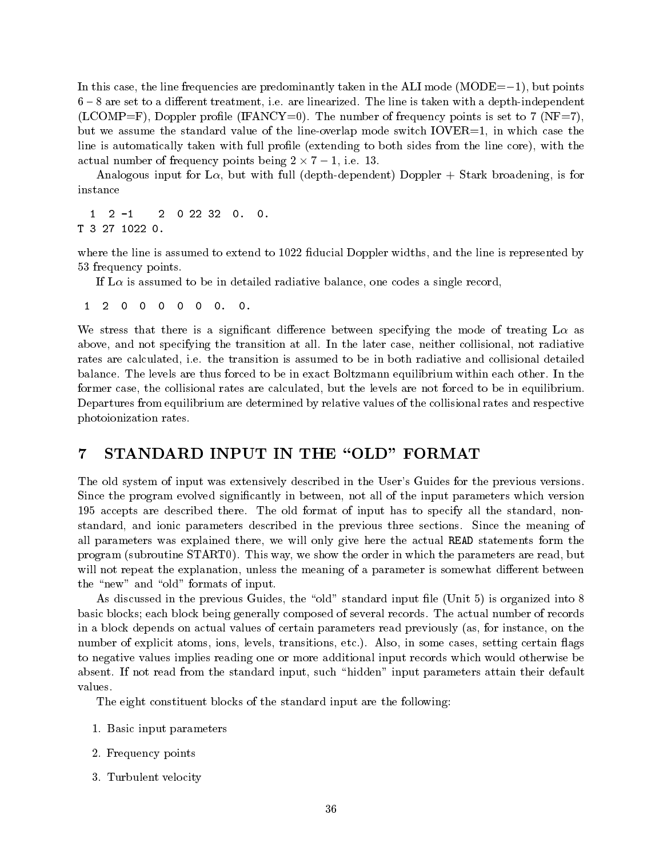in this case the line frequencies are predominantly taken in the ALI model in the ALI model predominant control are set to a dierent treatment in the line is taken with a depthine is taken with a depthindependent of the li is the compressive process is the number of the number of  $\mu$  ,  $\mu$  is set to be a set to independent of  $\mu$ but we assume the standard value of the line-overlap mode switch  $IOVER=1$ , in which case the line is automatically taken with full profile (extending to both sides from the line core), with the actual number of frequency points being  $\mathbf{r}$  , and  $\mathbf{r}$  is a set of frequency points being  $\mathbf{r}$ 

Analogous input for L $\alpha$ , but with full (depth-dependent) Doppler + Stark broadening, is for instance

 $\mathbf{1}$  $2$  0 22 32 0. 0.

where the line is assumed to extend to  $1022$  fiducial Doppler widths, and the line is represented by 53 frequency points.

If  $\rm L\alpha$  is assumed to be in detailed radiative balance, one codes a single record,

 $\overline{2}$  $\mathbf{1}$  $\circ$  $\mathbf 0$  $\circ$  $\circ$  $\mathsf{O}$  $\mathsf{O}$ .  $\mathsf{O}$  .

We stress that there is a significant difference between specifying the mode of treating  $L\alpha$  as above and not specifying the transition at all In the later case neither collisional not radiative erate are calculated in the transition is assumed to assume collision is and collision and collision in the co balance are the levels are thus forced to be in exact Boltzmann equilibrium with the levels are the levels are former case, the collisional rates are calculated, but the levels are not forced to be in equilibrium. Departures from equilibrium are determined by relative values of the collisional rates and respective photoionization rates

#### STANDARD INPUT IN THE "OLD" FORMAT  $\overline{7}$

The old system of input was extensively described in the User's Guides for the previous versions. Since the program evolved significantly in between, not all of the input parameters which version - accepts are described the old format of input has to separate the specify all the standard nonstandard in the state parameters described in the previous three sections three sections that the meaning of all parameters was explained there, we will only give here the actual READ statements form the program is not the order in which the order in which the order in which the parameters are ready in not will not repeat the explanation, unless the meaning of a parameter is somewhat different between the "new" and "old" formats of input.

As discussed in the previous Guides, the "old" standard input file (Unit 5) is organized into  $8$ basic blocks each block being generally composed of several records actual measurement of records and in a block depends on actual values of certain parameters read previously (as, for instance, on the number of explicit atoms ions levels transitions transitions to the compact certain against the compa to negative values implies reading one or more additional input records which would otherwise be absent If not read from the standard input such hidden input parameters attain their default values.

The eight constituent blocks of the standard input are the following

- Basic input parameters in put parameters in put parameters in the second parameters in the second parameters of
- Frequency points
- Turbulent velocity  $\mathcal{A}$  and  $\mathcal{A}$  are the contract velocity of  $\mathcal{A}$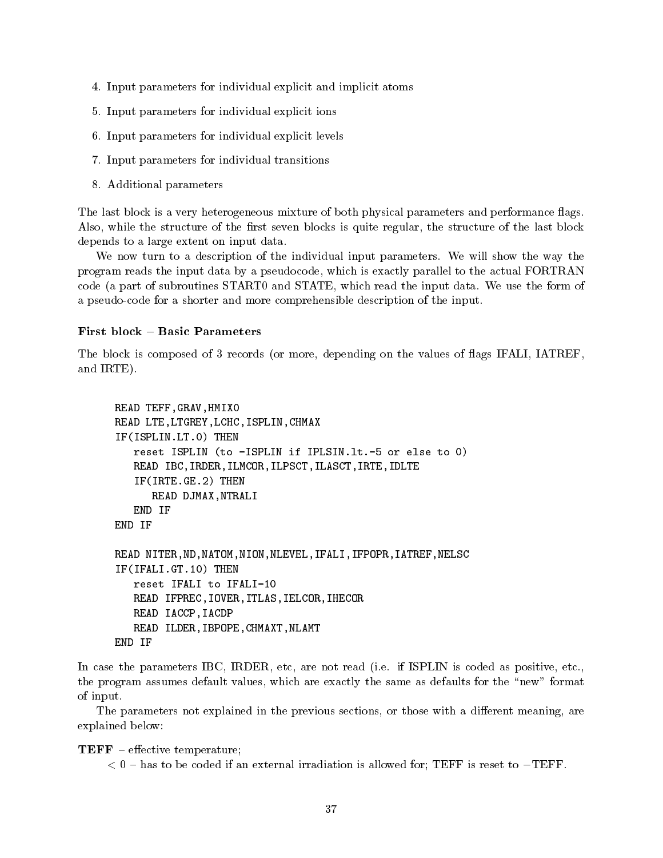- In any intersection for individual explicit and implicit atoms that in the individual explicit atoms and implicit
- Input parameters for individual explicit ions
- In the parameters for individual explicit levels for individual explicit levels in the contract of the contract of the contract of the contract of the contract of the contract of the contract of the contract of the contrac
- In the parameters for individual transitions in the individual transitions of the state of the state of the state of the state of the state of the state of the state of the state of the state of the state of the state of t
- additional parameters and parameters are all the second parameters and all the second parameters are all the s

The last block is a very heterogeneous mixture of both physical parameters and performance flags. Also, while the structure of the first seven blocks is quite regular, the structure of the last block depends to a large extent on input data

We now turn to a description of the individual input parameters We will show the way the program reads the input data by a pseudocode which is exactly parallel to the actual FORTRAN code a part of subroutines START in put data which read the input data which read the input data which read th a pseudo-code for a shorter and more comprehensible description of the input.

## First block - Basic Parameters

The block is composed of 3 records (or more, depending on the values of flags IFALI, IATREF, and IRTE).

```
READ TEFF, GRAV, HMIXO
READ LTE, LTGREY, LCHC, ISPLIN, CHMAX
IF(ISPLIN.LT.O) THEN
    reset ISPLIN (to -ISPLIN if IPLSIN.1t.-5 or else to 0)
    READ IBC, IRDER, ILMCOR, ILPSCT, ILASCT, IRTE, IDLTE
    IF(IRTE.GE.2) THEN
         READ DJMAX, NTRALI
    END IF
END IF
READ NITER, ND, NATOM, NION, NLEVEL, IFALI, IFPOPR, IATREF, NELSC
IF(IFALI.GT.10) THEN
IFIFALIGT-
                    The state of the state of the state of the state of the state of the state of the state of the state of the state of the state of the state of the state of the state of the state of the state of the state of the state of t
    reset IFALI to IFALI-
    READ IFPREC, IOVER, ITLAS, IELCOR, IHECOR
    READ IACCP, IACDP
    READ ILDER, IBPOPE, CHMAXT, NLAMT
END IF
```
in case the parameters in the parameters, cost included as positive etc. In the code as positive, coded as the program assumes default values, which are exactly the same as defaults for the "new" format of input

The parameters not explained in the previous sections, or those with a different meaning, are explained below

**TEFF** – effective temperature;

has to be coded if an external irradiation is allowed for an external in the set of  $\sim$   $\sim$   $\sim$   $\sim$   $\sim$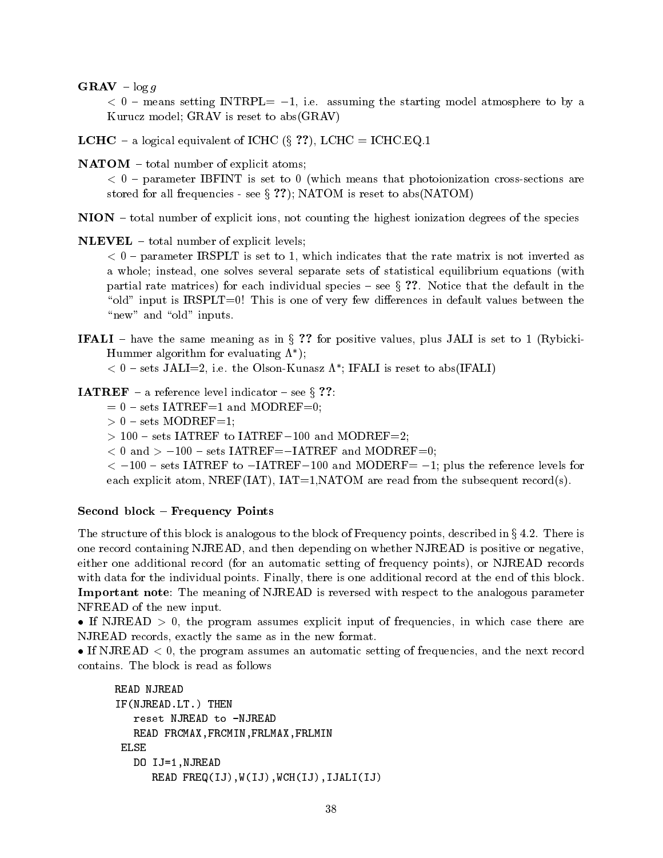$\mathbf{GRAV}$  –  $\log q$ 

 $\sim$   $\sigma$  -means setting introduce  $\sim$  introducement, the starting model will copies to by  $\sim$ Kurucz model; GRAV is reset to  $abs(GRAW)$ 

LCHC a logical equivalent of ICHC x LCHC ICHC EQ

 $NATOR - total number of explicit atoms;$ 

 parameter IBFINT is set to which means that photoionization crosssections are stored for all frequencies - see  $\S$  ??); NATOM is reset to abs(NATOM)

NION - total number of explicit ions, not counting the highest ionization degrees of the species

 $NLEVEL - total number of explicit levels;$ 

parameter IRSPLT is set to indicate the rate matrix is not in the rate matrix is not inverted as  $\sim$ a whole; instead, one solves several separate sets of statistical equilibrium equations (with partial rate matrices for each individual species see <sup>x</sup> Notice that the default in the "old" input is  $IRSPLT=0$ ! This is one of very few differences in default values between the "new" and "old" inputs.

**IFALI** – have the same meaning as in  $\S$  ?? for positive values, plus JALI is set to 1 (Rybicki-Hummer algorithm for evaluating  $\Lambda$  );

 $\leq$  0 – sets JALI=2, i.e. the Olson-Kunasz A ; IFALI is reset to abs(IFALI)

**IATREF** – a reference level indicator – see § ??:

- $= 0$  sets IATREF=1 and MODREF=0;
- sets Modern Modern Modern Modern Modern Modern Modern Modern Modern Modern Modern Modern Modern Modern Modern M
- sets International Contract in the Model of the Model of the Model of the Model of the Model of the Model of the Model of the Model of the Model of the Model of the Model of the Model of the Model of the Model of the Model

and which is the set of the model of the set of the set of the set of the set of the set of the set of the set of the set of the set of the set of the set of the set of the set of the set of the set of the set of the set o

 $\sim$  -reference to - intervals for what it defines a plus the reference it is not the reference it is a plus for each explicit atom, NREF(IAT),  $IAT=1, NATOM$  are read from the subsequent record(s).

### Second block - Frequency Points

The structure of this block is analogous to the block of Frequency points described in <sup>x</sup> There is one record containing NJREAD, and then depending on whether NJREAD is positive or negative, either one additional record (for an automatic setting of frequency points), or NJREAD records with data for the individual points is one all the end of the end of the end of the end of the end of this blo Important note: The meaning of NJREAD is reversed with respect to the analogous parameter NFREAD of the new input

If NJREAD  $> 0$ , the program assumes explicit input of frequencies, in which case there are NJREAD records, exactly the same as in the new format.

If NJREAD  $\lt 0$ , the program assumes an automatic setting of frequencies, and the next record

```
IF(NJREAD.LT.) THEN
  reset NJREAD to -NJREAD
  READ FRCMAX, FRCMIN, FRLMAX, FRLMIN
ELSE
   DO IJ-
NJREAD
     READ FREG(IJ), W(IJ), WCH(IJ), IJALI(IJ)
```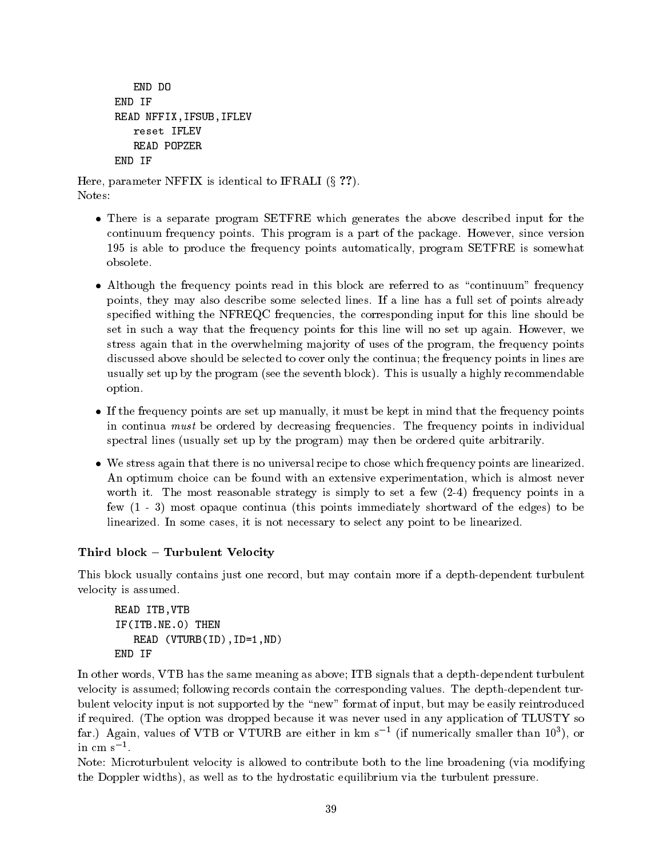```
END DO
END IF
READ NFFIX, IFSUB, IFLEV
   reset IFLEV
   READ POPZER
END IF
```
Here, parameter NFFIX is identical to IFRALI  $(\S$  ??). Notes

- There is a separate program SETFRE which generates the above described input for the continuum frequency points in program is a pack package of the package of the package  $\sim$ - is able to produce the frequency points automatically program SETFRE is somewhat obsolete
- Although the frequency points read in this block are referred to as "continuum" frequency points they may also describe some selected lines If a line has a full set of points already specified withing the NFREQC frequencies, the corresponding input for this line should be set in such a way that the frequency points for this line will no set up again However we stress again that in the overwhelming majority of uses of the program, the frequency points discussed above should be selected to cover only the continua; the frequency points in lines are usually set up the program (att usually security seems as an indicated parameter and the second option
- If the frequency points are set up manually it must be kept in mind that the frequency points in continua must be ordered by decreasing frequencies The frequency points in individual spectral lines (usually set up by the program) may then be ordered quite arbitrarily.
- We stress again that there is no universal recipe to chose which frequency points are linearized An optimum choice can be found with an extensive experimentation, which is almost never worth it can control strategy is simply to set a few  $\mathcal{C}$  frequency points in a few  $(1 - 3)$  most opaque continua (this points immediately shortward of the edges) to be linearized In some cases it is not necessary to select any point to be linearized

# Third block - Turbulent Velocity

This block usually contains just one record, but may contain more if a depth-dependent turbulent velocity is assumed

```
READ ITB, VTB
IF(ITB.NE.O) THEN
       read and the set of the set of the set of the set of the set of the set of the set of the set of the set of th
END IF
```
In other words, VTB has the same meaning as above; ITB signals that a depth-dependent turbulent velocity is assumed following records contained the corresponding values at plan to plant the corresponding values bulent velocity input is not supported by the "new" format of input, but may be easily reintroduced if required The option was dropped because it was never used in any application of TLUSTY so  $\inf$ , Again, values of  $\bm{v}$  to  $\bm{v}$  to  $\bm{r}$  are either in kin s and inumerically smaller than to ), or in cm  $s^{-1}$ .

Note: Microturbulent velocity is allowed to contribute both to the line broadening (via modifying the Doppler widths), as well as to the hydrostatic equilibrium via the turbulent pressure.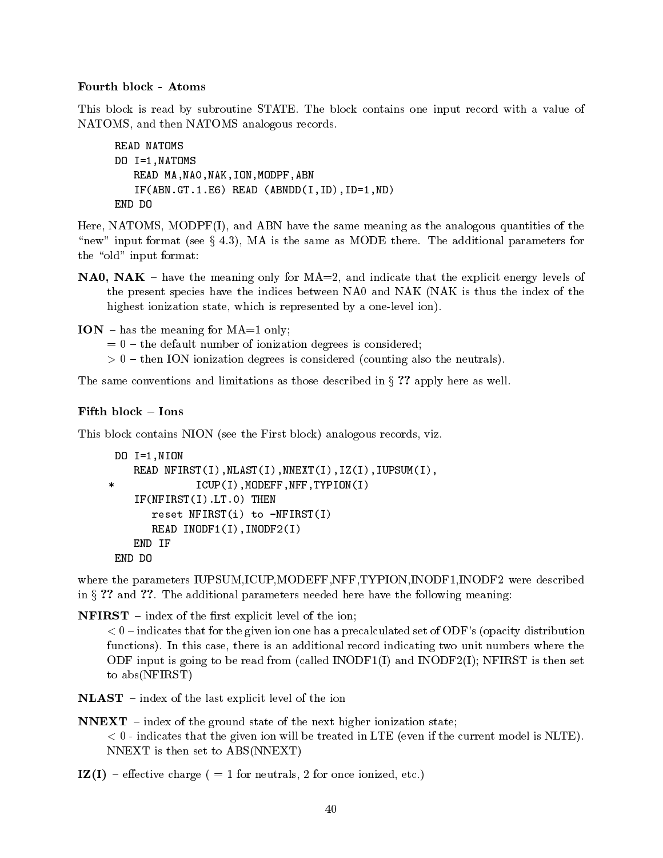## Fourth block Atoms

This block is read by subroutine STATE The block contains one input record with a value of NATOMS and then NATOMS analogous records

```
READ NATOMS
DO I-
NATOMS
    READ MA, NAO, NAK, ION, MODPF, ABN
    ND ABNDDIIDID-ADNDDIIDID-ADNDDIIDID-ADNDDIIDID-ADNDDIIDID-ADNDDIIDID-ADNDDIIDID-ADNDDIIDID-ADNDDIIDID-ADNDDIID
END DO
```
Here, NATOMS, MODPF $(I)$ , and ABN have the same meaning as the analogous quantities of the new input format  $\mu$  is  $\mu$  and  $\mu$  is the same as MODE there are MODE the additional parameters for the "old" input format:

- **NA0, NAK** have the meaning only for  $MA = 2$ , and indicate that the explicit energy levels of the present species have the indices between NAO and NAK (NAK is thus the index of the highest ionization state, which is represented by a one-level ion).
- ION has the meaning for  $MA=1$  only;
	- $t=0$  the default number of ionization degrees is considered;
	- then ION ionization degrees is considered counting also the neutrals

The same conventions and limitations as those described in  $\S$  ?? apply here as well.

## Fifth block - Ions

This block contains NION (see the First block) analogous records, viz.

```
————————————————————
   READ NFIRST(I), NLIST(I), NREXT(I), IZ(I), IUPSUM(I),
              ICUP(I), MODEFF, NFF, TYPION(I)
\astIF(NFIRST(I).LT.0) THENreset NFIRST(i) to -NFIRST(I)READ INODF-
IINODFI
   END IF
```
where the parameters IUPSUM, ICUP, MODEFF, NFF, TYPION, INODF1, INODF2 were described in additional parameters in the additional parameters in the following measurement of the following measurement

 **– index of the first explicit level of the ion;** 

 indicates that for the given ion one has a precalculated set of ODFs opacity distribution functions In this case there is an additional record indicating two unit numbers where the ODF input is going to be read from (called  $INODF1(I)$  and  $INODF2(I)$ ; NFIRST is then set to abs(NFIRST)

 $NLAST$  – index of the last explicit level of the ion

- $NNEXT$  index of the ground state of the next higher ionization state;  $\sim$   $\sigma$  -model will be that the given ion will be the current model is the current model is numbered. NNEXT is then set to  $ABS(NNEXT)$
- In the charge charge charge charge charge charge  $\mathbf{f}$  $\mathbf{r}$  and  $\mathbf{r}$  and  $\mathbf{r}$  and  $\mathbf{r}$  and  $\mathbf{r}$  and  $\mathbf{r}$  and  $\mathbf{r}$  and  $\mathbf{r}$  and  $\mathbf{r}$  and  $\mathbf{r}$  and  $\mathbf{r}$  and  $\mathbf{r}$  and  $\mathbf{r}$  and  $\mathbf{r}$  and  $\mathbf{r}$  and  $\mathbf{r}$  and  $\mathbf{r}$  and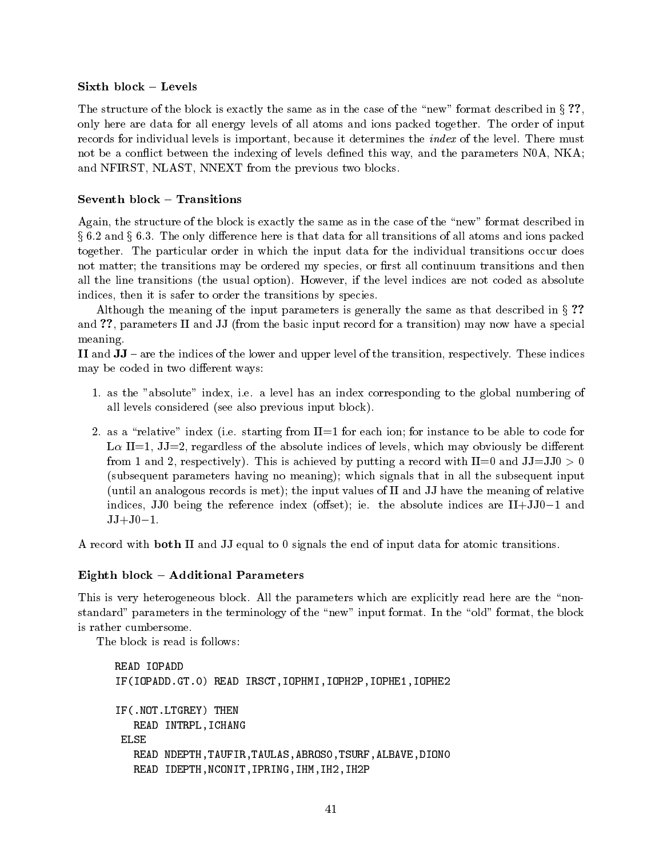## Sixth block Levels

The structure of the block is exactly the same as in the case of the "new" format described in  $\S$ ?. only here are data for all energy levels of all atoms atoms pathways for all energy is and packed to the order records for individual levels is important because it determines the index of the level There must not be a conflict between the indexing of levels defined this way, and the parameters  $N0A$ ,  $NKA$ ; and NFIRST, NLAST, NNEXT from the previous two blocks.

## Seventh block - Transitions

Again, the structure of the block is exactly the same as in the case of the "new" format described in , which are all the only dimensional for all transitions of all transitions of all  $\alpha$  and in a packed  $\alpha$ together The particular order in which the input data for the individual transitions occur does not matter; the transitions may be ordered my species, or first all continuum transitions and then all the line transitions the usual options are not coded as a coded as a coded as  $\mathbf{H}$ indices, then it is safer to order the transitions by species.

Although the meaning of the input parameters is generally the same as that described in  $\S$ ? and ??, parameters II and JJ (from the basic input record for a transition) may now have a special meaning

II and JJ are the indices of the lower and upper level of the transition respectively These indices may be coded in two different ways:

- as the absolute index i e a level has an index corresponding to the global numbering of all levels considered (see also previous input block).
- as a relative index index index index instance to be able to be able to be able to be able to be able to code L $\alpha$  II=1, JJ=2, regardless of the absolute indices of levels, which may obviously be different from a record of a report is  $\mu$  and  $\mu$  -recording a record with II  $\mu$  and III  $\mu$  and III  $\mu$ (subsequent parameters having no meaning); which signals that in all the subsequent input (until an analogous records is met); the input values of  $II$  and  $JJ$  have the meaning of relative indices JJV and the reference indices  $\{1,2,3,4\}$  in the absolute indices are II JVVV in the absolute JJ J -

A record with **both** II and JJ equal to  $0$  signals the end of input data for atomic transitions.

## Eighth block - Additional Parameters

This is very heterogeneous block All the parameters which are explicitly read here are the non standard parameters in the terminology of the new input format In the old format the block is rather cumbersome

The block is read is follows

```
READ IOPADD
ification is a complete that is a property of the complete the state of the complete the complete that \mathcal{S}IF(.NOT.LTGREY) THEN
   READ INTRPL, ICHANG
 ELSE
   READ NDEPTH, TAUFIR, TAULAS, ABROSO, TSURF, ALBAVE, DIONO
   READ IDEPTH, NCONIT, IPRING, IHM, IH2, IH2P
```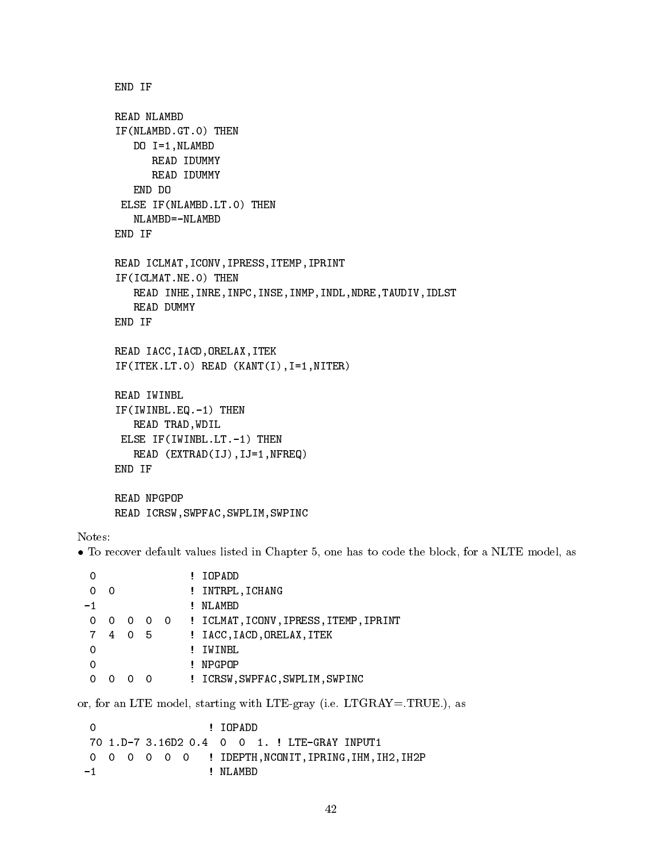```
END IF
READ NLAMBD
IF(NLAMBD.GT.O) THEN
     DO I-
NLAMBD
          READ IDUMMY
          READ IDUMMY
     END DO
 ELSE IF(NLAMBD.LT.0) THEN
     NLAMBD = -NLAMBDEND IF
READ ICLMAT, ICONV, IPRESS, ITEMP, IPRINT
IF(ICLMAT.NE.O) THEN
     READ INHE, INRE, INPC, INSE, INMP, INDL, NDRE, TAUDIV, IDLST
     READ DUMMY
END IF
READ IACC, IACD, ORELAX, ITEK
NITER STATE KANTII-LIITTO KANTII-LIITTO KANTII-LIITTO KANTII-LIITTO KANTII-LIITTO KANTII-LIITTO KANTII-LIITTO K
READ IWINBL
If you have a set of the set of the set of the set of the set of the set of the set of the set of the set of the
     READ TRAD, WDIL
  else is the second control of the second control of the second control of the second control of the second control of the second control of the second control of the second control of the second control of the second contr
     READ EXTRADIJIJ-
NFREQ
END IF
READ NPGPOP
READ ICRSW, SWPFAC, SWPLIM, SWPINC
```
### Notes

• To recover default values listed in Chapter 5, one has to code the block, for a NLTE model, as

|     |   |                          |          |   | IOPADD                                     |
|-----|---|--------------------------|----------|---|--------------------------------------------|
| ∩   | O |                          |          | Ţ | INTRPL, ICHANG                             |
| - 1 |   |                          |          |   | NLAMBD                                     |
| 0   | 0 | $\overline{\phantom{0}}$ |          |   | 0 0 : ICLMAT, ICONV, IPRESS, ITEMP, IPRINT |
| 7   | 4 | $\Omega$                 | 5        | Ţ | IACC, IACD, ORELAX, ITEK                   |
|     |   |                          |          |   | IWINBL                                     |
|     |   |                          |          |   | NPGPOP                                     |
|     |   |                          | $\Omega$ |   | ICRSW, SWPFAC, SWPLIM, SWPINC              |
|     |   |                          |          |   |                                            |

 $\sim$  for an LTE model starting with LTEGRAY  $\sim$  100  $\sim$  100  $\sim$  100  $\sim$  100  $\sim$ 

 IOPADD  $\Omega$ 0 0 0 0 0 0 : IDEPTH, NCONIT, IPRING, IHM, IH2, IH2P ! NLAMBD  $-1$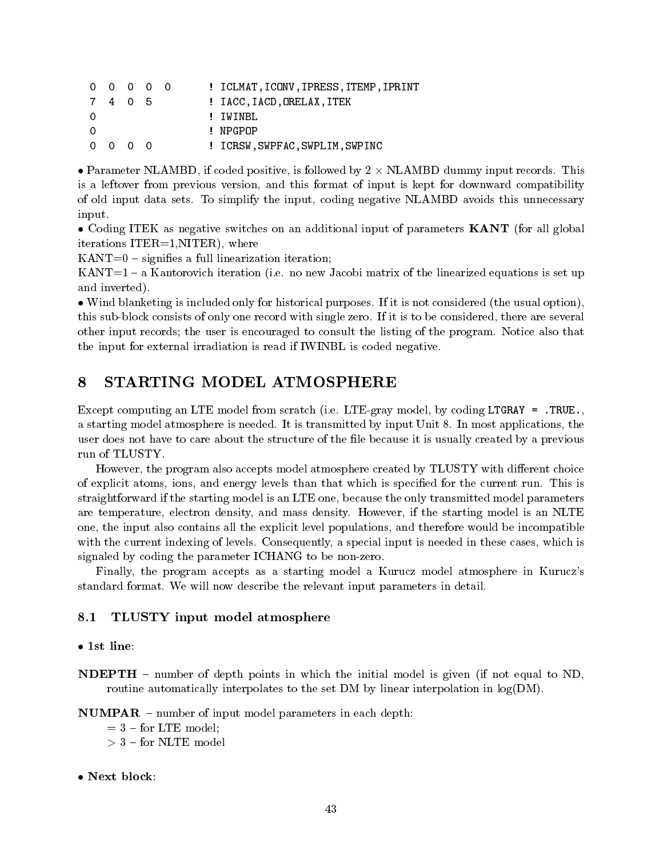|          | $0\quad 0\quad 0\quad 0\quad 0$ |  |  | ! ICLMAT, ICONV, IPRESS, ITEMP, IPRINT |
|----------|---------------------------------|--|--|----------------------------------------|
|          | 7405                            |  |  | ! IACC, IACD, ORELAX, ITEK             |
| $\Omega$ |                                 |  |  | ! IWINBL                               |
| $\Omega$ |                                 |  |  | ! NPGPOP                               |
|          | $0\quad 0\quad 0\quad 0$        |  |  | ! ICRSW.SWPFAC.SWPLIM.SWPINC           |

 Parameter NLAMBD if coded positive is followed by NLAMBD dummy input records This is a leftover from previous version, and this format of input is kept for downward compatibility of old input data sets in the input coding the input coding negative to increase the interest this unit coding t input

• Coding ITEK as negative switches on an additional input of parameters **KANT** (for all global iterations  $ITER=1, NITER$ , where

 $KANT=0$  – signifies a full linearization iteration;

KANT a Kantorovich iteration i e no new Jacobi matrix of the linearized equations is set up and inverted

 Wind blanketing is included only for historical purposes If it is not considered the usual option this subblock consists of only one record with single zero If it is to be considered there are several other input records the user is encouraged to consult the listing to the program force also that the input for external irradiation is read if IWINBL is coded negative

#### STARTING MODEL ATMOSPHERE 8

Except computing an LTE model from scratch i e LTEgray model by coding LTGRAY TRUE a starting model at most applies is needed by including the sequence of the process the processes that the contract of the contract of the contract of the contract of the contract of the contract of the contract of the con user does not have to care about the structure of the file because it is usually created by a previous run of TLUSTY

However, the program also accepts model atmosphere created by TLUSTY with different choice of explicit atoms ions and energy levels than that which is specied for the current run This is straightforward if the starting model is an LTE one because the only transmitted model parameters are temperature electron density and mass density However if the starting model is an NLTE one, the input also contains all the explicit level populations, and therefore would be incompatible with the current indexing of levels in the equipment  $\mu$  is needed in the cases which is needed in the cases which is needed in signaled by coding the parameter ICHANG to be non-zero.

Finally, the program accepts as a starting model a Kurucz model atmosphere in Kurucz's standard formation in the relevant interesting the relevant input parameters in detailed

## 8.1 TLUSTY input model atmosphere

#### $\bullet$  1st line:

**NDEPTH** – number of depth points in which the initial model is given (if not equal to ND, routine automatically interpolates to the set DM by linear interpolation in  $log(DM)$ .

 $NUMPAR$  – number of input model parameters in each depth:

- $=$  3 for LTE model;
- for NLTE model
- Next block: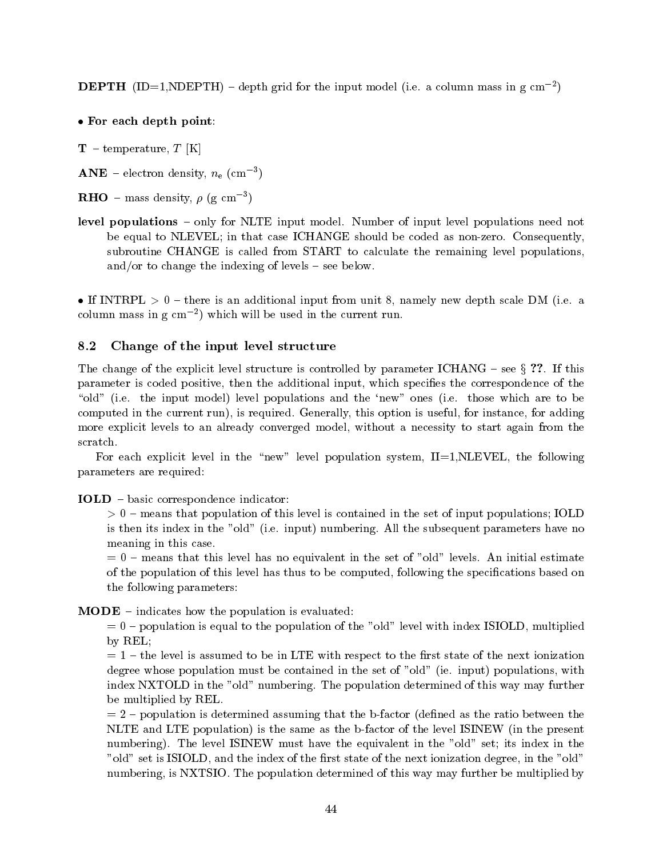$\bf DEPIT$  (ID=1,NDEPTH) – depth grid for the input model (i.e. a column mass in g cm  $^{-}$  )

# For each depth point

 $T$  – temperature, T [K]

 $\mathbf{A}\mathbf{N}\mathbf{E}$  – electron density,  $n_{\mathrm{e}}$  (cm  $^{-}$  )

- $\bf{RHO}$  mass density,  $\rho$  (g cm )
- level populations only for NLTE input model Number of input level populations need not be equal to NLEVEL in that case ICHANGE should be coded as nonzero Consequently subroutine CHANGE is called from START to calculate the remaining level populations and/or to change the indexing of levels  $-$  see below.

If International and the international input from unit  $\mathcal{I}_1$  is an additional input from  $\mathcal{I}_2$  in  $\mathcal{I}_3$ column mass in g cm which will be used in the current run

#### 8.2 Change of the input level structure

The change of the explicit level structure is controlled by parameter ICHANG see<sup>x</sup> If this parameter is coded positive, then the additional input, which specifies the correspondence of the "old" (i.e. the input model) level populations and the 'new" ones (i.e. those which are to be computed in the current run and current run is required in the current of adding the current of adding the current of adding the current of adding the current of adding the current of adding the current of adding the curre more explicit levels to an already converged model, without a necessity to start again from the scratch

For each explicit level in the "new" level population system,  $II=1, NLEVEL$ , the following parameters are required

# **IOLD** – basic correspondence indicator:

means that population of the set of the set of the set of international is contained in the set of input populations IOLDD in the set of induction  $\mathcal{L}_\mathbf{X}$ is then its index in the old i e input
 numbering All the subsequent parameters have no meaning in this case

, we are the this level of the set of old levels in the set of old levels are an initial estimated to a set of of the population of this level has thus to be computed, following the specifications based on the following parameters

 **– indicates how the population is evaluated:** 

 $p = 0$  – population is equal to the population of the "old" level with index ISIOLD, multiplied by REL

 $t = 1$  – the level is assumed to be in LTE with respect to the first state of the next ionization degree whose population must be contained in the set of old ie input
 populations with . In the population in the order  $\alpha$  is the population determined of the population  $\alpha$ be multiplied by REL

 $= 2$  – population is determined assuming that the b-factor (defined as the ratio between the NLTE and LTE population) is the same as the b-factor of the level ISINEW (in the present number in the level is index in the equivalent in the equivalent in the equivalent in the old set its index in "old" set is ISIOLD, and the index of the first state of the next ionization degree, in the "old" numbering is NXTSIO is not the population determined of the population determined by may further by multiplied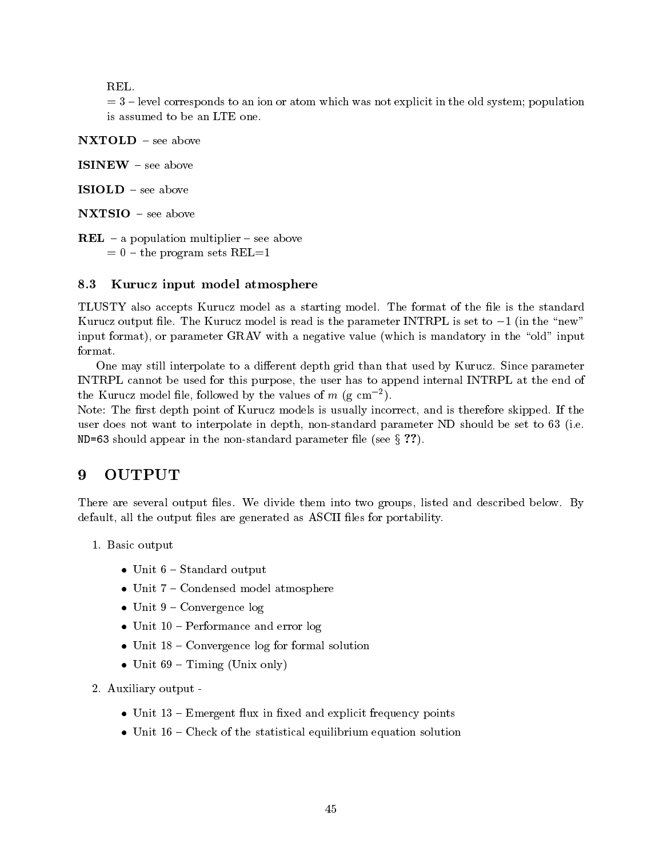$=$  3 – level corresponds to an ion or atom which was not explicit in the old system; population

NXTOLD - see above

**ISINEW** – see above

ISIOLD - see above

NXTSIO - see above

**REL** – a population multiplier – see above  $t=0$  – the program sets REL=1

# 8.3 Kurucz input model atmosphere

TLUSTY and the format model as a starting model as a starting model of the starting model as a starting model Kurucz output le The Kurucz model is read is the parameter INTRPL is set to - in the new input format), or parameter GRAV with a negative value (which is mandatory in the "old" input format

One may still interpolate to a dierent depth grid than that used by Kurucz Since parameter INTRPL cannot be used for this purpose, the user has to append internal INTRPL at the end of the Kurucz model life, followed by the values of  $m$  (g cm  $\,$  ).

Note The rst depth point of Kurucz models is usually incorrect and is therefore skipped If the user does not want to interpolate in depth nonstandard parameter ND should be set to i e ND=63 should appear in the non-standard parameter file (see  $\S$  ??).

# 9

There is a several output lessed and two several output listed below them into two seconds in the second second default, all the output files are generated as ASCII files for portability.

- Basic output
	- $\bullet$  Unit  $6 -$  Standard output
	- Unit 7 Condensed model atmosphere
	- unit Convergence logo and the convergence logo and the convergence logo and the convergence logo and the con
	- Unit  $10$  Performance and error  $log$
	- $\bullet$  Unit 18 Convergence log for formal solution
	- $\sim$  0.000  $\sim$  0.000  $\sim$  0.000  $\sim$  0.000  $\sim$  0.000  $\sim$  0.000  $\sim$  0.000  $\sim$  0.000  $\sim$  0.000  $\sim$  0.000  $\sim$  0.000  $\sim$  0.000  $\sim$  0.000  $\sim$  0.000  $\sim$  0.000  $\sim$  0.000  $\sim$  0.000  $\sim$  0.000  $\sim$  0.000  $\sim$  0.000

auxiliary output of the contract of the contract of the contract of the contract of the contract of the contract of the contract of the contract of the contract of the contract of the contract of the contract of the contra

- $\bullet$  Unit 13 Emergent flux in fixed and explicit frequency points
- $\bullet$  Unit 16 Check of the statistical equilibrium equation solution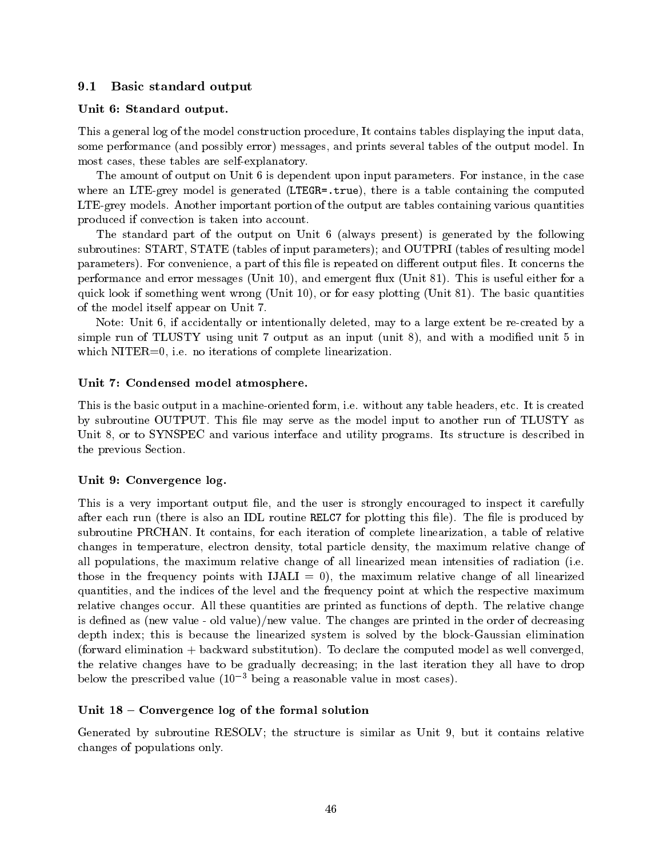# 9.1 Basic standard output

# Unit 6: Standard output.

This a general log of the model construction procedure. It contains tables displaying the input data, some performance (into perform) error, messanges and primes and the output model tables of the output model of most cases, these tables are self-explanatory.

The amount of output on Unit is dependent upon input parameters. It describes in the case in the case is dependent where an LTE-grey model is generated (LTEGR=.true), there is a table containing the computed LTEgrey models Another important portion of the output are tables containing various quantities produced if convection is taken into account

The standard part of the output on Unit 6 (always present) is generated by the following subroutines: START, STATE (tables of input parameters); and OUTPRI (tables of resulting model parameters, a convenience, o part of this legislation construction on the part of the concerns the contract of performance and error messages ( ) and eight and emergence and ( ) and ( ) and as and contact the st  $\mathbf{u}$  and  $\mathbf{u}$  if  $\mathbf{u}$  and  $\mathbf{u}$  and  $\mathbf{u}$  and  $\mathbf{u}$  and  $\mathbf{u}$ of the model itself appear on Unit

Note: Unit  $6$ , if accidentally or intentionally deleted, may to a large extent be re-created by a simple run of TLUSTY using unit 7 output as an input (unit 8), and with a modified unit 5 in which NITER is a non-term in the complete linearizations of complete linearizations of complete linearizations of complete linearizations of complete linearizations of complete linearizations of complete linearizations of

# Unit 7: Condensed model atmosphere.

This is the basic output in a machineoriented form i e without any table headers etc It is created by subroutine OUTPUT This le may serve as the model input to another run of TLUSTY as Unit V, to SYSTEM and various interface and utility programs interface is described in the previous Section

# Unit 9: Convergence log.

This is a very important output file, and the user is strongly encouraged to inspect it carefully after this the plotting is also and IDL routine run is plotting this left for me plotting t . It contains for each iteration of containing for contains for complete and the complete linear of relative o changes in temperature, electron density, total particle density, the maximum relative change of all populations the maximum relative change of all linearized measurements of radiations (i.e. those in the frequency points with  $IJALI = 0$ , the maximum relative change of all linearized quantities and the indices of the level and the frequency point at which the respective maximum relative changes occur All these quantities are printed as functions of depth The relative change is dened as new value old value
new value The changes are printed in the order of decreasing depth index; this is because the linearized system is solved by the block-Gaussian elimination  $f \mapsto \phi$  for the computed model as well converged model as well computed model as well computed model as  $f \mapsto \phi$ the relative changes have to be gradually decreasing; in the last iteration they all have to drop below the prescribed value  $(10^{-3}$  being a reasonable value in most cases).

# Unit  $18$  – Convergence log of the formal solution

Generated by subroutine RESOLV the structure is similar as Unit - but it contains relative changes of populations only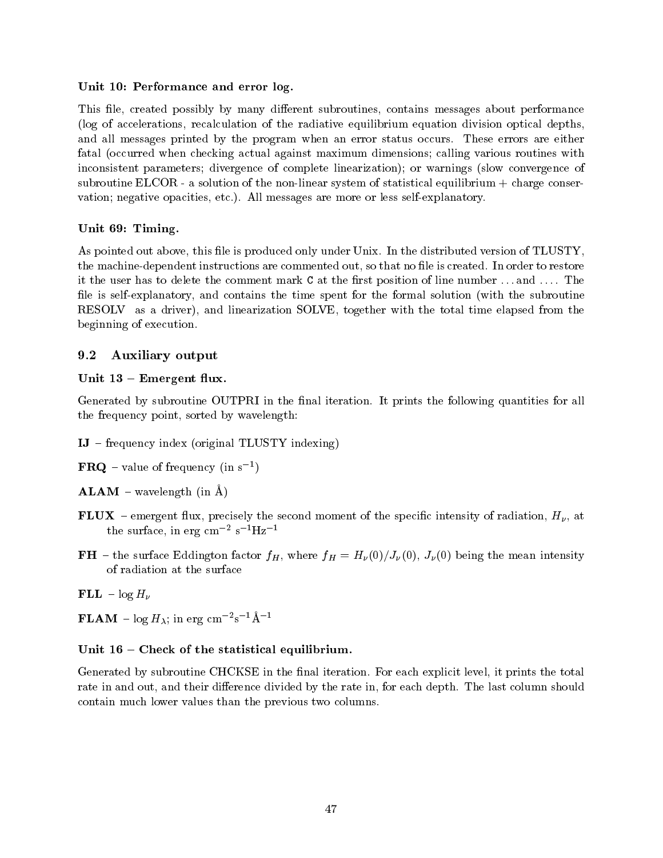# Unit 10: Performance and error log.

This file, created possibly by many different subroutines, contains messages about performance (log of accelerations, recalculation of the radiative equilibrium equation division optical depths, and all messages printed by the program when an error status occurs are errors and the compa fatal (occurred when checking actual against maximum dimensions; calling various routines with inconsistent parameters; divergence of complete linearization); or warnings (slow convergence of subroutine ELCOR - a solution of the non-linear system of statistical equilibrium  $+$  charge conservation argument opacities etc.) is an all messages are more or less self-endorse  $\rho$ 

# Unit 69: Timing.

As pointed out above this le is produced only under Unix In the distributed version of TLUSTY the machinedependent instructions are commented out so that no le is created In order to restore it the user has to delete the user has to delete the comment mark C at the rst position of line number  $\mathbb{R}^n$ file is self-explanatory, and contains the time spent for the formal solution (with the subroutine RESOLV as a driver), and linearization SOLVE, together with the total time elapsed from the beginning of execution

# 9.2 Auxiliary output

# Unit  $13$  – Emergent flux.

Generated by subroutine OUTPRIS in the natural iterations of prints the following quantities for all the frequency point, sorted by wavelength:

- $IJ$  frequency index (original TLUSTY indexing)
- **FRQ** value of frequency (in s  $\rightarrow$  )
- $ALAM$  wavelength (in  $\AA$ )
- FLUX emergent flux, precisely the second moment of the specific intensity of radiation,  $H_{\nu}$ , at the surface, in erg cm<sup>-2</sup> s<sup>-1</sup>Hz<sup>-1</sup>
- **FH** the surface Eddington factor  $f_H$ , where  $f_H = H_\nu(0)/J_\nu(0)$ ,  $J_\nu(0)$  being the mean intensity of radiation at the surface
- $\mathbf{FLL} \log H_{\nu}$
- $\mathbf{r}$   $\mathbf{L}$  A  $\mathbf{M}$   $\log n_\lambda$ ; in erg cm  $\mathbf{r}$  s  $\mathbf{r}$   $\mathbf{A}$

# Unit  $16$  – Check of the statistical equilibrium.

Generated by substituting the national interaction in the national interaction in the total interaction in the rate in and out, while the last column should be reach divided by the rates in form showledge and the last col contain much lower values than the previous two columns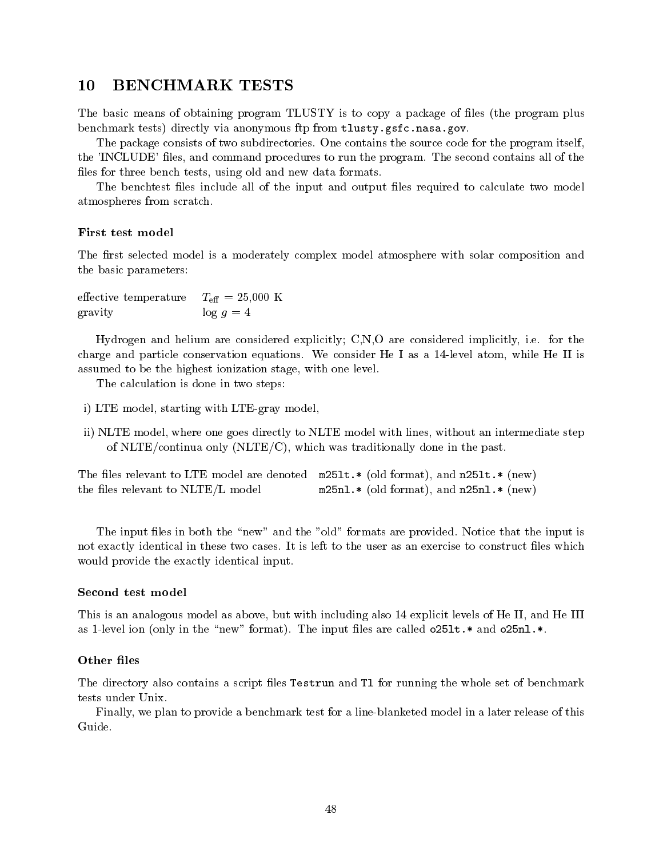# $10$

The basic means of obtaining program TLUSTY is to copy a package of files (the program plus benchmark tests) directly via anonymous ftp from tlusty.gsfc.nasa.gov.

The package consists of two subdirectories One contains the source code for the program itself the INCLUDE and include the procedures to run the program. The second contains all of the second contains all of the second contains all of the second contains all of the second contains all of the second contains all of t files for three bench tests, using old and new data formats.

The benchtest files include all of the input and output files required to calculate two model atmospheres from scratch

#### First test model

The first selected model is a moderately complex model atmosphere with solar composition and the basic parameters

effective temperature  $T_{\text{eff}} = 25{,}000 \text{ K}$ gravity  $\log g = 4$ 

Hydrogen and helium are considered explicitly CNO are considered implicitly i e for the charge and particle constant in the I as a level atom while He I as a level atom while He I as a level atom while H assumed to be the highest ionization stage, with one level.

The calculation is done in two steps

- i) LTE model, starting with LTE-gray model,
- ii) NLTE model, where one goes directly to NLTE model with lines, without an intermediate step of NLTE/continua only (NLTE/C), which was traditionally done in the past.

The files relevant to LTE model are denoted  $m251t.*$  (old format), and  $n251t.*$  (new) the files relevant to NLTE/L model  $m25n1.*$  (old format), and  $n25n1.*$  (new)

The input les in both the new and the old formats are provided Notice that the input is not exactly identical in the user as an exercise to the user as an exercise to the user as an exercise to const would provide the exactly identical input

## Second test model

This is an analogous model as above, but with including also 14 explicit levels of He II, and He III as a corrected in the new formation of the new formation  $\alpha$  are called only and only and only and only and

#### Other files

The directory also contains a script files Testrun and T1 for running the whole set of benchmark tests under Unix

Finally we plan to provide a benchmark test for a lineblanketed model in a later release of this Guide.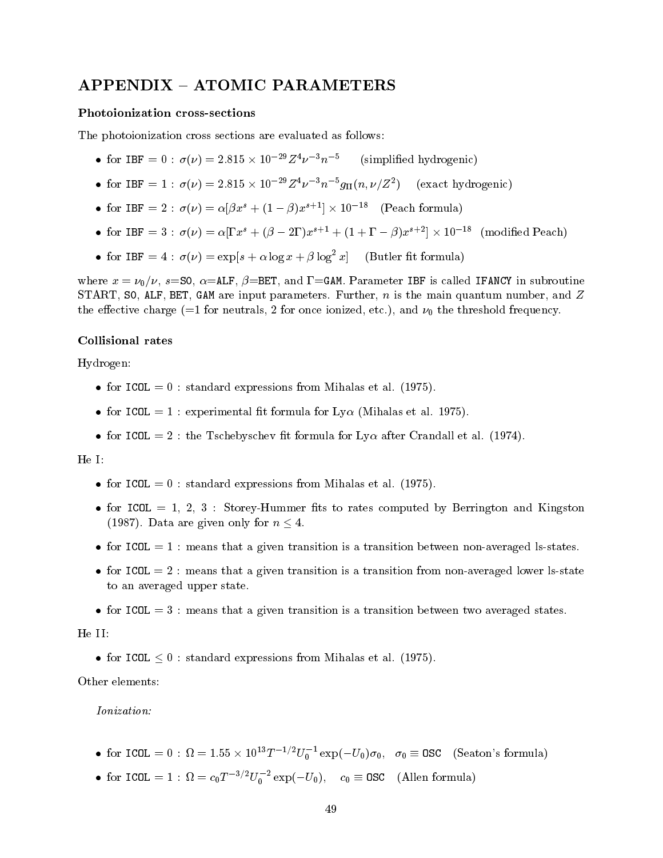## Photoionization cross
sections

The photoionization cross sections are evaluated as follows

- IOI LBF =  $0: \sigma(\nu) = 2.813 \times 10^{-12} \nu^{-1} n$  (si (simplified hydrogenic)
- I I I  $\sigma(\nu) = 2.813 \times 10^{-12} \nu^{-1} n^{-1} g_{\text{II}}(n, \nu/\mathbb{Z}^2)$  (exact hydrogenic)
- for  $IBF = 2$ :  $\sigma(V) = \alpha(px^2 + (1-p)x^2 + 1) \times 10^{-2}$  (Peach formula)
- Ior IBF =  $3: \sigma(\nu) = \alpha[1 \, x^2 + (\beta 21) \, x^3 + (1 + 1 \beta) \, x^2 + (\beta 1) \, x^3 + (\beta 2) \, x^2 + (\beta 1) \, x^3 + (\beta 1) \, x^2 + (\beta 1) \, x^3 + (\beta 1) \, x^2 + (\beta 1) \, x^2 + (\beta 1) \, x^3 + (\beta 1) \, x^2 + (\beta 1) \, x^2 + (\beta 1) \, x^3 + (\beta 1) \, x^2 + (\beta 1) \, x^2 + (\beta 1)$
- for IBF =  $4: \sigma(\nu) = \exp[s + \alpha \log x + \beta \log^2 x]$  (Butler fit formula)

where  $\alpha$  ,  $\alpha$  ,  $\beta$  is called IFA is called IFA in subset of the subset of the subset of  $\alpha$  is called IFANCY in subset of  $\alpha$ start start start start since it the main put put it that it the main distinct specifical computer is the main  $\pm$ the charge charge  $\alpha$  , and the threshold for one interaction for  $\alpha$  and  $\alpha$  for the threshold frequency.

## Collisional rates

Hydrogen

- for ICOL standard expressions from Mihalas et al -
- $\mathbf{r}$  is a componentation in the set as  $\mathbf{r}$  for  $\mathbf{r}$  (in the set of  $\mathbf{r}$
- for ICOL  $\sim$  . The Tscheby process in formula for the theoretical formula for  $\sim$   $\sim$

## He I

- for ICOL standard expressions from Mihalas et al -
- for ICOL = 1, 2, 3 : Storey-Hummer fits to rates computed by Berrington and Kingston  $\sim$  . The same only for the same  $\sim$  100  $\sim$  0.000  $\sim$  0.000  $\sim$  0.000  $\sim$  0.000  $\sim$  0.000  $\sim$  0.000  $\sim$  0.000  $\sim$  0.000  $\sim$  0.000  $\sim$  0.000  $\sim$  0.000  $\sim$  0.000  $\sim$  0.000  $\sim$  0.000  $\sim$  0.000  $\sim$  0.000  $\$
- for ICOL  $= 1$ : means that a given transition is a transition between non-averaged ls-states.
- for ICOL  $= 2$ : means that a given transition is a transition from non-averaged lower ls-state to an averaged upper state
- for ICOL  $= 3$ : means that a given transition is a transition between two averaged states.

#### He II

for ICOL ICOL International expressions from Mihalas et al. (ICOL)

Other elements

- for ICUL =  $0: \Omega = 1.55 \times 10^{-8}T^{-1/2}U_0^{-1}$  exp $(-U_0/\sigma_0, \sigma_0)$  = USC (Seaton's formula)
- for ICUL =  $1: \Omega = c_0 T^{-\sigma/2} U_0$   $\in$   $\exp(-U_0)$ ,  $c_0 \equiv$  USC (Allen formula)